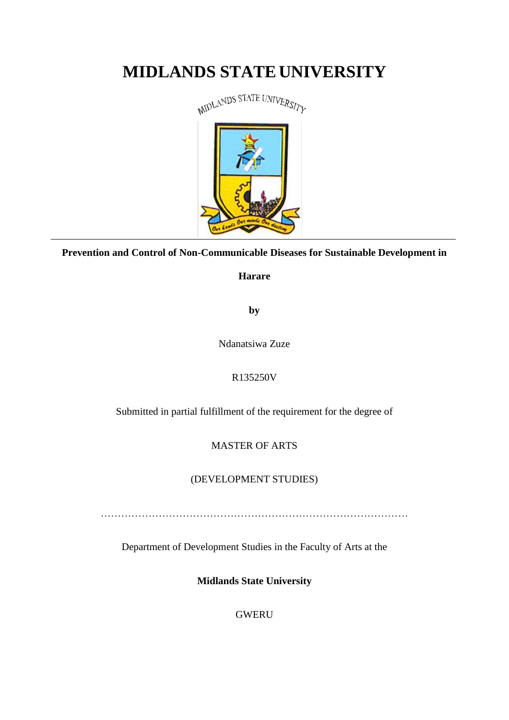# **MIDLANDS STATE UNIVERSITY**



**Prevention and Control of Non-Communicable Diseases for Sustainable Development in** 

**Harare**

**by**

Ndanatsiwa Zuze

# R135250V

Submitted in partial fulfillment of the requirement for the degree of

# MASTER OF ARTS

# (DEVELOPMENT STUDIES)

Department of Development Studies in the Faculty of Arts at the

**Midlands State University**

GWERU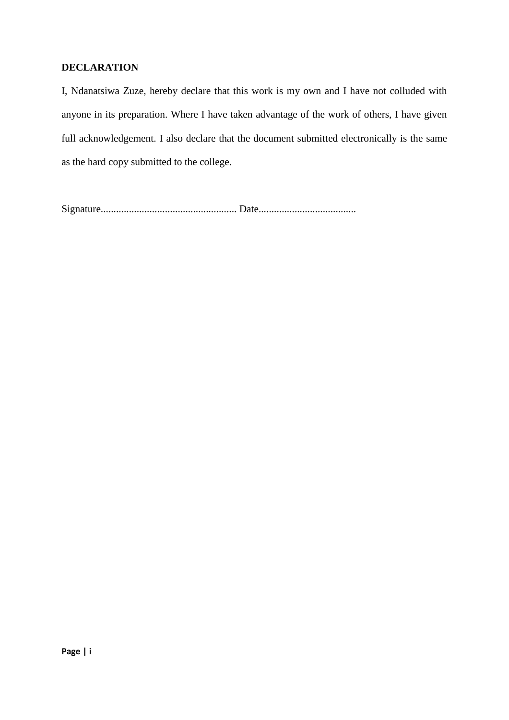## **DECLARATION**

I, Ndanatsiwa Zuze, hereby declare that this work is my own and I have not colluded with anyone in its preparation. Where I have taken advantage of the work of others, I have given full acknowledgement. I also declare that the document submitted electronically is the same as the hard copy submitted to the college.

Signature..................................................... Date......................................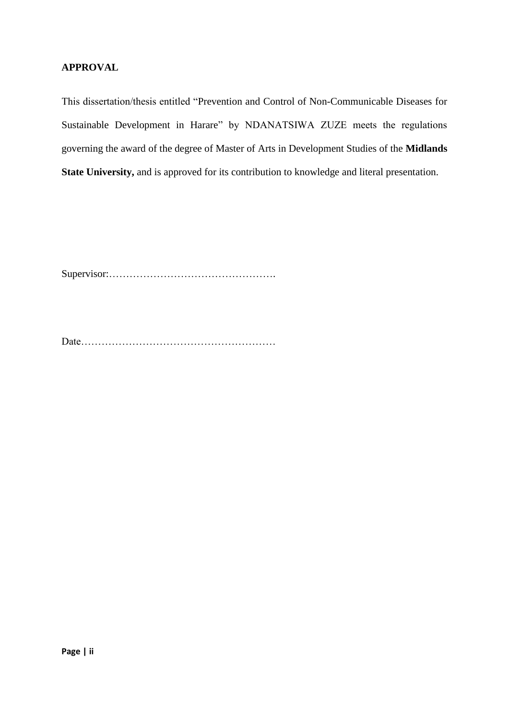## **APPROVAL**

This dissertation/thesis entitled "Prevention and Control of Non-Communicable Diseases for Sustainable Development in Harare" by NDANATSIWA ZUZE meets the regulations governing the award of the degree of Master of Arts in Development Studies of the **Midlands State University,** and is approved for its contribution to knowledge and literal presentation.

Supervisor:………………………………………….

Date…………………………………………………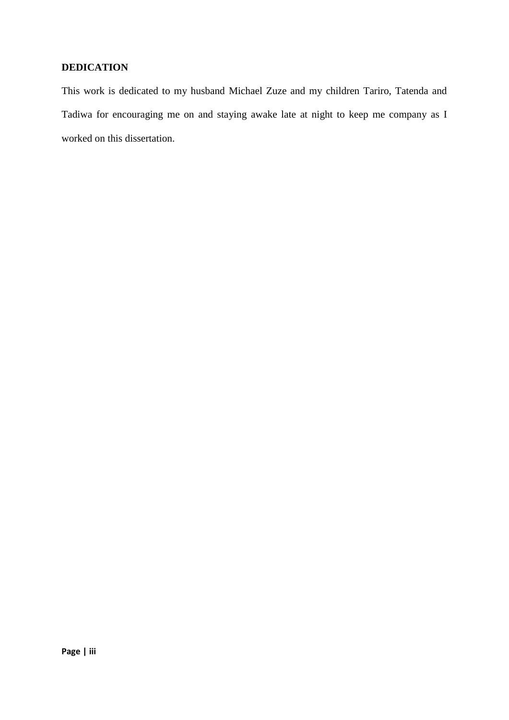## **DEDICATION**

This work is dedicated to my husband Michael Zuze and my children Tariro, Tatenda and Tadiwa for encouraging me on and staying awake late at night to keep me company as I worked on this dissertation.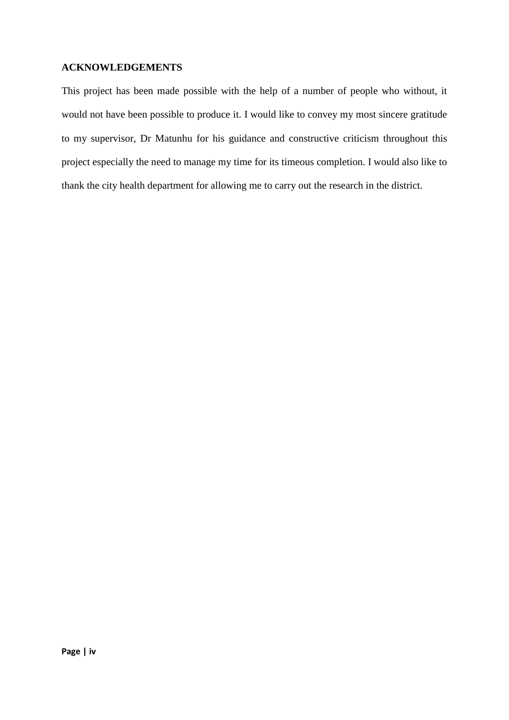## **ACKNOWLEDGEMENTS**

This project has been made possible with the help of a number of people who without, it would not have been possible to produce it. I would like to convey my most sincere gratitude to my supervisor, Dr Matunhu for his guidance and constructive criticism throughout this project especially the need to manage my time for its timeous completion. I would also like to thank the city health department for allowing me to carry out the research in the district.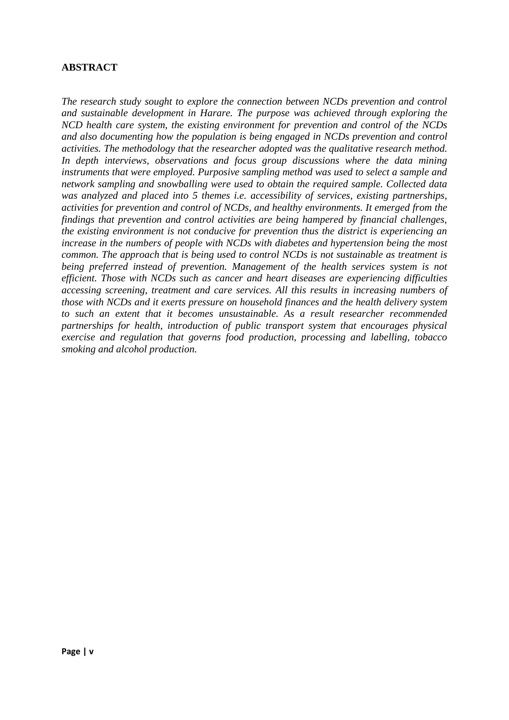## **ABSTRACT**

*The research study sought to explore the connection between NCDs prevention and control and sustainable development in Harare. The purpose was achieved through exploring the NCD health care system, the existing environment for prevention and control of the NCDs and also documenting how the population is being engaged in NCDs prevention and control activities. The methodology that the researcher adopted was the qualitative research method. In depth interviews, observations and focus group discussions where the data mining instruments that were employed. Purposive sampling method was used to select a sample and network sampling and snowballing were used to obtain the required sample. Collected data was analyzed and placed into 5 themes i.e. accessibility of services, existing partnerships, activities for prevention and control of NCDs, and healthy environments. It emerged from the findings that prevention and control activities are being hampered by financial challenges, the existing environment is not conducive for prevention thus the district is experiencing an increase in the numbers of people with NCDs with diabetes and hypertension being the most common. The approach that is being used to control NCDs is not sustainable as treatment is being preferred instead of prevention. Management of the health services system is not efficient. Those with NCDs such as cancer and heart diseases are experiencing difficulties accessing screening, treatment and care services. All this results in increasing numbers of those with NCDs and it exerts pressure on household finances and the health delivery system to such an extent that it becomes unsustainable. As a result researcher recommended partnerships for health, introduction of public transport system that encourages physical exercise and regulation that governs food production, processing and labelling, tobacco smoking and alcohol production.*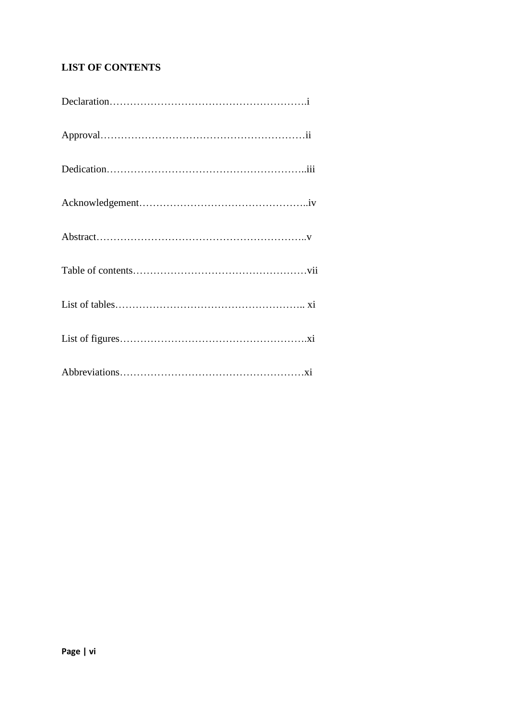# **LIST OF CONTENTS**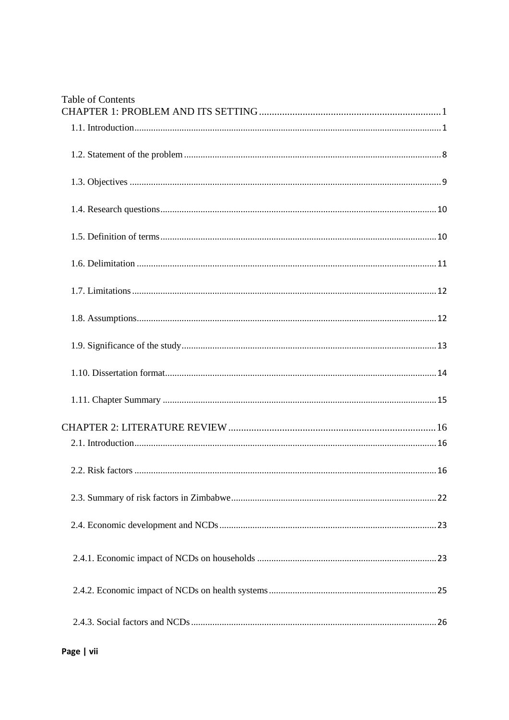| <b>Table of Contents</b> |
|--------------------------|
|                          |
|                          |
|                          |
|                          |
|                          |
|                          |
|                          |
|                          |
|                          |
|                          |
|                          |
|                          |
|                          |
|                          |
|                          |
|                          |
|                          |
|                          |
|                          |

Page | vii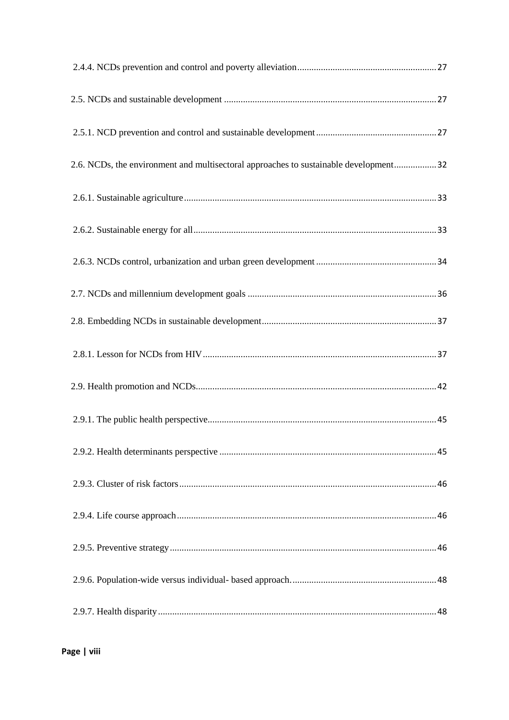| 2.6. NCDs, the environment and multisectoral approaches to sustainable development 32 |  |
|---------------------------------------------------------------------------------------|--|
|                                                                                       |  |
|                                                                                       |  |
|                                                                                       |  |
|                                                                                       |  |
|                                                                                       |  |
|                                                                                       |  |
|                                                                                       |  |
|                                                                                       |  |
|                                                                                       |  |
|                                                                                       |  |
|                                                                                       |  |
|                                                                                       |  |
|                                                                                       |  |
|                                                                                       |  |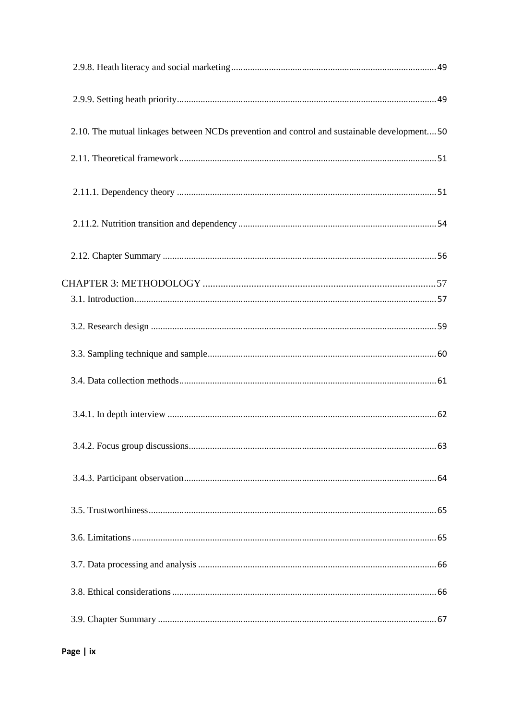| 2.10. The mutual linkages between NCDs prevention and control and sustainable development 50 |  |
|----------------------------------------------------------------------------------------------|--|
|                                                                                              |  |
|                                                                                              |  |
|                                                                                              |  |
|                                                                                              |  |
|                                                                                              |  |
|                                                                                              |  |
|                                                                                              |  |
|                                                                                              |  |
|                                                                                              |  |
|                                                                                              |  |
|                                                                                              |  |
|                                                                                              |  |
|                                                                                              |  |
|                                                                                              |  |
|                                                                                              |  |
|                                                                                              |  |
|                                                                                              |  |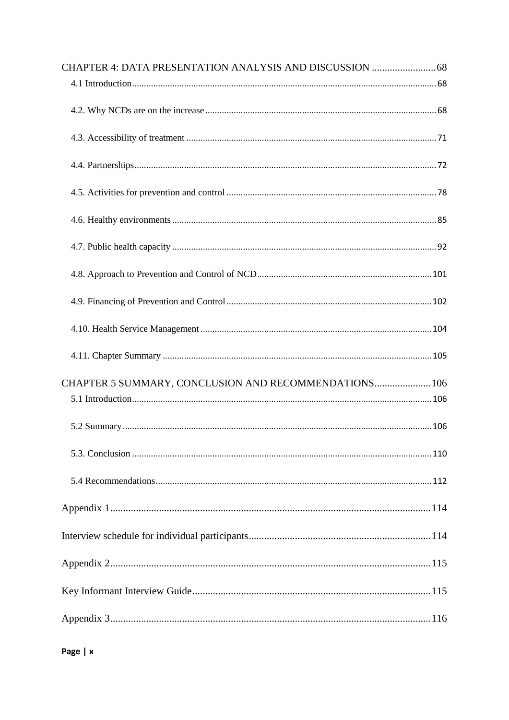| CHAPTER 5 SUMMARY, CONCLUSION AND RECOMMENDATIONS 106 |  |
|-------------------------------------------------------|--|
|                                                       |  |
|                                                       |  |
|                                                       |  |
|                                                       |  |
|                                                       |  |
|                                                       |  |
|                                                       |  |
|                                                       |  |
|                                                       |  |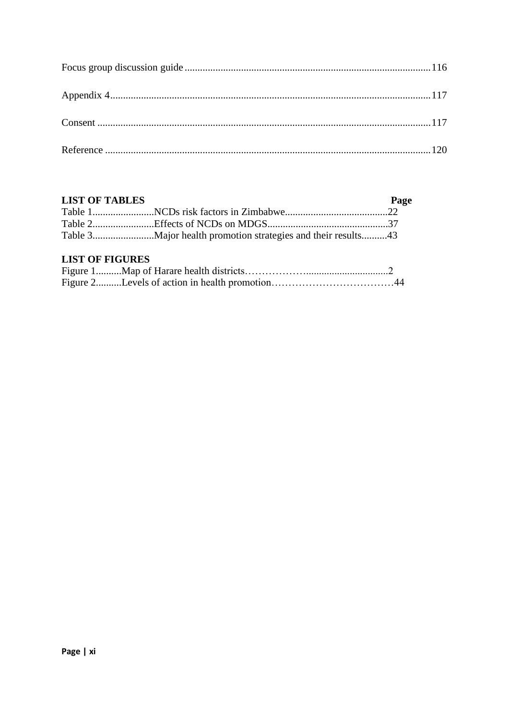## **LIST OF TABLES**

| <b>LIST OF TABLES</b> | Page |
|-----------------------|------|
|                       |      |
|                       |      |
|                       |      |

# **LIST OF FIGURES**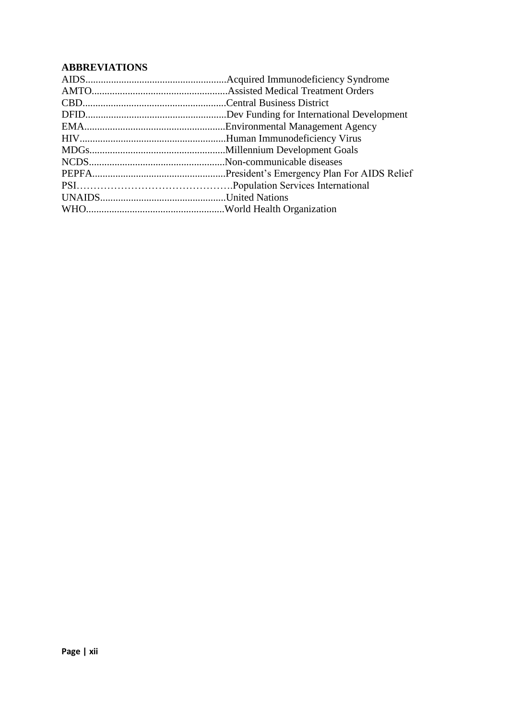# **ABBREVIATIONS**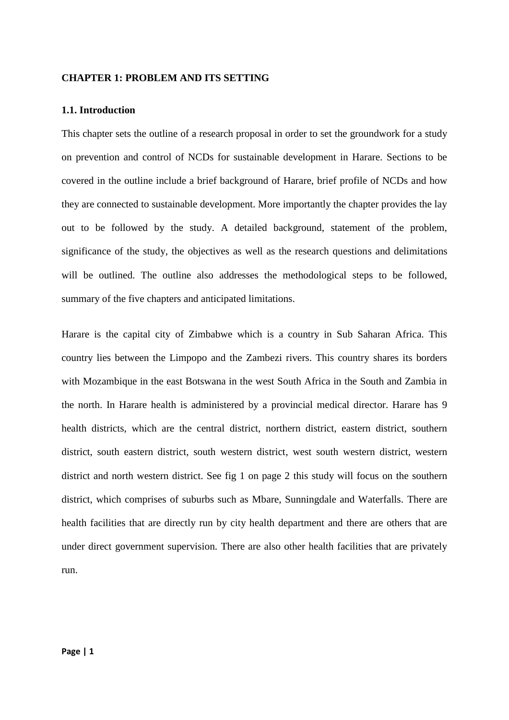#### <span id="page-13-0"></span>**CHAPTER 1: PROBLEM AND ITS SETTING**

#### <span id="page-13-1"></span>**1.1. Introduction**

This chapter sets the outline of a research proposal in order to set the groundwork for a study on prevention and control of NCDs for sustainable development in Harare. Sections to be covered in the outline include a brief background of Harare, brief profile of NCDs and how they are connected to sustainable development. More importantly the chapter provides the lay out to be followed by the study. A detailed background, statement of the problem, significance of the study, the objectives as well as the research questions and delimitations will be outlined. The outline also addresses the methodological steps to be followed, summary of the five chapters and anticipated limitations.

Harare is the capital city of Zimbabwe which is a country in Sub Saharan Africa. This country lies between the Limpopo and the Zambezi rivers. This country shares its borders with Mozambique in the east Botswana in the west South Africa in the South and Zambia in the north. In Harare health is administered by a provincial medical director. Harare has 9 health districts, which are the central district, northern district, eastern district, southern district, south eastern district, south western district, west south western district, western district and north western district. See fig 1 on page 2 this study will focus on the southern district, which comprises of suburbs such as Mbare, Sunningdale and Waterfalls. There are health facilities that are directly run by city health department and there are others that are under direct government supervision. There are also other health facilities that are privately run.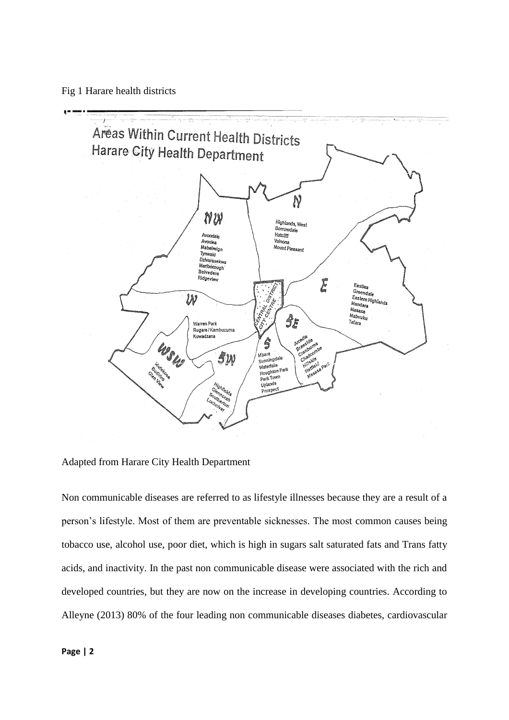Fig 1 Harare health districts



Adapted from Harare City Health Department

Non communicable diseases are referred to as lifestyle illnesses because they are a result of a person's lifestyle. Most of them are preventable sicknesses. The most common causes being tobacco use, alcohol use, poor diet, which is high in sugars salt saturated fats and Trans fatty acids, and inactivity. In the past non communicable disease were associated with the rich and developed countries, but they are now on the increase in developing countries. According to Alleyne (2013) 80% of the four leading non communicable diseases diabetes, cardiovascular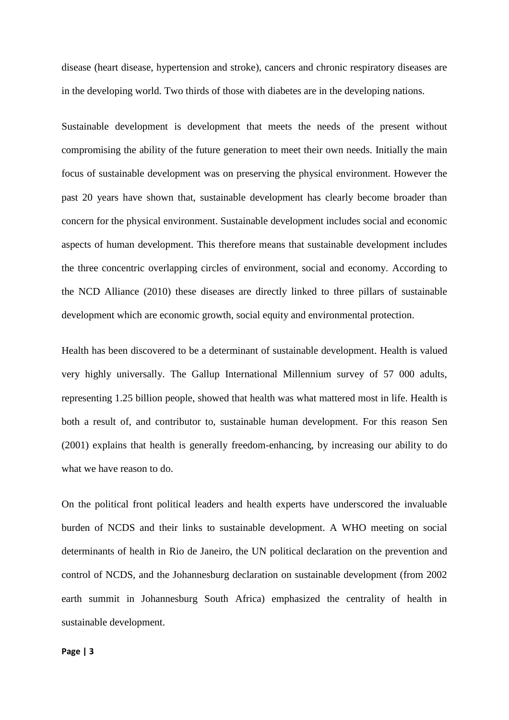disease (heart disease, hypertension and stroke), cancers and chronic respiratory diseases are in the developing world. Two thirds of those with diabetes are in the developing nations.

Sustainable development is development that meets the needs of the present without compromising the ability of the future generation to meet their own needs. Initially the main focus of sustainable development was on preserving the physical environment. However the past 20 years have shown that, sustainable development has clearly become broader than concern for the physical environment. Sustainable development includes social and economic aspects of human development. This therefore means that sustainable development includes the three concentric overlapping circles of environment, social and economy. According to the NCD Alliance (2010) these diseases are directly linked to three pillars of sustainable development which are economic growth, social equity and environmental protection.

Health has been discovered to be a determinant of sustainable development. Health is valued very highly universally. The Gallup International Millennium survey of 57 000 adults, representing 1.25 billion people, showed that health was what mattered most in life. Health is both a result of, and contributor to, sustainable human development. For this reason Sen (2001) explains that health is generally freedom-enhancing, by increasing our ability to do what we have reason to do.

On the political front political leaders and health experts have underscored the invaluable burden of NCDS and their links to sustainable development. A WHO meeting on social determinants of health in Rio de Janeiro, the UN political declaration on the prevention and control of NCDS, and the Johannesburg declaration on sustainable development (from 2002 earth summit in Johannesburg South Africa) emphasized the centrality of health in sustainable development.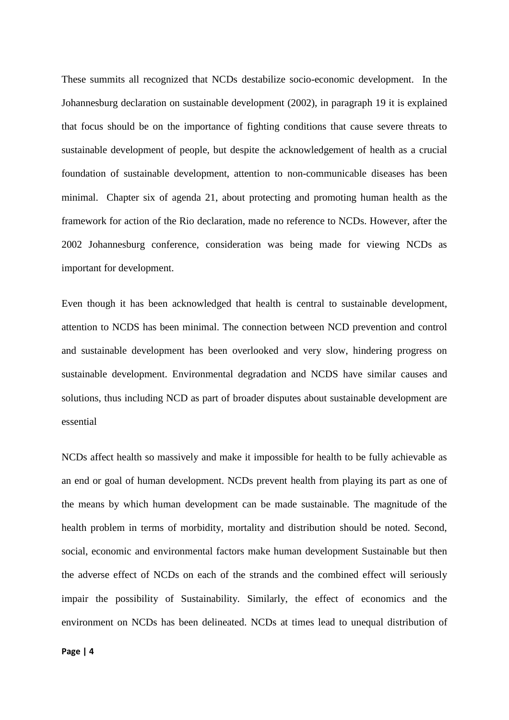These summits all recognized that NCDs destabilize socio-economic development. In the Johannesburg declaration on sustainable development (2002), in paragraph 19 it is explained that focus should be on the importance of fighting conditions that cause severe threats to sustainable development of people, but despite the acknowledgement of health as a crucial foundation of sustainable development, attention to non-communicable diseases has been minimal. Chapter six of agenda 21, about protecting and promoting human health as the framework for action of the Rio declaration, made no reference to NCDs. However, after the 2002 Johannesburg conference, consideration was being made for viewing NCDs as important for development.

Even though it has been acknowledged that health is central to sustainable development, attention to NCDS has been minimal. The connection between NCD prevention and control and sustainable development has been overlooked and very slow, hindering progress on sustainable development. Environmental degradation and NCDS have similar causes and solutions, thus including NCD as part of broader disputes about sustainable development are essential

NCDs affect health so massively and make it impossible for health to be fully achievable as an end or goal of human development. NCDs prevent health from playing its part as one of the means by which human development can be made sustainable. The magnitude of the health problem in terms of morbidity, mortality and distribution should be noted. Second, social, economic and environmental factors make human development Sustainable but then the adverse effect of NCDs on each of the strands and the combined effect will seriously impair the possibility of Sustainability. Similarly, the effect of economics and the environment on NCDs has been delineated. NCDs at times lead to unequal distribution of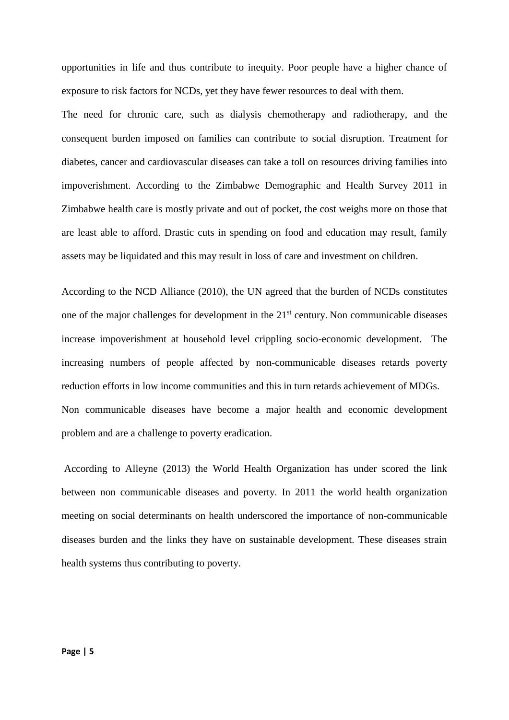opportunities in life and thus contribute to inequity. Poor people have a higher chance of exposure to risk factors for NCDs, yet they have fewer resources to deal with them.

The need for chronic care, such as dialysis chemotherapy and radiotherapy, and the consequent burden imposed on families can contribute to social disruption. Treatment for diabetes, cancer and cardiovascular diseases can take a toll on resources driving families into impoverishment. According to the Zimbabwe Demographic and Health Survey 2011 in Zimbabwe health care is mostly private and out of pocket, the cost weighs more on those that are least able to afford. Drastic cuts in spending on food and education may result, family assets may be liquidated and this may result in loss of care and investment on children.

According to the NCD Alliance (2010), the UN agreed that the burden of NCDs constitutes one of the major challenges for development in the 21<sup>st</sup> century. Non communicable diseases increase impoverishment at household level crippling socio-economic development. The increasing numbers of people affected by non-communicable diseases retards poverty reduction efforts in low income communities and this in turn retards achievement of MDGs. Non communicable diseases have become a major health and economic development problem and are a challenge to poverty eradication.

According to Alleyne (2013) the World Health Organization has under scored the link between non communicable diseases and poverty. In 2011 the world health organization meeting on social determinants on health underscored the importance of non-communicable diseases burden and the links they have on sustainable development. These diseases strain health systems thus contributing to poverty.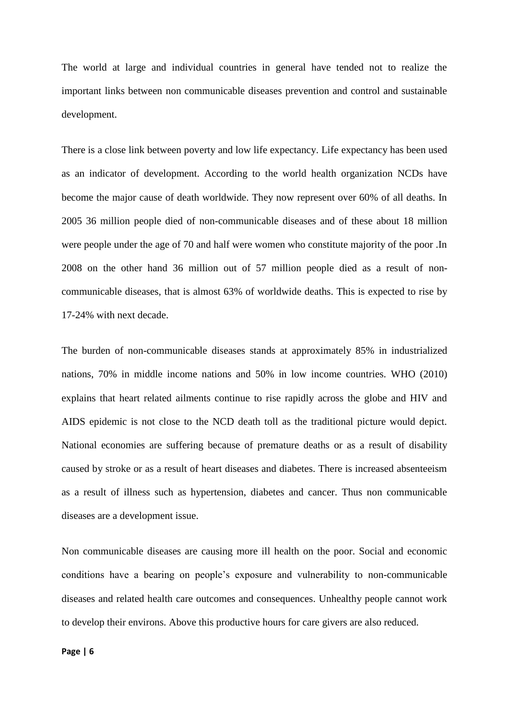The world at large and individual countries in general have tended not to realize the important links between non communicable diseases prevention and control and sustainable development.

There is a close link between poverty and low life expectancy. Life expectancy has been used as an indicator of development. According to the world health organization NCDs have become the major cause of death worldwide. They now represent over 60% of all deaths. In 2005 36 million people died of non-communicable diseases and of these about 18 million were people under the age of 70 and half were women who constitute majority of the poor .In 2008 on the other hand 36 million out of 57 million people died as a result of noncommunicable diseases, that is almost 63% of worldwide deaths. This is expected to rise by 17-24% with next decade.

The burden of non-communicable diseases stands at approximately 85% in industrialized nations, 70% in middle income nations and 50% in low income countries. WHO (2010) explains that heart related ailments continue to rise rapidly across the globe and HIV and AIDS epidemic is not close to the NCD death toll as the traditional picture would depict. National economies are suffering because of premature deaths or as a result of disability caused by stroke or as a result of heart diseases and diabetes. There is increased absenteeism as a result of illness such as hypertension, diabetes and cancer. Thus non communicable diseases are a development issue.

Non communicable diseases are causing more ill health on the poor. Social and economic conditions have a bearing on people's exposure and vulnerability to non-communicable diseases and related health care outcomes and consequences. Unhealthy people cannot work to develop their environs. Above this productive hours for care givers are also reduced.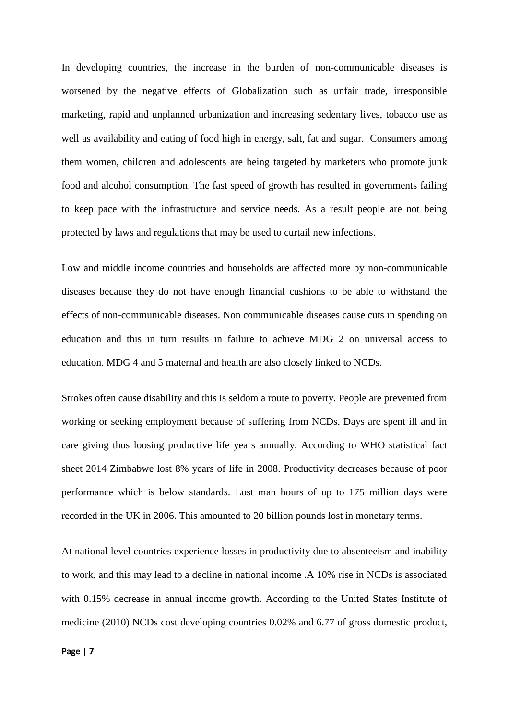In developing countries, the increase in the burden of non-communicable diseases is worsened by the negative effects of Globalization such as unfair trade, irresponsible marketing, rapid and unplanned urbanization and increasing sedentary lives, tobacco use as well as availability and eating of food high in energy, salt, fat and sugar. Consumers among them women, children and adolescents are being targeted by marketers who promote junk food and alcohol consumption. The fast speed of growth has resulted in governments failing to keep pace with the infrastructure and service needs. As a result people are not being protected by laws and regulations that may be used to curtail new infections.

Low and middle income countries and households are affected more by non-communicable diseases because they do not have enough financial cushions to be able to withstand the effects of non-communicable diseases. Non communicable diseases cause cuts in spending on education and this in turn results in failure to achieve MDG 2 on universal access to education. MDG 4 and 5 maternal and health are also closely linked to NCDs.

Strokes often cause disability and this is seldom a route to poverty. People are prevented from working or seeking employment because of suffering from NCDs. Days are spent ill and in care giving thus loosing productive life years annually. According to WHO statistical fact sheet 2014 Zimbabwe lost 8% years of life in 2008. Productivity decreases because of poor performance which is below standards. Lost man hours of up to 175 million days were recorded in the UK in 2006. This amounted to 20 billion pounds lost in monetary terms.

At national level countries experience losses in productivity due to absenteeism and inability to work, and this may lead to a decline in national income .A 10% rise in NCDs is associated with 0.15% decrease in annual income growth. According to the United States Institute of medicine (2010) NCDs cost developing countries 0.02% and 6.77 of gross domestic product,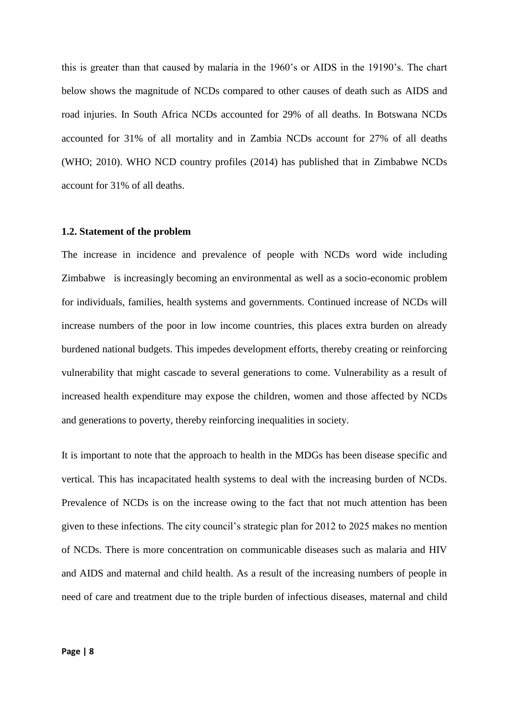this is greater than that caused by malaria in the 1960's or AIDS in the 19190's. The chart below shows the magnitude of NCDs compared to other causes of death such as AIDS and road injuries. In South Africa NCDs accounted for 29% of all deaths. In Botswana NCDs accounted for 31% of all mortality and in Zambia NCDs account for 27% of all deaths (WHO; 2010). WHO NCD country profiles (2014) has published that in Zimbabwe NCDs account for 31% of all deaths.

#### <span id="page-20-0"></span>**1.2. Statement of the problem**

The increase in incidence and prevalence of people with NCDs word wide including Zimbabwe is increasingly becoming an environmental as well as a socio-economic problem for individuals, families, health systems and governments. Continued increase of NCDs will increase numbers of the poor in low income countries, this places extra burden on already burdened national budgets. This impedes development efforts, thereby creating or reinforcing vulnerability that might cascade to several generations to come. Vulnerability as a result of increased health expenditure may expose the children, women and those affected by NCDs and generations to poverty, thereby reinforcing inequalities in society.

It is important to note that the approach to health in the MDGs has been disease specific and vertical. This has incapacitated health systems to deal with the increasing burden of NCDs. Prevalence of NCDs is on the increase owing to the fact that not much attention has been given to these infections. The city council's strategic plan for 2012 to 2025 makes no mention of NCDs. There is more concentration on communicable diseases such as malaria and HIV and AIDS and maternal and child health. As a result of the increasing numbers of people in need of care and treatment due to the triple burden of infectious diseases, maternal and child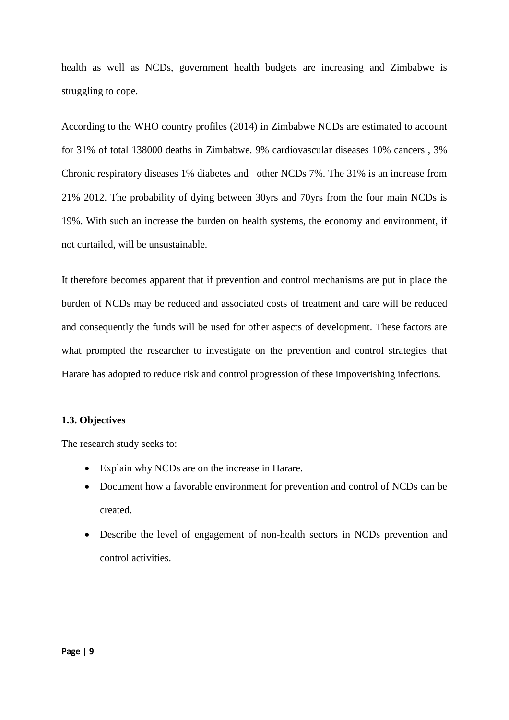health as well as NCDs, government health budgets are increasing and Zimbabwe is struggling to cope.

According to the WHO country profiles (2014) in Zimbabwe NCDs are estimated to account for 31% of total 138000 deaths in Zimbabwe. 9% cardiovascular diseases 10% cancers , 3% Chronic respiratory diseases 1% diabetes and other NCDs 7%. The 31% is an increase from 21% 2012. The probability of dying between 30yrs and 70yrs from the four main NCDs is 19%. With such an increase the burden on health systems, the economy and environment, if not curtailed, will be unsustainable.

It therefore becomes apparent that if prevention and control mechanisms are put in place the burden of NCDs may be reduced and associated costs of treatment and care will be reduced and consequently the funds will be used for other aspects of development. These factors are what prompted the researcher to investigate on the prevention and control strategies that Harare has adopted to reduce risk and control progression of these impoverishing infections.

#### <span id="page-21-0"></span>**1.3. Objectives**

The research study seeks to:

- Explain why NCDs are on the increase in Harare.
- Document how a favorable environment for prevention and control of NCDs can be created.
- Describe the level of engagement of non-health sectors in NCDs prevention and control activities.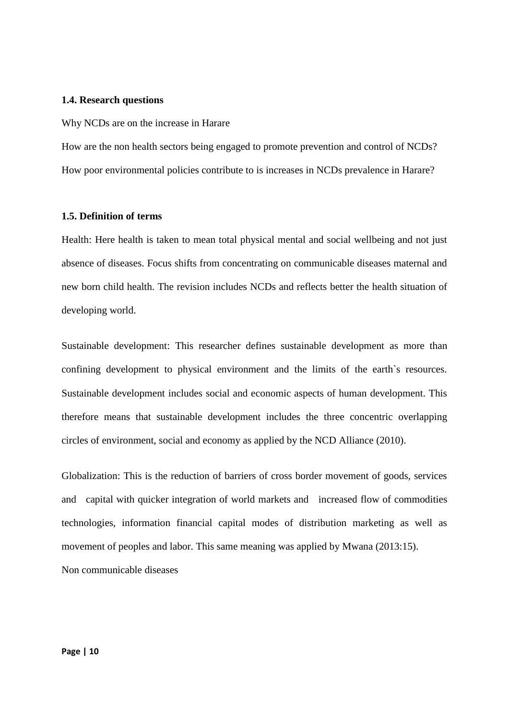#### <span id="page-22-0"></span>**1.4. Research questions**

Why NCDs are on the increase in Harare

How are the non health sectors being engaged to promote prevention and control of NCDs? How poor environmental policies contribute to is increases in NCDs prevalence in Harare?

#### <span id="page-22-1"></span>**1.5. Definition of terms**

Health: Here health is taken to mean total physical mental and social wellbeing and not just absence of diseases. Focus shifts from concentrating on communicable diseases maternal and new born child health. The revision includes NCDs and reflects better the health situation of developing world.

Sustainable development: This researcher defines sustainable development as more than confining development to physical environment and the limits of the earth`s resources. Sustainable development includes social and economic aspects of human development. This therefore means that sustainable development includes the three concentric overlapping circles of environment, social and economy as applied by the NCD Alliance (2010).

Globalization: This is the reduction of barriers of cross border movement of goods, services and capital with quicker integration of world markets and increased flow of commodities technologies, information financial capital modes of distribution marketing as well as movement of peoples and labor. This same meaning was applied by Mwana (2013:15).

Non communicable diseases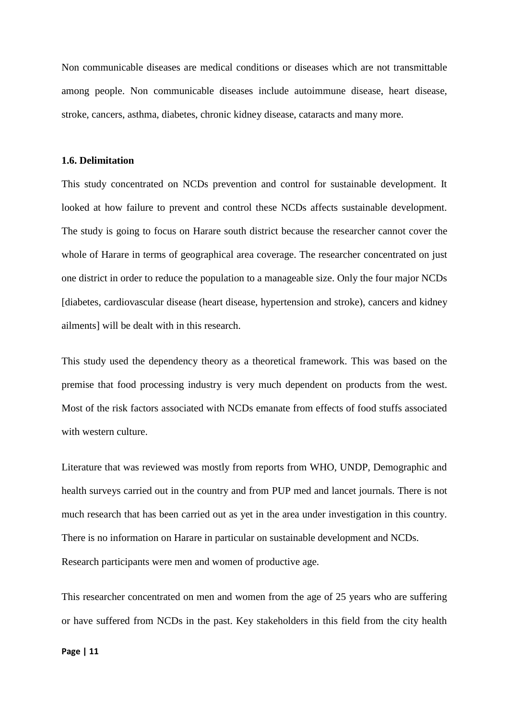Non communicable diseases are medical conditions or diseases which are not transmittable among people. Non communicable diseases include autoimmune disease, heart disease, stroke, cancers, asthma, diabetes, chronic kidney disease, cataracts and many more.

#### <span id="page-23-0"></span>**1.6. Delimitation**

This study concentrated on NCDs prevention and control for sustainable development. It looked at how failure to prevent and control these NCDs affects sustainable development. The study is going to focus on Harare south district because the researcher cannot cover the whole of Harare in terms of geographical area coverage. The researcher concentrated on just one district in order to reduce the population to a manageable size. Only the four major NCDs [diabetes, cardiovascular disease (heart disease, hypertension and stroke), cancers and kidney ailments] will be dealt with in this research.

This study used the dependency theory as a theoretical framework. This was based on the premise that food processing industry is very much dependent on products from the west. Most of the risk factors associated with NCDs emanate from effects of food stuffs associated with western culture.

Literature that was reviewed was mostly from reports from WHO, UNDP, Demographic and health surveys carried out in the country and from PUP med and lancet journals. There is not much research that has been carried out as yet in the area under investigation in this country. There is no information on Harare in particular on sustainable development and NCDs. Research participants were men and women of productive age.

This researcher concentrated on men and women from the age of 25 years who are suffering or have suffered from NCDs in the past. Key stakeholders in this field from the city health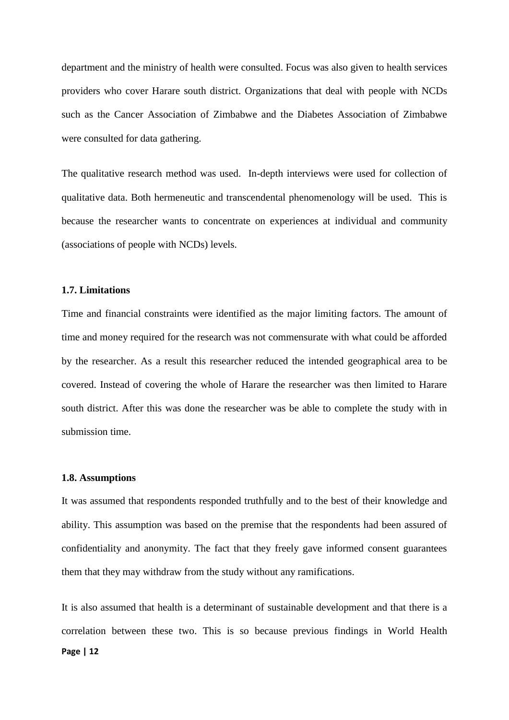department and the ministry of health were consulted. Focus was also given to health services providers who cover Harare south district. Organizations that deal with people with NCDs such as the Cancer Association of Zimbabwe and the Diabetes Association of Zimbabwe were consulted for data gathering.

The qualitative research method was used. In-depth interviews were used for collection of qualitative data. Both hermeneutic and transcendental phenomenology will be used. This is because the researcher wants to concentrate on experiences at individual and community (associations of people with NCDs) levels.

#### <span id="page-24-0"></span>**1.7. Limitations**

Time and financial constraints were identified as the major limiting factors. The amount of time and money required for the research was not commensurate with what could be afforded by the researcher. As a result this researcher reduced the intended geographical area to be covered. Instead of covering the whole of Harare the researcher was then limited to Harare south district. After this was done the researcher was be able to complete the study with in submission time.

#### <span id="page-24-1"></span>**1.8. Assumptions**

It was assumed that respondents responded truthfully and to the best of their knowledge and ability. This assumption was based on the premise that the respondents had been assured of confidentiality and anonymity. The fact that they freely gave informed consent guarantees them that they may withdraw from the study without any ramifications.

**Page | 12** It is also assumed that health is a determinant of sustainable development and that there is a correlation between these two. This is so because previous findings in World Health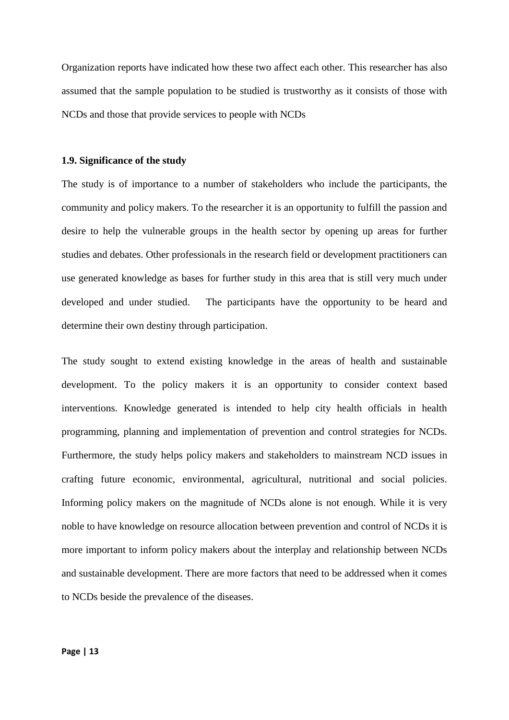Organization reports have indicated how these two affect each other. This researcher has also assumed that the sample population to be studied is trustworthy as it consists of those with NCDs and those that provide services to people with NCDs

#### <span id="page-25-0"></span>**1.9. Significance of the study**

The study is of importance to a number of stakeholders who include the participants, the community and policy makers. To the researcher it is an opportunity to fulfill the passion and desire to help the vulnerable groups in the health sector by opening up areas for further studies and debates. Other professionals in the research field or development practitioners can use generated knowledge as bases for further study in this area that is still very much under developed and under studied. The participants have the opportunity to be heard and determine their own destiny through participation.

The study sought to extend existing knowledge in the areas of health and sustainable development. To the policy makers it is an opportunity to consider context based interventions. Knowledge generated is intended to help city health officials in health programming, planning and implementation of prevention and control strategies for NCDs. Furthermore, the study helps policy makers and stakeholders to mainstream NCD issues in crafting future economic, environmental, agricultural, nutritional and social policies. Informing policy makers on the magnitude of NCDs alone is not enough. While it is very noble to have knowledge on resource allocation between prevention and control of NCDs it is more important to inform policy makers about the interplay and relationship between NCDs and sustainable development. There are more factors that need to be addressed when it comes to NCDs beside the prevalence of the diseases.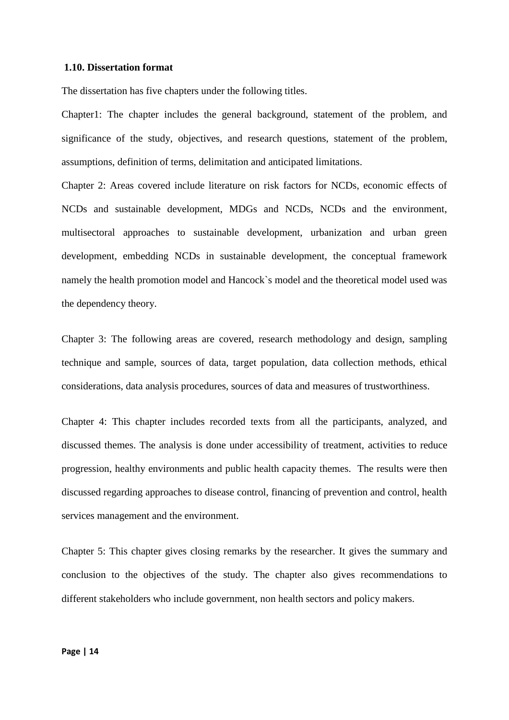#### <span id="page-26-0"></span>**1.10. Dissertation format**

The dissertation has five chapters under the following titles.

Chapter1: The chapter includes the general background, statement of the problem, and significance of the study, objectives, and research questions, statement of the problem, assumptions, definition of terms, delimitation and anticipated limitations.

Chapter 2: Areas covered include literature on risk factors for NCDs, economic effects of NCDs and sustainable development, MDGs and NCDs, NCDs and the environment, multisectoral approaches to sustainable development, urbanization and urban green development, embedding NCDs in sustainable development, the conceptual framework namely the health promotion model and Hancock`s model and the theoretical model used was the dependency theory.

Chapter 3: The following areas are covered, research methodology and design, sampling technique and sample, sources of data, target population, data collection methods, ethical considerations, data analysis procedures, sources of data and measures of trustworthiness.

Chapter 4: This chapter includes recorded texts from all the participants, analyzed, and discussed themes. The analysis is done under accessibility of treatment, activities to reduce progression, healthy environments and public health capacity themes. The results were then discussed regarding approaches to disease control, financing of prevention and control, health services management and the environment.

Chapter 5: This chapter gives closing remarks by the researcher. It gives the summary and conclusion to the objectives of the study. The chapter also gives recommendations to different stakeholders who include government, non health sectors and policy makers.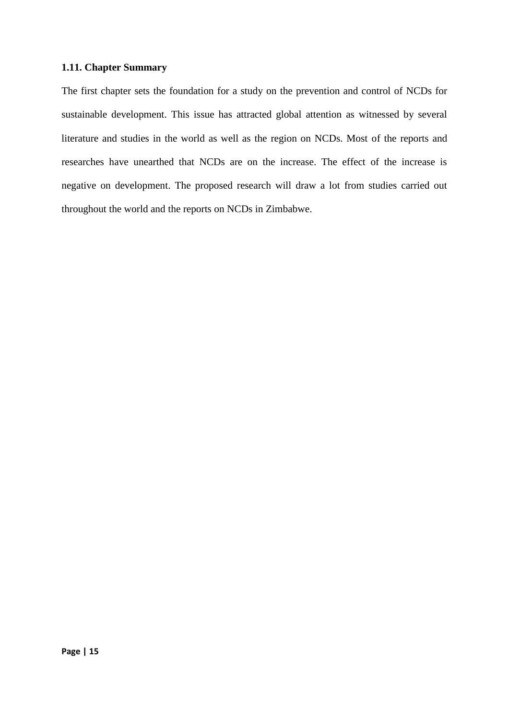## <span id="page-27-0"></span>**1.11. Chapter Summary**

The first chapter sets the foundation for a study on the prevention and control of NCDs for sustainable development. This issue has attracted global attention as witnessed by several literature and studies in the world as well as the region on NCDs. Most of the reports and researches have unearthed that NCDs are on the increase. The effect of the increase is negative on development. The proposed research will draw a lot from studies carried out throughout the world and the reports on NCDs in Zimbabwe.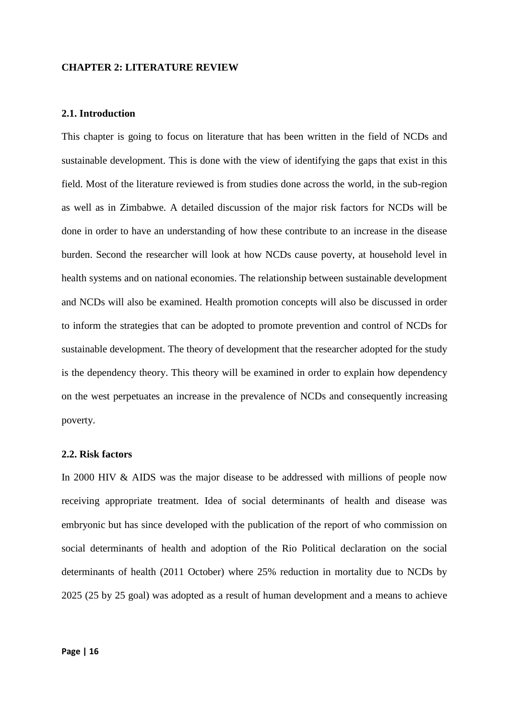#### <span id="page-28-0"></span>**CHAPTER 2: LITERATURE REVIEW**

#### <span id="page-28-1"></span>**2.1. Introduction**

This chapter is going to focus on literature that has been written in the field of NCDs and sustainable development. This is done with the view of identifying the gaps that exist in this field. Most of the literature reviewed is from studies done across the world, in the sub-region as well as in Zimbabwe. A detailed discussion of the major risk factors for NCDs will be done in order to have an understanding of how these contribute to an increase in the disease burden. Second the researcher will look at how NCDs cause poverty, at household level in health systems and on national economies. The relationship between sustainable development and NCDs will also be examined. Health promotion concepts will also be discussed in order to inform the strategies that can be adopted to promote prevention and control of NCDs for sustainable development. The theory of development that the researcher adopted for the study is the dependency theory. This theory will be examined in order to explain how dependency on the west perpetuates an increase in the prevalence of NCDs and consequently increasing poverty.

#### <span id="page-28-2"></span>**2.2. Risk factors**

In 2000 HIV & AIDS was the major disease to be addressed with millions of people now receiving appropriate treatment. Idea of social determinants of health and disease was embryonic but has since developed with the publication of the report of who commission on social determinants of health and adoption of the Rio Political declaration on the social determinants of health (2011 October) where 25% reduction in mortality due to NCDs by 2025 (25 by 25 goal) was adopted as a result of human development and a means to achieve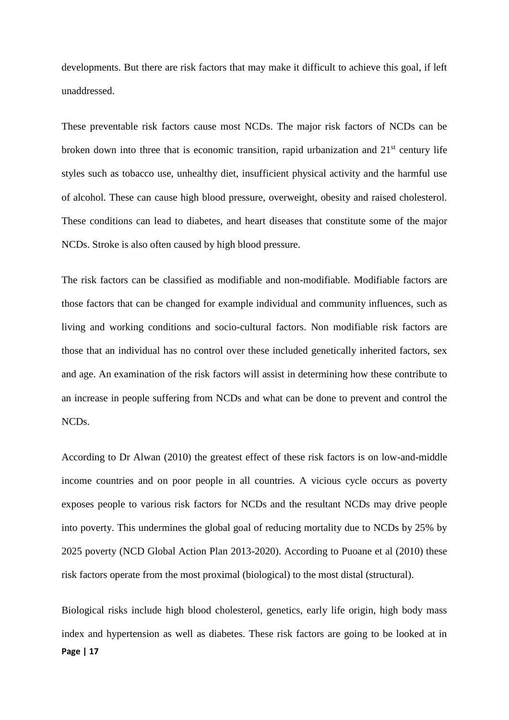developments. But there are risk factors that may make it difficult to achieve this goal, if left unaddressed.

These preventable risk factors cause most NCDs. The major risk factors of NCDs can be broken down into three that is economic transition, rapid urbanization and  $21<sup>st</sup>$  century life styles such as tobacco use, unhealthy diet, insufficient physical activity and the harmful use of alcohol. These can cause high blood pressure, overweight, obesity and raised cholesterol. These conditions can lead to diabetes, and heart diseases that constitute some of the major NCDs. Stroke is also often caused by high blood pressure.

The risk factors can be classified as modifiable and non-modifiable. Modifiable factors are those factors that can be changed for example individual and community influences, such as living and working conditions and socio-cultural factors. Non modifiable risk factors are those that an individual has no control over these included genetically inherited factors, sex and age. An examination of the risk factors will assist in determining how these contribute to an increase in people suffering from NCDs and what can be done to prevent and control the NCDs.

According to Dr Alwan (2010) the greatest effect of these risk factors is on low-and-middle income countries and on poor people in all countries. A vicious cycle occurs as poverty exposes people to various risk factors for NCDs and the resultant NCDs may drive people into poverty. This undermines the global goal of reducing mortality due to NCDs by 25% by 2025 poverty (NCD Global Action Plan 2013-2020). According to Puoane et al (2010) these risk factors operate from the most proximal (biological) to the most distal (structural).

**Page | 17** Biological risks include high blood cholesterol, genetics, early life origin, high body mass index and hypertension as well as diabetes. These risk factors are going to be looked at in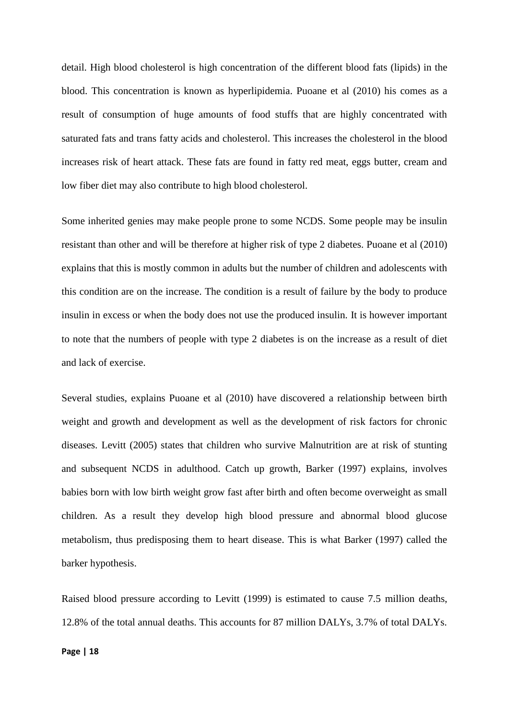detail. High blood cholesterol is high concentration of the different blood fats (lipids) in the blood. This concentration is known as hyperlipidemia. Puoane et al (2010) his comes as a result of consumption of huge amounts of food stuffs that are highly concentrated with saturated fats and trans fatty acids and cholesterol. This increases the cholesterol in the blood increases risk of heart attack. These fats are found in fatty red meat, eggs butter, cream and low fiber diet may also contribute to high blood cholesterol.

Some inherited genies may make people prone to some NCDS. Some people may be insulin resistant than other and will be therefore at higher risk of type 2 diabetes. Puoane et al (2010) explains that this is mostly common in adults but the number of children and adolescents with this condition are on the increase. The condition is a result of failure by the body to produce insulin in excess or when the body does not use the produced insulin. It is however important to note that the numbers of people with type 2 diabetes is on the increase as a result of diet and lack of exercise.

Several studies, explains Puoane et al (2010) have discovered a relationship between birth weight and growth and development as well as the development of risk factors for chronic diseases. Levitt (2005) states that children who survive Malnutrition are at risk of stunting and subsequent NCDS in adulthood. Catch up growth, Barker (1997) explains, involves babies born with low birth weight grow fast after birth and often become overweight as small children. As a result they develop high blood pressure and abnormal blood glucose metabolism, thus predisposing them to heart disease. This is what Barker (1997) called the barker hypothesis.

Raised blood pressure according to Levitt (1999) is estimated to cause 7.5 million deaths, 12.8% of the total annual deaths. This accounts for 87 million DALYs, 3.7% of total DALYs.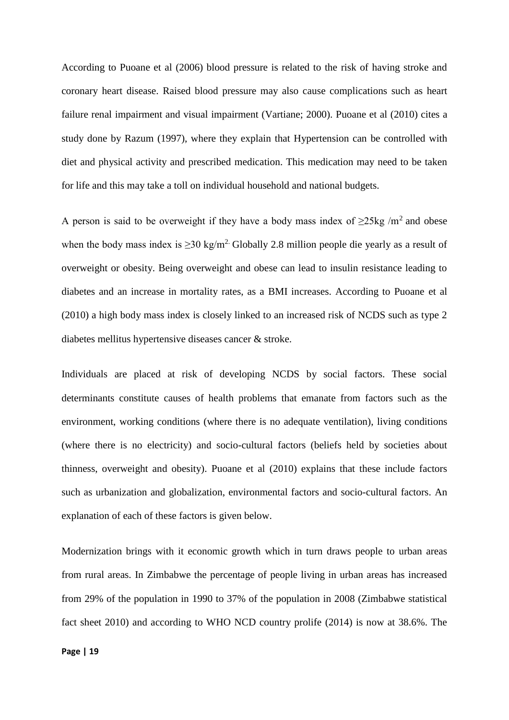According to Puoane et al (2006) blood pressure is related to the risk of having stroke and coronary heart disease. Raised blood pressure may also cause complications such as heart failure renal impairment and visual impairment (Vartiane; 2000). Puoane et al (2010) cites a study done by Razum (1997), where they explain that Hypertension can be controlled with diet and physical activity and prescribed medication. This medication may need to be taken for life and this may take a toll on individual household and national budgets.

A person is said to be overweight if they have a body mass index of  $>25$ kg /m<sup>2</sup> and obese when the body mass index is  $\geq$ 30 kg/m<sup>2.</sup> Globally 2.8 million people die yearly as a result of overweight or obesity. Being overweight and obese can lead to insulin resistance leading to diabetes and an increase in mortality rates, as a BMI increases. According to Puoane et al (2010) a high body mass index is closely linked to an increased risk of NCDS such as type 2 diabetes mellitus hypertensive diseases cancer & stroke.

Individuals are placed at risk of developing NCDS by social factors. These social determinants constitute causes of health problems that emanate from factors such as the environment, working conditions (where there is no adequate ventilation), living conditions (where there is no electricity) and socio-cultural factors (beliefs held by societies about thinness, overweight and obesity). Puoane et al (2010) explains that these include factors such as urbanization and globalization, environmental factors and socio-cultural factors. An explanation of each of these factors is given below.

Modernization brings with it economic growth which in turn draws people to urban areas from rural areas. In Zimbabwe the percentage of people living in urban areas has increased from 29% of the population in 1990 to 37% of the population in 2008 (Zimbabwe statistical fact sheet 2010) and according to WHO NCD country prolife (2014) is now at 38.6%. The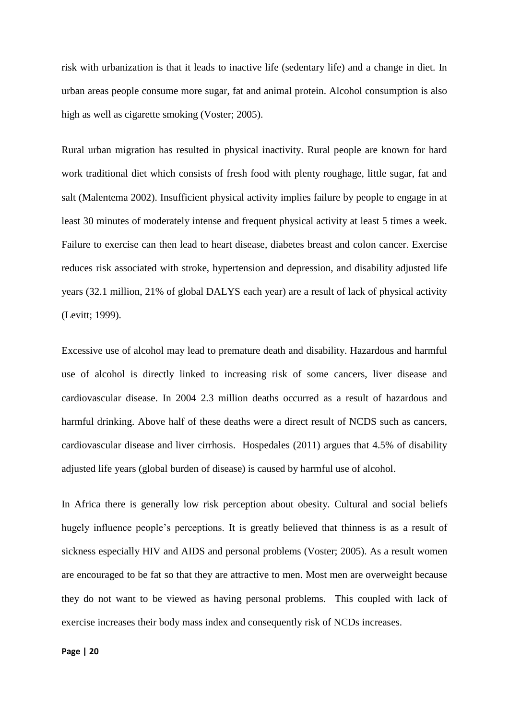risk with urbanization is that it leads to inactive life (sedentary life) and a change in diet. In urban areas people consume more sugar, fat and animal protein. Alcohol consumption is also high as well as cigarette smoking (Voster; 2005).

Rural urban migration has resulted in physical inactivity. Rural people are known for hard work traditional diet which consists of fresh food with plenty roughage, little sugar, fat and salt (Malentema 2002). Insufficient physical activity implies failure by people to engage in at least 30 minutes of moderately intense and frequent physical activity at least 5 times a week. Failure to exercise can then lead to heart disease, diabetes breast and colon cancer. Exercise reduces risk associated with stroke, hypertension and depression, and disability adjusted life years (32.1 million, 21% of global DALYS each year) are a result of lack of physical activity (Levitt; 1999).

Excessive use of alcohol may lead to premature death and disability. Hazardous and harmful use of alcohol is directly linked to increasing risk of some cancers, liver disease and cardiovascular disease. In 2004 2.3 million deaths occurred as a result of hazardous and harmful drinking. Above half of these deaths were a direct result of NCDS such as cancers, cardiovascular disease and liver cirrhosis. Hospedales (2011) argues that 4.5% of disability adjusted life years (global burden of disease) is caused by harmful use of alcohol.

In Africa there is generally low risk perception about obesity. Cultural and social beliefs hugely influence people's perceptions. It is greatly believed that thinness is as a result of sickness especially HIV and AIDS and personal problems (Voster; 2005). As a result women are encouraged to be fat so that they are attractive to men. Most men are overweight because they do not want to be viewed as having personal problems. This coupled with lack of exercise increases their body mass index and consequently risk of NCDs increases.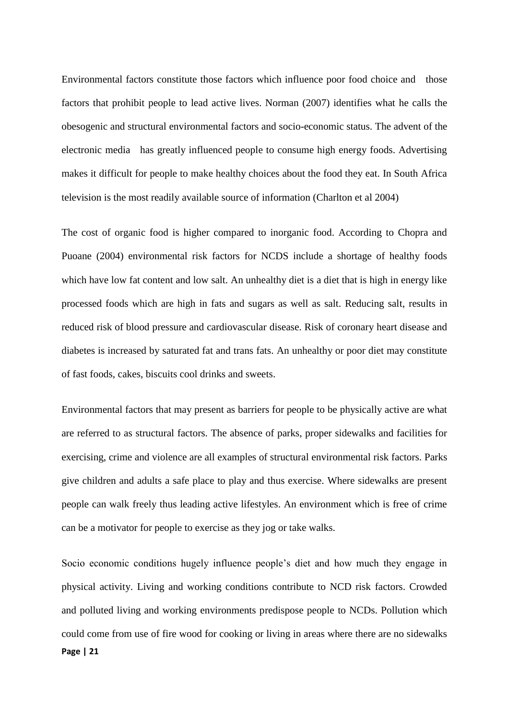Environmental factors constitute those factors which influence poor food choice and those factors that prohibit people to lead active lives. Norman (2007) identifies what he calls the obesogenic and structural environmental factors and socio-economic status. The advent of the electronic media has greatly influenced people to consume high energy foods. Advertising makes it difficult for people to make healthy choices about the food they eat. In South Africa television is the most readily available source of information (Charlton et al 2004)

The cost of organic food is higher compared to inorganic food. According to Chopra and Puoane (2004) environmental risk factors for NCDS include a shortage of healthy foods which have low fat content and low salt. An unhealthy diet is a diet that is high in energy like processed foods which are high in fats and sugars as well as salt. Reducing salt, results in reduced risk of blood pressure and cardiovascular disease. Risk of coronary heart disease and diabetes is increased by saturated fat and trans fats. An unhealthy or poor diet may constitute of fast foods, cakes, biscuits cool drinks and sweets.

Environmental factors that may present as barriers for people to be physically active are what are referred to as structural factors. The absence of parks, proper sidewalks and facilities for exercising, crime and violence are all examples of structural environmental risk factors. Parks give children and adults a safe place to play and thus exercise. Where sidewalks are present people can walk freely thus leading active lifestyles. An environment which is free of crime can be a motivator for people to exercise as they jog or take walks.

**Page | 21** Socio economic conditions hugely influence people's diet and how much they engage in physical activity. Living and working conditions contribute to NCD risk factors. Crowded and polluted living and working environments predispose people to NCDs. Pollution which could come from use of fire wood for cooking or living in areas where there are no sidewalks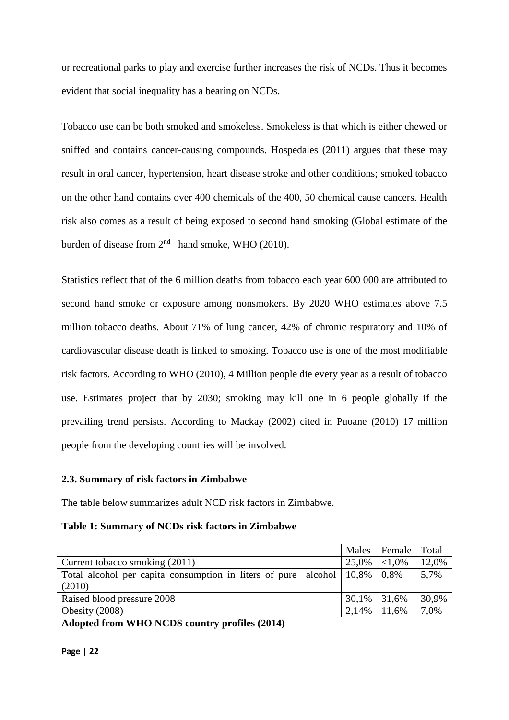or recreational parks to play and exercise further increases the risk of NCDs. Thus it becomes evident that social inequality has a bearing on NCDs.

Tobacco use can be both smoked and smokeless. Smokeless is that which is either chewed or sniffed and contains cancer-causing compounds. Hospedales (2011) argues that these may result in oral cancer, hypertension, heart disease stroke and other conditions; smoked tobacco on the other hand contains over 400 chemicals of the 400, 50 chemical cause cancers. Health risk also comes as a result of being exposed to second hand smoking (Global estimate of the burden of disease from  $2<sup>nd</sup>$  hand smoke, WHO (2010).

Statistics reflect that of the 6 million deaths from tobacco each year 600 000 are attributed to second hand smoke or exposure among nonsmokers. By 2020 WHO estimates above 7.5 million tobacco deaths. About 71% of lung cancer, 42% of chronic respiratory and 10% of cardiovascular disease death is linked to smoking. Tobacco use is one of the most modifiable risk factors. According to WHO (2010), 4 Million people die every year as a result of tobacco use. Estimates project that by 2030; smoking may kill one in 6 people globally if the prevailing trend persists. According to Mackay (2002) cited in Puoane (2010) 17 million people from the developing countries will be involved.

#### <span id="page-34-0"></span>**2.3. Summary of risk factors in Zimbabwe**

The table below summarizes adult NCD risk factors in Zimbabwe.

**Table 1: Summary of NCDs risk factors in Zimbabwe**

|                                                                                                                                                                                                                                                                                                               |                | Males   Female   Total |       |
|---------------------------------------------------------------------------------------------------------------------------------------------------------------------------------------------------------------------------------------------------------------------------------------------------------------|----------------|------------------------|-------|
| Current tobacco smoking (2011)                                                                                                                                                                                                                                                                                | 25,0%          | ${<}1.0\%$             | 12,0% |
| Total alcohol per capita consumption in liters of pure alcohol $\vert 10,8\% \vert 0,8\% \vert 0,8\% \vert 0,8\% \vert 0,8\% \vert 0,8\% \vert 0,8\% \vert 0,8\% \vert 0,8\% \vert 0,8\% \vert 0,8\% \vert 0,8\% \vert 0,8\% \vert 0,8\% \vert 0,8\% \vert 0,8\% \vert 0,8\% \vert 0,8\% \vert 0,8\% \vert 0$ |                |                        | 5,7%  |
| (2010)                                                                                                                                                                                                                                                                                                        |                |                        |       |
| Raised blood pressure 2008                                                                                                                                                                                                                                                                                    | $30,1\%$ 31,6% |                        | 30,9% |
| Obesity $(2008)$                                                                                                                                                                                                                                                                                              | 2,14%          | 11.6%                  | 7,0%  |

**Adopted from WHO NCDS country profiles (2014)**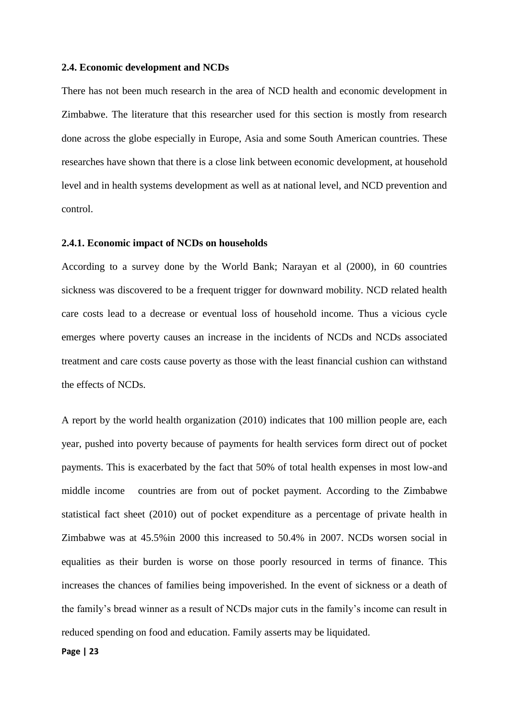#### <span id="page-35-0"></span>**2.4. Economic development and NCDs**

There has not been much research in the area of NCD health and economic development in Zimbabwe. The literature that this researcher used for this section is mostly from research done across the globe especially in Europe, Asia and some South American countries. These researches have shown that there is a close link between economic development, at household level and in health systems development as well as at national level, and NCD prevention and control.

#### <span id="page-35-1"></span>**2.4.1. Economic impact of NCDs on households**

According to a survey done by the World Bank; Narayan et al (2000), in 60 countries sickness was discovered to be a frequent trigger for downward mobility. NCD related health care costs lead to a decrease or eventual loss of household income. Thus a vicious cycle emerges where poverty causes an increase in the incidents of NCDs and NCDs associated treatment and care costs cause poverty as those with the least financial cushion can withstand the effects of NCDs.

A report by the world health organization (2010) indicates that 100 million people are, each year, pushed into poverty because of payments for health services form direct out of pocket payments. This is exacerbated by the fact that 50% of total health expenses in most low-and middle income countries are from out of pocket payment. According to the Zimbabwe statistical fact sheet (2010) out of pocket expenditure as a percentage of private health in Zimbabwe was at 45.5%in 2000 this increased to 50.4% in 2007. NCDs worsen social in equalities as their burden is worse on those poorly resourced in terms of finance. This increases the chances of families being impoverished. In the event of sickness or a death of the family's bread winner as a result of NCDs major cuts in the family's income can result in reduced spending on food and education. Family asserts may be liquidated.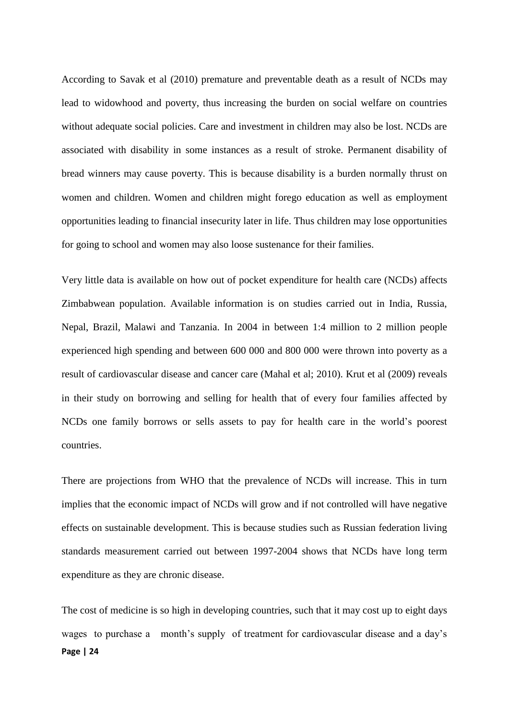According to Savak et al (2010) premature and preventable death as a result of NCDs may lead to widowhood and poverty, thus increasing the burden on social welfare on countries without adequate social policies. Care and investment in children may also be lost. NCDs are associated with disability in some instances as a result of stroke. Permanent disability of bread winners may cause poverty. This is because disability is a burden normally thrust on women and children. Women and children might forego education as well as employment opportunities leading to financial insecurity later in life. Thus children may lose opportunities for going to school and women may also loose sustenance for their families.

Very little data is available on how out of pocket expenditure for health care (NCDs) affects Zimbabwean population. Available information is on studies carried out in India, Russia, Nepal, Brazil, Malawi and Tanzania. In 2004 in between 1:4 million to 2 million people experienced high spending and between 600 000 and 800 000 were thrown into poverty as a result of cardiovascular disease and cancer care (Mahal et al; 2010). Krut et al (2009) reveals in their study on borrowing and selling for health that of every four families affected by NCDs one family borrows or sells assets to pay for health care in the world's poorest countries.

There are projections from WHO that the prevalence of NCDs will increase. This in turn implies that the economic impact of NCDs will grow and if not controlled will have negative effects on sustainable development. This is because studies such as Russian federation living standards measurement carried out between 1997-2004 shows that NCDs have long term expenditure as they are chronic disease.

**Page | 24** The cost of medicine is so high in developing countries, such that it may cost up to eight days wages to purchase a month's supply of treatment for cardiovascular disease and a day's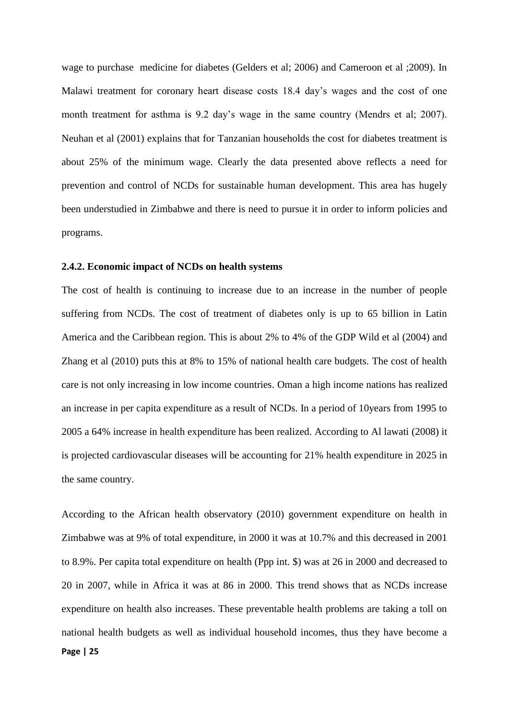wage to purchase medicine for diabetes (Gelders et al; 2006) and Cameroon et al ;2009). In Malawi treatment for coronary heart disease costs 18.4 day's wages and the cost of one month treatment for asthma is 9.2 day's wage in the same country (Mendrs et al; 2007). Neuhan et al (2001) explains that for Tanzanian households the cost for diabetes treatment is about 25% of the minimum wage. Clearly the data presented above reflects a need for prevention and control of NCDs for sustainable human development. This area has hugely been understudied in Zimbabwe and there is need to pursue it in order to inform policies and programs.

#### **2.4.2. Economic impact of NCDs on health systems**

The cost of health is continuing to increase due to an increase in the number of people suffering from NCDs. The cost of treatment of diabetes only is up to 65 billion in Latin America and the Caribbean region. This is about 2% to 4% of the GDP Wild et al (2004) and Zhang et al (2010) puts this at 8% to 15% of national health care budgets. The cost of health care is not only increasing in low income countries. Oman a high income nations has realized an increase in per capita expenditure as a result of NCDs. In a period of 10years from 1995 to 2005 a 64% increase in health expenditure has been realized. According to Al lawati (2008) it is projected cardiovascular diseases will be accounting for 21% health expenditure in 2025 in the same country.

**Page | 25** According to the African health observatory (2010) government expenditure on health in Zimbabwe was at 9% of total expenditure, in 2000 it was at 10.7% and this decreased in 2001 to 8.9%. Per capita total expenditure on health (Ppp int. \$) was at 26 in 2000 and decreased to 20 in 2007, while in Africa it was at 86 in 2000. This trend shows that as NCDs increase expenditure on health also increases. These preventable health problems are taking a toll on national health budgets as well as individual household incomes, thus they have become a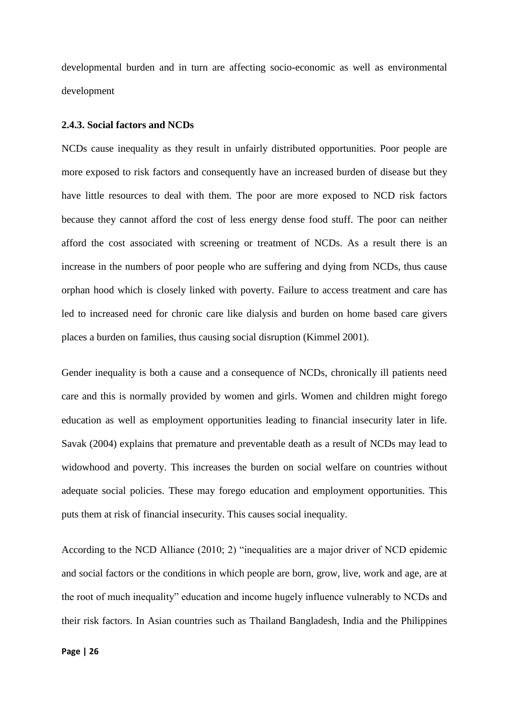developmental burden and in turn are affecting socio-economic as well as environmental development

#### **2.4.3. Social factors and NCDs**

NCDs cause inequality as they result in unfairly distributed opportunities. Poor people are more exposed to risk factors and consequently have an increased burden of disease but they have little resources to deal with them. The poor are more exposed to NCD risk factors because they cannot afford the cost of less energy dense food stuff. The poor can neither afford the cost associated with screening or treatment of NCDs. As a result there is an increase in the numbers of poor people who are suffering and dying from NCDs, thus cause orphan hood which is closely linked with poverty. Failure to access treatment and care has led to increased need for chronic care like dialysis and burden on home based care givers places a burden on families, thus causing social disruption (Kimmel 2001).

Gender inequality is both a cause and a consequence of NCDs, chronically ill patients need care and this is normally provided by women and girls. Women and children might forego education as well as employment opportunities leading to financial insecurity later in life. Savak (2004) explains that premature and preventable death as a result of NCDs may lead to widowhood and poverty. This increases the burden on social welfare on countries without adequate social policies. These may forego education and employment opportunities. This puts them at risk of financial insecurity. This causes social inequality.

According to the NCD Alliance (2010; 2) "inequalities are a major driver of NCD epidemic and social factors or the conditions in which people are born, grow, live, work and age, are at the root of much inequality" education and income hugely influence vulnerably to NCDs and their risk factors. In Asian countries such as Thailand Bangladesh, India and the Philippines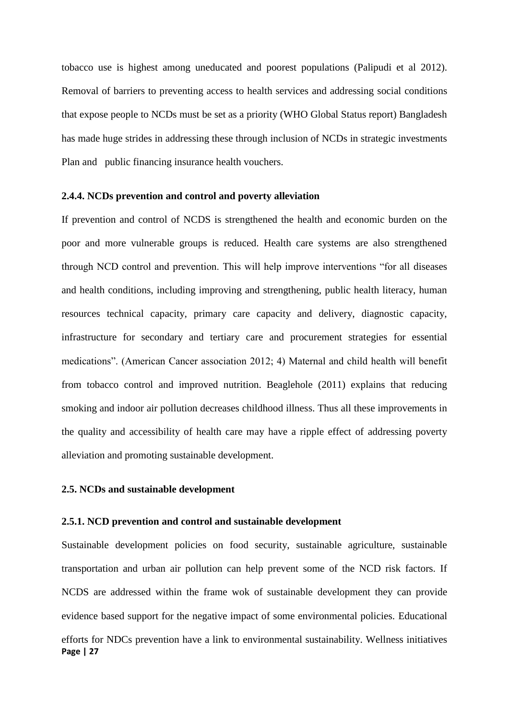tobacco use is highest among uneducated and poorest populations (Palipudi et al 2012). Removal of barriers to preventing access to health services and addressing social conditions that expose people to NCDs must be set as a priority (WHO Global Status report) Bangladesh has made huge strides in addressing these through inclusion of NCDs in strategic investments Plan and public financing insurance health vouchers.

## **2.4.4. NCDs prevention and control and poverty alleviation**

If prevention and control of NCDS is strengthened the health and economic burden on the poor and more vulnerable groups is reduced. Health care systems are also strengthened through NCD control and prevention. This will help improve interventions "for all diseases and health conditions, including improving and strengthening, public health literacy, human resources technical capacity, primary care capacity and delivery, diagnostic capacity, infrastructure for secondary and tertiary care and procurement strategies for essential medications". (American Cancer association 2012; 4) Maternal and child health will benefit from tobacco control and improved nutrition. Beaglehole (2011) explains that reducing smoking and indoor air pollution decreases childhood illness. Thus all these improvements in the quality and accessibility of health care may have a ripple effect of addressing poverty alleviation and promoting sustainable development.

#### **2.5. NCDs and sustainable development**

## **2.5.1. NCD prevention and control and sustainable development**

**Page | 27** Sustainable development policies on food security, sustainable agriculture, sustainable transportation and urban air pollution can help prevent some of the NCD risk factors. If NCDS are addressed within the frame wok of sustainable development they can provide evidence based support for the negative impact of some environmental policies. Educational efforts for NDCs prevention have a link to environmental sustainability. Wellness initiatives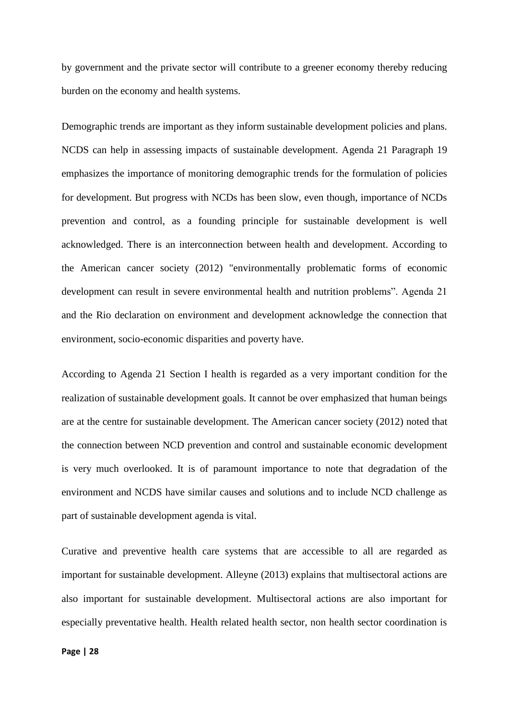by government and the private sector will contribute to a greener economy thereby reducing burden on the economy and health systems.

Demographic trends are important as they inform sustainable development policies and plans. NCDS can help in assessing impacts of sustainable development. Agenda 21 Paragraph 19 emphasizes the importance of monitoring demographic trends for the formulation of policies for development. But progress with NCDs has been slow, even though, importance of NCDs prevention and control, as a founding principle for sustainable development is well acknowledged. There is an interconnection between health and development. According to the American cancer society (2012) "environmentally problematic forms of economic development can result in severe environmental health and nutrition problems". Agenda 21 and the Rio declaration on environment and development acknowledge the connection that environment, socio-economic disparities and poverty have.

According to Agenda 21 Section I health is regarded as a very important condition for the realization of sustainable development goals. It cannot be over emphasized that human beings are at the centre for sustainable development. The American cancer society (2012) noted that the connection between NCD prevention and control and sustainable economic development is very much overlooked. It is of paramount importance to note that degradation of the environment and NCDS have similar causes and solutions and to include NCD challenge as part of sustainable development agenda is vital.

Curative and preventive health care systems that are accessible to all are regarded as important for sustainable development. Alleyne (2013) explains that multisectoral actions are also important for sustainable development. Multisectoral actions are also important for especially preventative health. Health related health sector, non health sector coordination is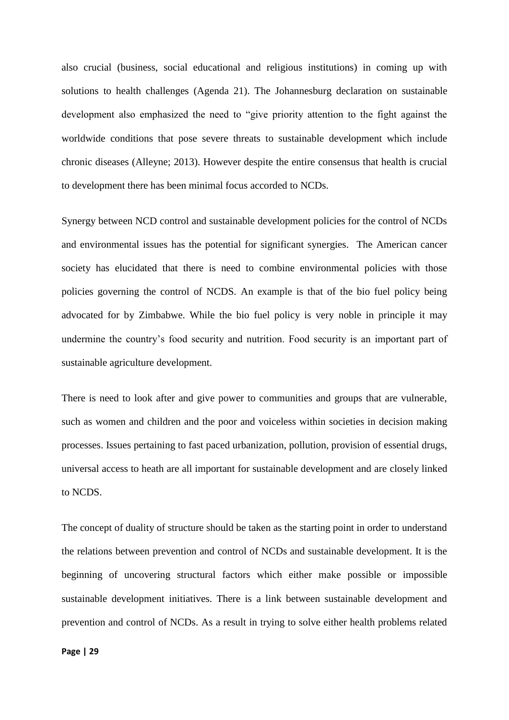also crucial (business, social educational and religious institutions) in coming up with solutions to health challenges (Agenda 21). The Johannesburg declaration on sustainable development also emphasized the need to "give priority attention to the fight against the worldwide conditions that pose severe threats to sustainable development which include chronic diseases (Alleyne; 2013). However despite the entire consensus that health is crucial to development there has been minimal focus accorded to NCDs.

Synergy between NCD control and sustainable development policies for the control of NCDs and environmental issues has the potential for significant synergies. The American cancer society has elucidated that there is need to combine environmental policies with those policies governing the control of NCDS. An example is that of the bio fuel policy being advocated for by Zimbabwe. While the bio fuel policy is very noble in principle it may undermine the country's food security and nutrition. Food security is an important part of sustainable agriculture development.

There is need to look after and give power to communities and groups that are vulnerable, such as women and children and the poor and voiceless within societies in decision making processes. Issues pertaining to fast paced urbanization, pollution, provision of essential drugs, universal access to heath are all important for sustainable development and are closely linked to NCDS.

The concept of duality of structure should be taken as the starting point in order to understand the relations between prevention and control of NCDs and sustainable development. It is the beginning of uncovering structural factors which either make possible or impossible sustainable development initiatives. There is a link between sustainable development and prevention and control of NCDs. As a result in trying to solve either health problems related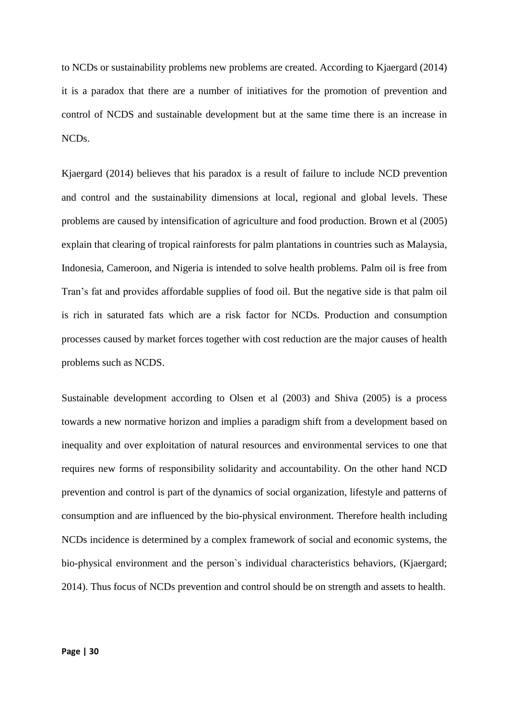to NCDs or sustainability problems new problems are created. According to Kjaergard (2014) it is a paradox that there are a number of initiatives for the promotion of prevention and control of NCDS and sustainable development but at the same time there is an increase in NCDs.

Kjaergard (2014) believes that his paradox is a result of failure to include NCD prevention and control and the sustainability dimensions at local, regional and global levels. These problems are caused by intensification of agriculture and food production. Brown et al (2005) explain that clearing of tropical rainforests for palm plantations in countries such as Malaysia, Indonesia, Cameroon, and Nigeria is intended to solve health problems. Palm oil is free from Tran's fat and provides affordable supplies of food oil. But the negative side is that palm oil is rich in saturated fats which are a risk factor for NCDs. Production and consumption processes caused by market forces together with cost reduction are the major causes of health problems such as NCDS.

Sustainable development according to Olsen et al (2003) and Shiva (2005) is a process towards a new normative horizon and implies a paradigm shift from a development based on inequality and over exploitation of natural resources and environmental services to one that requires new forms of responsibility solidarity and accountability. On the other hand NCD prevention and control is part of the dynamics of social organization, lifestyle and patterns of consumption and are influenced by the bio-physical environment. Therefore health including NCDs incidence is determined by a complex framework of social and economic systems, the bio-physical environment and the person`s individual characteristics behaviors, (Kjaergard; 2014). Thus focus of NCDs prevention and control should be on strength and assets to health.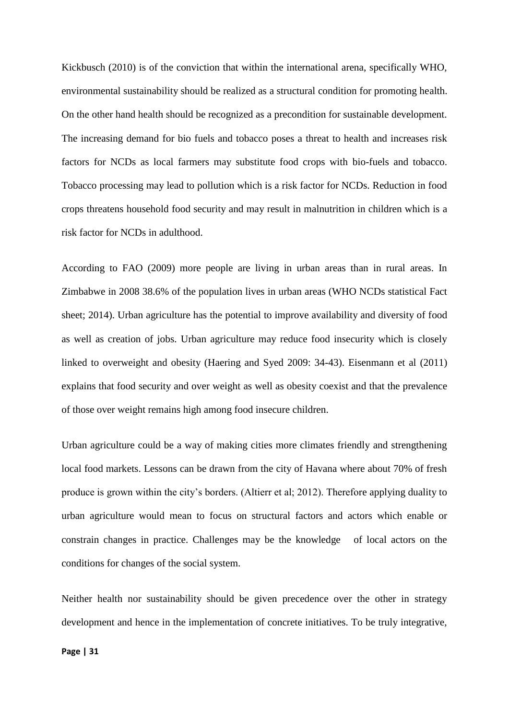Kickbusch (2010) is of the conviction that within the international arena, specifically WHO, environmental sustainability should be realized as a structural condition for promoting health. On the other hand health should be recognized as a precondition for sustainable development. The increasing demand for bio fuels and tobacco poses a threat to health and increases risk factors for NCDs as local farmers may substitute food crops with bio-fuels and tobacco. Tobacco processing may lead to pollution which is a risk factor for NCDs. Reduction in food crops threatens household food security and may result in malnutrition in children which is a risk factor for NCDs in adulthood.

According to FAO (2009) more people are living in urban areas than in rural areas. In Zimbabwe in 2008 38.6% of the population lives in urban areas (WHO NCDs statistical Fact sheet; 2014). Urban agriculture has the potential to improve availability and diversity of food as well as creation of jobs. Urban agriculture may reduce food insecurity which is closely linked to overweight and obesity (Haering and Syed 2009: 34-43). Eisenmann et al (2011) explains that food security and over weight as well as obesity coexist and that the prevalence of those over weight remains high among food insecure children.

Urban agriculture could be a way of making cities more climates friendly and strengthening local food markets. Lessons can be drawn from the city of Havana where about 70% of fresh produce is grown within the city's borders. (Altierr et al; 2012). Therefore applying duality to urban agriculture would mean to focus on structural factors and actors which enable or constrain changes in practice. Challenges may be the knowledge of local actors on the conditions for changes of the social system.

Neither health nor sustainability should be given precedence over the other in strategy development and hence in the implementation of concrete initiatives. To be truly integrative,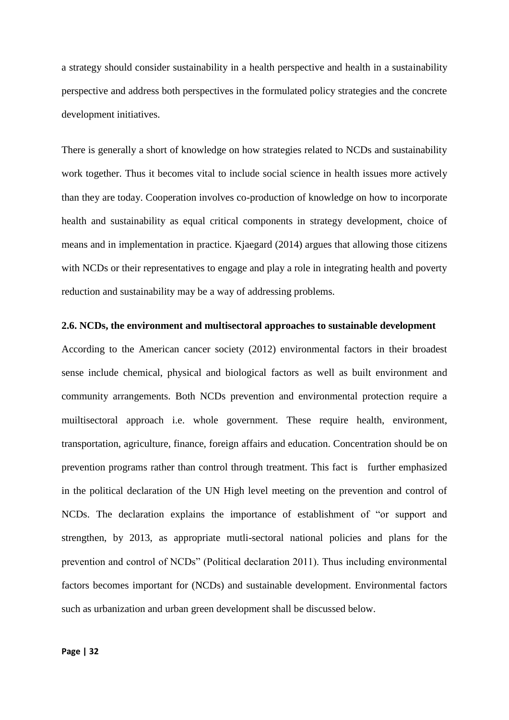a strategy should consider sustainability in a health perspective and health in a sustainability perspective and address both perspectives in the formulated policy strategies and the concrete development initiatives.

There is generally a short of knowledge on how strategies related to NCDs and sustainability work together. Thus it becomes vital to include social science in health issues more actively than they are today. Cooperation involves co-production of knowledge on how to incorporate health and sustainability as equal critical components in strategy development, choice of means and in implementation in practice. Kjaegard (2014) argues that allowing those citizens with NCDs or their representatives to engage and play a role in integrating health and poverty reduction and sustainability may be a way of addressing problems.

## **2.6. NCDs, the environment and multisectoral approaches to sustainable development**

According to the American cancer society (2012) environmental factors in their broadest sense include chemical, physical and biological factors as well as built environment and community arrangements. Both NCDs prevention and environmental protection require a muiltisectoral approach i.e. whole government. These require health, environment, transportation, agriculture, finance, foreign affairs and education. Concentration should be on prevention programs rather than control through treatment. This fact is further emphasized in the political declaration of the UN High level meeting on the prevention and control of NCDs. The declaration explains the importance of establishment of "or support and strengthen, by 2013, as appropriate mutli-sectoral national policies and plans for the prevention and control of NCDs" (Political declaration 2011). Thus including environmental factors becomes important for (NCDs) and sustainable development. Environmental factors such as urbanization and urban green development shall be discussed below.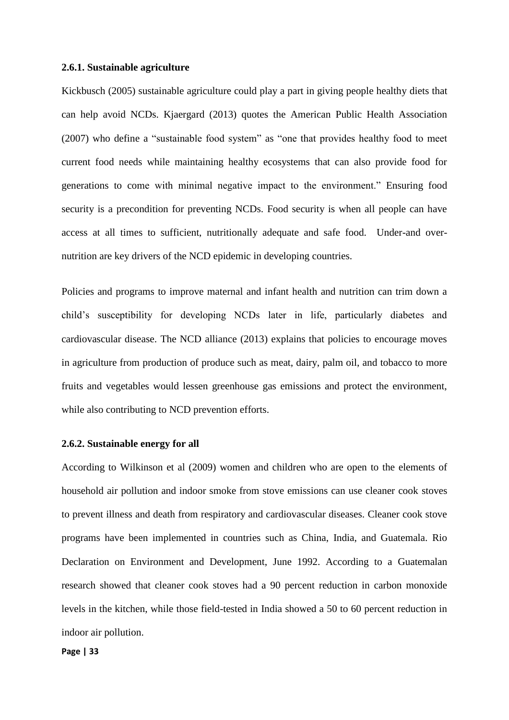#### **2.6.1. Sustainable agriculture**

Kickbusch (2005) sustainable agriculture could play a part in giving people healthy diets that can help avoid NCDs. Kjaergard (2013) quotes the American Public Health Association (2007) who define a "sustainable food system" as "one that provides healthy food to meet current food needs while maintaining healthy ecosystems that can also provide food for generations to come with minimal negative impact to the environment." Ensuring food security is a precondition for preventing NCDs. Food security is when all people can have access at all times to sufficient, nutritionally adequate and safe food. Under-and overnutrition are key drivers of the NCD epidemic in developing countries.

Policies and programs to improve maternal and infant health and nutrition can trim down a child's susceptibility for developing NCDs later in life, particularly diabetes and cardiovascular disease. The NCD alliance (2013) explains that policies to encourage moves in agriculture from production of produce such as meat, dairy, palm oil, and tobacco to more fruits and vegetables would lessen greenhouse gas emissions and protect the environment, while also contributing to NCD prevention efforts.

## **2.6.2. Sustainable energy for all**

According to Wilkinson et al (2009) women and children who are open to the elements of household air pollution and indoor smoke from stove emissions can use cleaner cook stoves to prevent illness and death from respiratory and cardiovascular diseases. Cleaner cook stove programs have been implemented in countries such as China, India, and Guatemala. Rio Declaration on Environment and Development, June 1992. According to a Guatemalan research showed that cleaner cook stoves had a 90 percent reduction in carbon monoxide levels in the kitchen, while those field-tested in India showed a 50 to 60 percent reduction in indoor air pollution.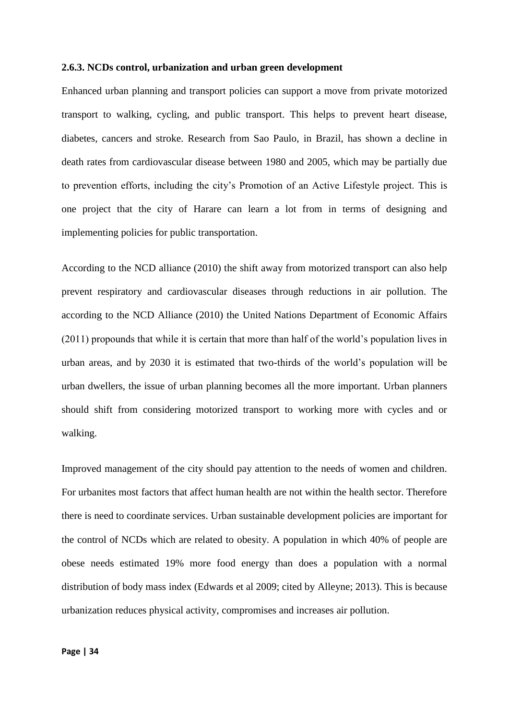#### **2.6.3. NCDs control, urbanization and urban green development**

Enhanced urban planning and transport policies can support a move from private motorized transport to walking, cycling, and public transport. This helps to prevent heart disease, diabetes, cancers and stroke. Research from Sao Paulo, in Brazil, has shown a decline in death rates from cardiovascular disease between 1980 and 2005, which may be partially due to prevention efforts, including the city's Promotion of an Active Lifestyle project. This is one project that the city of Harare can learn a lot from in terms of designing and implementing policies for public transportation.

According to the NCD alliance (2010) the shift away from motorized transport can also help prevent respiratory and cardiovascular diseases through reductions in air pollution. The according to the NCD Alliance (2010) the United Nations Department of Economic Affairs (2011) propounds that while it is certain that more than half of the world's population lives in urban areas, and by 2030 it is estimated that two-thirds of the world's population will be urban dwellers, the issue of urban planning becomes all the more important. Urban planners should shift from considering motorized transport to working more with cycles and or walking.

Improved management of the city should pay attention to the needs of women and children. For urbanites most factors that affect human health are not within the health sector. Therefore there is need to coordinate services. Urban sustainable development policies are important for the control of NCDs which are related to obesity. A population in which 40% of people are obese needs estimated 19% more food energy than does a population with a normal distribution of body mass index (Edwards et al 2009; cited by Alleyne; 2013). This is because urbanization reduces physical activity, compromises and increases air pollution.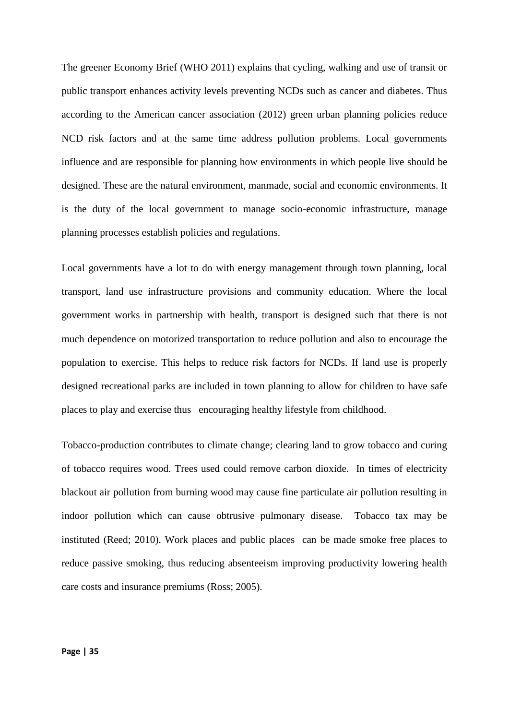The greener Economy Brief (WHO 2011) explains that cycling, walking and use of transit or public transport enhances activity levels preventing NCDs such as cancer and diabetes. Thus according to the American cancer association (2012) green urban planning policies reduce NCD risk factors and at the same time address pollution problems. Local governments influence and are responsible for planning how environments in which people live should be designed. These are the natural environment, manmade, social and economic environments. It is the duty of the local government to manage socio-economic infrastructure, manage planning processes establish policies and regulations.

Local governments have a lot to do with energy management through town planning, local transport, land use infrastructure provisions and community education. Where the local government works in partnership with health, transport is designed such that there is not much dependence on motorized transportation to reduce pollution and also to encourage the population to exercise. This helps to reduce risk factors for NCDs. If land use is properly designed recreational parks are included in town planning to allow for children to have safe places to play and exercise thus encouraging healthy lifestyle from childhood.

Tobacco-production contributes to climate change; clearing land to grow tobacco and curing of tobacco requires wood. Trees used could remove carbon dioxide. In times of electricity blackout air pollution from burning wood may cause fine particulate air pollution resulting in indoor pollution which can cause obtrusive pulmonary disease. Tobacco tax may be instituted (Reed; 2010). Work places and public places can be made smoke free places to reduce passive smoking, thus reducing absenteeism improving productivity lowering health care costs and insurance premiums (Ross; 2005).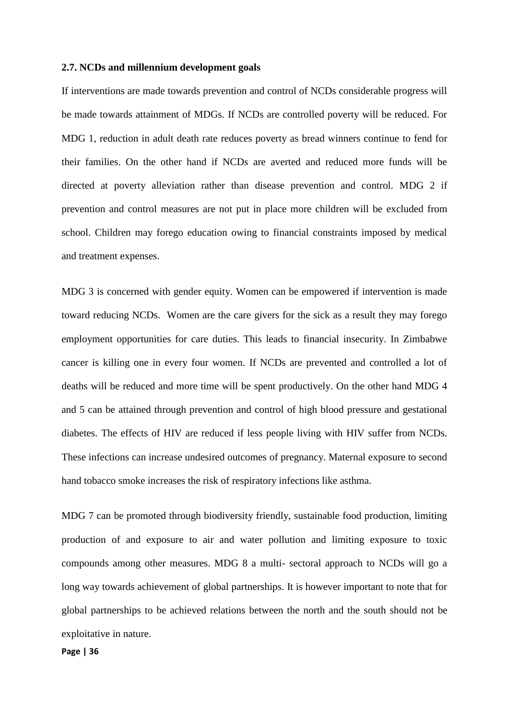## **2.7. NCDs and millennium development goals**

If interventions are made towards prevention and control of NCDs considerable progress will be made towards attainment of MDGs. If NCDs are controlled poverty will be reduced. For MDG 1, reduction in adult death rate reduces poverty as bread winners continue to fend for their families. On the other hand if NCDs are averted and reduced more funds will be directed at poverty alleviation rather than disease prevention and control. MDG 2 if prevention and control measures are not put in place more children will be excluded from school. Children may forego education owing to financial constraints imposed by medical and treatment expenses.

MDG 3 is concerned with gender equity. Women can be empowered if intervention is made toward reducing NCDs. Women are the care givers for the sick as a result they may forego employment opportunities for care duties. This leads to financial insecurity. In Zimbabwe cancer is killing one in every four women. If NCDs are prevented and controlled a lot of deaths will be reduced and more time will be spent productively. On the other hand MDG 4 and 5 can be attained through prevention and control of high blood pressure and gestational diabetes. The effects of HIV are reduced if less people living with HIV suffer from NCDs. These infections can increase undesired outcomes of pregnancy. Maternal exposure to second hand tobacco smoke increases the risk of respiratory infections like asthma.

MDG 7 can be promoted through biodiversity friendly, sustainable food production, limiting production of and exposure to air and water pollution and limiting exposure to toxic compounds among other measures. MDG 8 a multi- sectoral approach to NCDs will go a long way towards achievement of global partnerships. It is however important to note that for global partnerships to be achieved relations between the north and the south should not be exploitative in nature.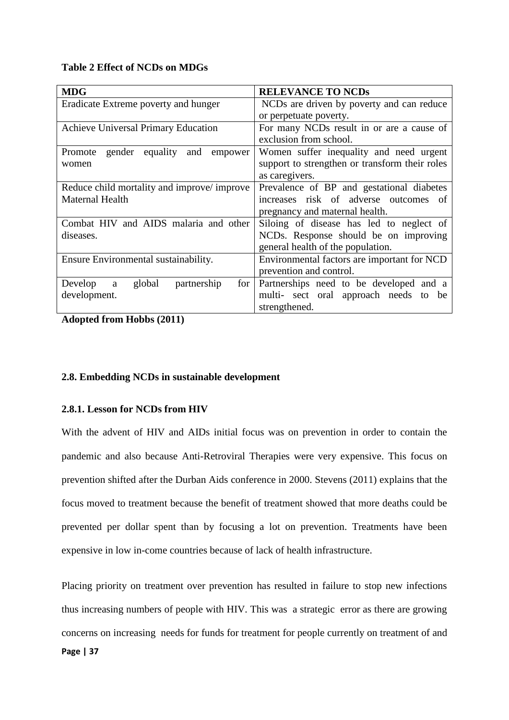# **Table 2 Effect of NCDs on MDGs**

| <b>MDG</b>                                      | <b>RELEVANCE TO NCDs</b>                           |
|-------------------------------------------------|----------------------------------------------------|
| Eradicate Extreme poverty and hunger            | NCDs are driven by poverty and can reduce          |
|                                                 | or perpetuate poverty.                             |
| <b>Achieve Universal Primary Education</b>      | For many NCDs result in or are a cause of          |
|                                                 | exclusion from school.                             |
| gender<br>equality<br>Promote<br>and<br>empower | Women suffer inequality and need urgent            |
| women                                           | support to strengthen or transform their roles     |
|                                                 | as caregivers.                                     |
| Reduce child mortality and improve/improve      | Prevalence of BP and gestational diabetes          |
| <b>Maternal Health</b>                          | increases risk of adverse outcomes of              |
|                                                 | pregnancy and maternal health.                     |
| Combat HIV and AIDS malaria and other           | Siloing of disease has led to neglect of           |
| diseases.                                       | NCD <sub>s</sub> . Response should be on improving |
|                                                 | general health of the population.                  |
| Ensure Environmental sustainability.            | Environmental factors are important for NCD        |
|                                                 | prevention and control.                            |
| global<br>partnership<br>Develop<br>for  <br>a  | Partnerships need to be developed and a            |
| development.                                    | multi- sect oral approach needs to be              |
|                                                 | strengthened.                                      |

**Adopted from Hobbs (2011)**

# **2.8. Embedding NCDs in sustainable development**

# **2.8.1. Lesson for NCDs from HIV**

With the advent of HIV and AIDs initial focus was on prevention in order to contain the pandemic and also because Anti-Retroviral Therapies were very expensive. This focus on prevention shifted after the Durban Aids conference in 2000. Stevens (2011) explains that the focus moved to treatment because the benefit of treatment showed that more deaths could be prevented per dollar spent than by focusing a lot on prevention. Treatments have been expensive in low in-come countries because of lack of health infrastructure.

**Page | 37** Placing priority on treatment over prevention has resulted in failure to stop new infections thus increasing numbers of people with HIV. This was a strategic error as there are growing concerns on increasing needs for funds for treatment for people currently on treatment of and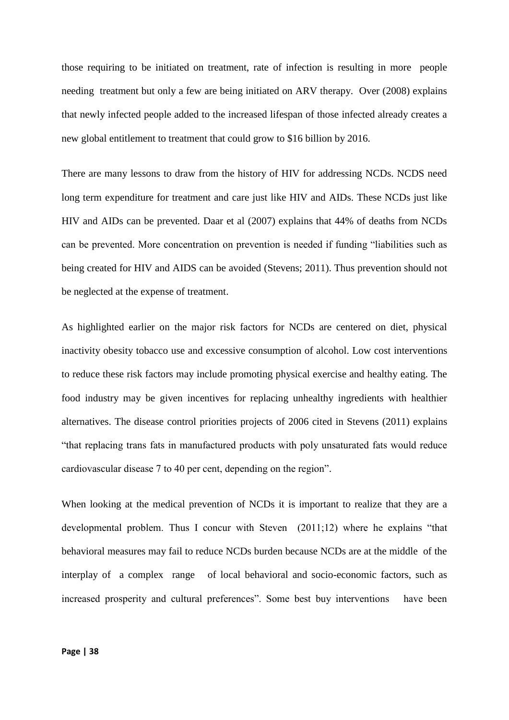those requiring to be initiated on treatment, rate of infection is resulting in more people needing treatment but only a few are being initiated on ARV therapy. Over (2008) explains that newly infected people added to the increased lifespan of those infected already creates a new global entitlement to treatment that could grow to \$16 billion by 2016.

There are many lessons to draw from the history of HIV for addressing NCDs. NCDS need long term expenditure for treatment and care just like HIV and AIDs. These NCDs just like HIV and AIDs can be prevented. Daar et al (2007) explains that 44% of deaths from NCDs can be prevented. More concentration on prevention is needed if funding "liabilities such as being created for HIV and AIDS can be avoided (Stevens; 2011). Thus prevention should not be neglected at the expense of treatment.

As highlighted earlier on the major risk factors for NCDs are centered on diet, physical inactivity obesity tobacco use and excessive consumption of alcohol. Low cost interventions to reduce these risk factors may include promoting physical exercise and healthy eating. The food industry may be given incentives for replacing unhealthy ingredients with healthier alternatives. The disease control priorities projects of 2006 cited in Stevens (2011) explains "that replacing trans fats in manufactured products with poly unsaturated fats would reduce cardiovascular disease 7 to 40 per cent, depending on the region".

When looking at the medical prevention of NCDs it is important to realize that they are a developmental problem. Thus I concur with Steven (2011;12) where he explains "that behavioral measures may fail to reduce NCDs burden because NCDs are at the middle of the interplay of a complex range of local behavioral and socio-economic factors, such as increased prosperity and cultural preferences". Some best buy interventions have been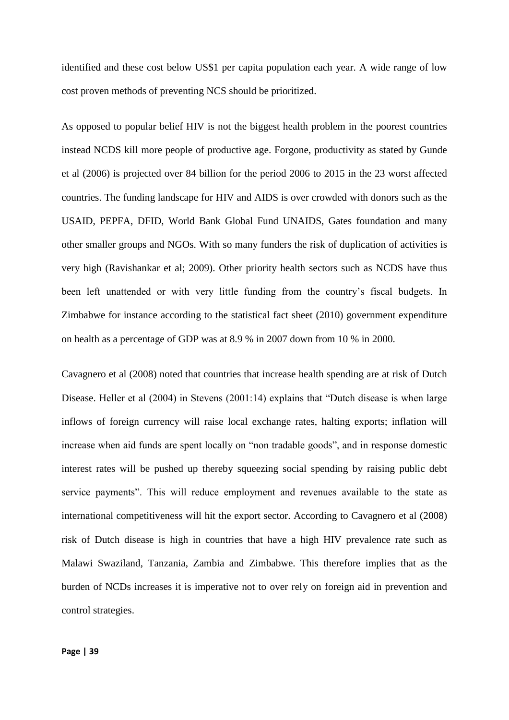identified and these cost below US\$1 per capita population each year. A wide range of low cost proven methods of preventing NCS should be prioritized.

As opposed to popular belief HIV is not the biggest health problem in the poorest countries instead NCDS kill more people of productive age. Forgone, productivity as stated by Gunde et al (2006) is projected over 84 billion for the period 2006 to 2015 in the 23 worst affected countries. The funding landscape for HIV and AIDS is over crowded with donors such as the USAID, PEPFA, DFID, World Bank Global Fund UNAIDS, Gates foundation and many other smaller groups and NGOs. With so many funders the risk of duplication of activities is very high (Ravishankar et al; 2009). Other priority health sectors such as NCDS have thus been left unattended or with very little funding from the country's fiscal budgets. In Zimbabwe for instance according to the statistical fact sheet (2010) government expenditure on health as a percentage of GDP was at 8.9 % in 2007 down from 10 % in 2000.

Cavagnero et al (2008) noted that countries that increase health spending are at risk of Dutch Disease. Heller et al (2004) in Stevens (2001:14) explains that "Dutch disease is when large inflows of foreign currency will raise local exchange rates, halting exports; inflation will increase when aid funds are spent locally on "non tradable goods", and in response domestic interest rates will be pushed up thereby squeezing social spending by raising public debt service payments". This will reduce employment and revenues available to the state as international competitiveness will hit the export sector. According to Cavagnero et al (2008) risk of Dutch disease is high in countries that have a high HIV prevalence rate such as Malawi Swaziland, Tanzania, Zambia and Zimbabwe. This therefore implies that as the burden of NCDs increases it is imperative not to over rely on foreign aid in prevention and control strategies.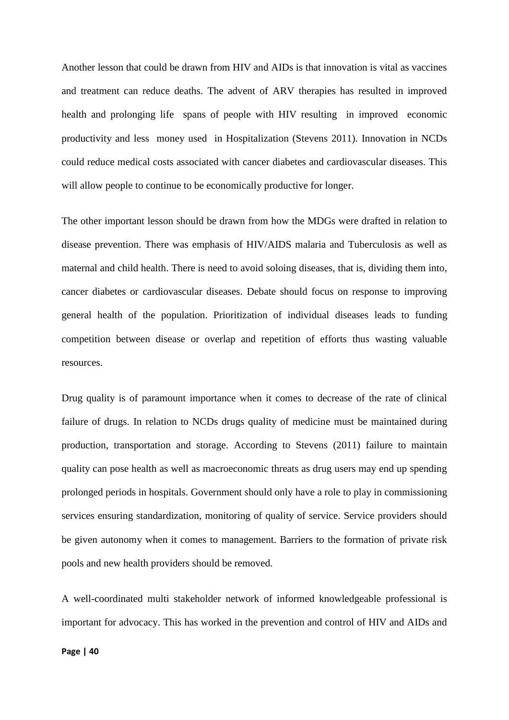Another lesson that could be drawn from HIV and AIDs is that innovation is vital as vaccines and treatment can reduce deaths. The advent of ARV therapies has resulted in improved health and prolonging life spans of people with HIV resulting in improved economic productivity and less money used in Hospitalization (Stevens 2011). Innovation in NCDs could reduce medical costs associated with cancer diabetes and cardiovascular diseases. This will allow people to continue to be economically productive for longer.

The other important lesson should be drawn from how the MDGs were drafted in relation to disease prevention. There was emphasis of HIV/AIDS malaria and Tuberculosis as well as maternal and child health. There is need to avoid soloing diseases, that is, dividing them into, cancer diabetes or cardiovascular diseases. Debate should focus on response to improving general health of the population. Prioritization of individual diseases leads to funding competition between disease or overlap and repetition of efforts thus wasting valuable resources.

Drug quality is of paramount importance when it comes to decrease of the rate of clinical failure of drugs. In relation to NCDs drugs quality of medicine must be maintained during production, transportation and storage. According to Stevens (2011) failure to maintain quality can pose health as well as macroeconomic threats as drug users may end up spending prolonged periods in hospitals. Government should only have a role to play in commissioning services ensuring standardization, monitoring of quality of service. Service providers should be given autonomy when it comes to management. Barriers to the formation of private risk pools and new health providers should be removed.

A well-coordinated multi stakeholder network of informed knowledgeable professional is important for advocacy. This has worked in the prevention and control of HIV and AIDs and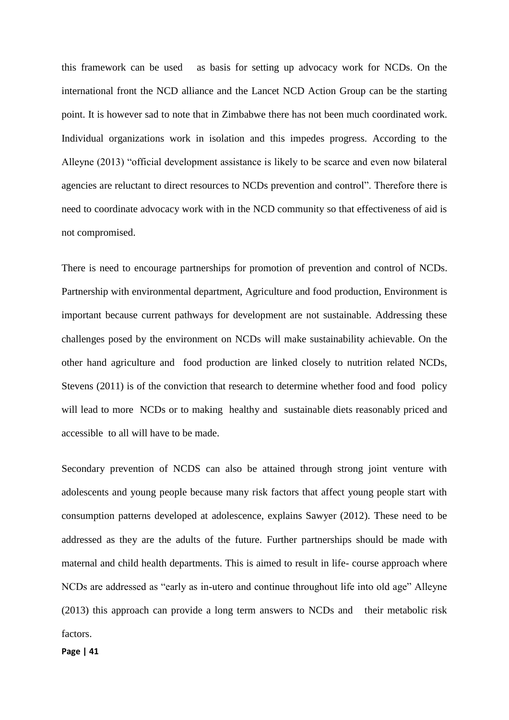this framework can be used as basis for setting up advocacy work for NCDs. On the international front the NCD alliance and the Lancet NCD Action Group can be the starting point. It is however sad to note that in Zimbabwe there has not been much coordinated work. Individual organizations work in isolation and this impedes progress. According to the Alleyne (2013) "official development assistance is likely to be scarce and even now bilateral agencies are reluctant to direct resources to NCDs prevention and control". Therefore there is need to coordinate advocacy work with in the NCD community so that effectiveness of aid is not compromised.

There is need to encourage partnerships for promotion of prevention and control of NCDs. Partnership with environmental department, Agriculture and food production, Environment is important because current pathways for development are not sustainable. Addressing these challenges posed by the environment on NCDs will make sustainability achievable. On the other hand agriculture and food production are linked closely to nutrition related NCDs, Stevens (2011) is of the conviction that research to determine whether food and food policy will lead to more NCDs or to making healthy and sustainable diets reasonably priced and accessible to all will have to be made.

Secondary prevention of NCDS can also be attained through strong joint venture with adolescents and young people because many risk factors that affect young people start with consumption patterns developed at adolescence, explains Sawyer (2012). These need to be addressed as they are the adults of the future. Further partnerships should be made with maternal and child health departments. This is aimed to result in life- course approach where NCDs are addressed as "early as in-utero and continue throughout life into old age" Alleyne (2013) this approach can provide a long term answers to NCDs and their metabolic risk factors.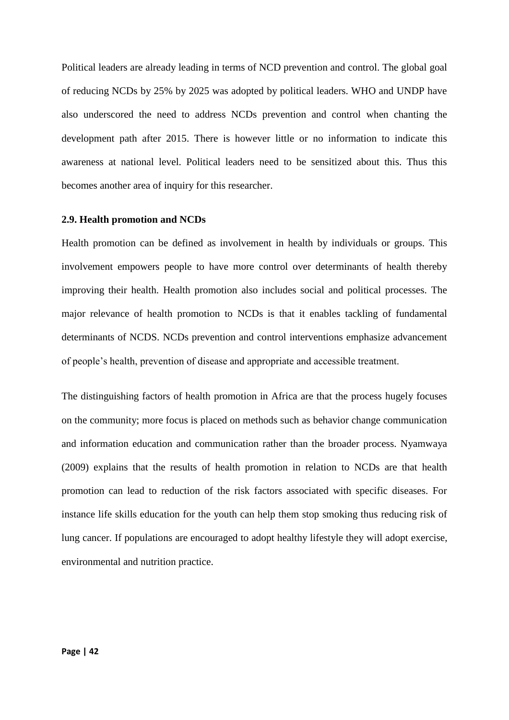Political leaders are already leading in terms of NCD prevention and control. The global goal of reducing NCDs by 25% by 2025 was adopted by political leaders. WHO and UNDP have also underscored the need to address NCDs prevention and control when chanting the development path after 2015. There is however little or no information to indicate this awareness at national level. Political leaders need to be sensitized about this. Thus this becomes another area of inquiry for this researcher.

## **2.9. Health promotion and NCDs**

Health promotion can be defined as involvement in health by individuals or groups. This involvement empowers people to have more control over determinants of health thereby improving their health. Health promotion also includes social and political processes. The major relevance of health promotion to NCDs is that it enables tackling of fundamental determinants of NCDS. NCDs prevention and control interventions emphasize advancement of people's health, prevention of disease and appropriate and accessible treatment.

The distinguishing factors of health promotion in Africa are that the process hugely focuses on the community; more focus is placed on methods such as behavior change communication and information education and communication rather than the broader process. Nyamwaya (2009) explains that the results of health promotion in relation to NCDs are that health promotion can lead to reduction of the risk factors associated with specific diseases. For instance life skills education for the youth can help them stop smoking thus reducing risk of lung cancer. If populations are encouraged to adopt healthy lifestyle they will adopt exercise, environmental and nutrition practice.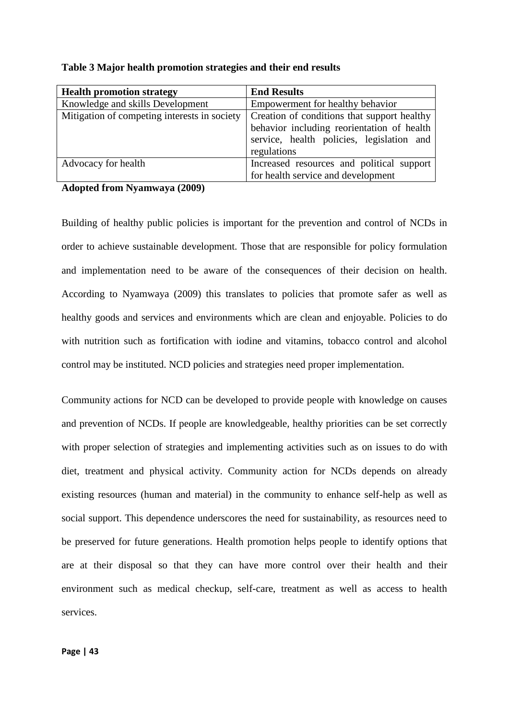| <b>Health promotion strategy</b>             | <b>End Results</b>                          |
|----------------------------------------------|---------------------------------------------|
| Knowledge and skills Development             | Empowerment for healthy behavior            |
| Mitigation of competing interests in society | Creation of conditions that support healthy |
|                                              | behavior including reorientation of health  |
|                                              | service, health policies, legislation and   |
|                                              | regulations                                 |
| Advocacy for health                          | Increased resources and political support   |
|                                              | for health service and development          |

**Table 3 Major health promotion strategies and their end results** 

**Adopted from Nyamwaya (2009)**

Building of healthy public policies is important for the prevention and control of NCDs in order to achieve sustainable development. Those that are responsible for policy formulation and implementation need to be aware of the consequences of their decision on health. According to Nyamwaya (2009) this translates to policies that promote safer as well as healthy goods and services and environments which are clean and enjoyable. Policies to do with nutrition such as fortification with iodine and vitamins, tobacco control and alcohol control may be instituted. NCD policies and strategies need proper implementation.

Community actions for NCD can be developed to provide people with knowledge on causes and prevention of NCDs. If people are knowledgeable, healthy priorities can be set correctly with proper selection of strategies and implementing activities such as on issues to do with diet, treatment and physical activity. Community action for NCDs depends on already existing resources (human and material) in the community to enhance self-help as well as social support. This dependence underscores the need for sustainability, as resources need to be preserved for future generations. Health promotion helps people to identify options that are at their disposal so that they can have more control over their health and their environment such as medical checkup, self-care, treatment as well as access to health services.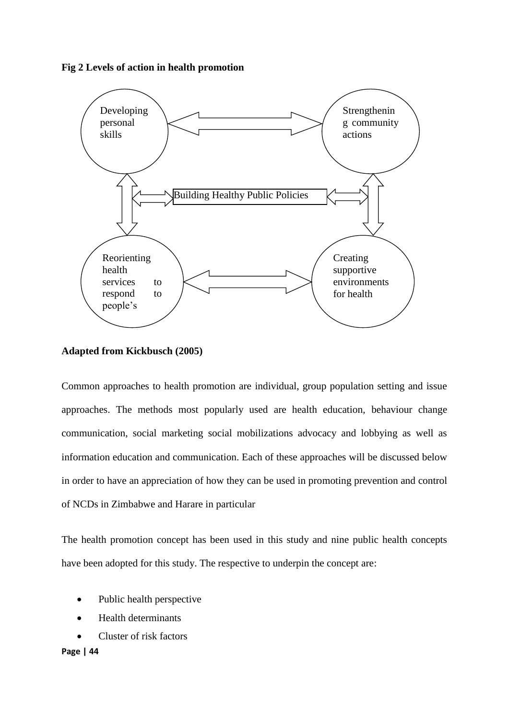## **Fig 2 Levels of action in health promotion**



## **Adapted from Kickbusch (2005)**

Common approaches to health promotion are individual, group population setting and issue approaches. The methods most popularly used are health education, behaviour change communication, social marketing social mobilizations advocacy and lobbying as well as information education and communication. Each of these approaches will be discussed below in order to have an appreciation of how they can be used in promoting prevention and control of NCDs in Zimbabwe and Harare in particular

The health promotion concept has been used in this study and nine public health concepts have been adopted for this study. The respective to underpin the concept are:

- Public health perspective
- Health determinants
- Cluster of risk factors

**Page | 44**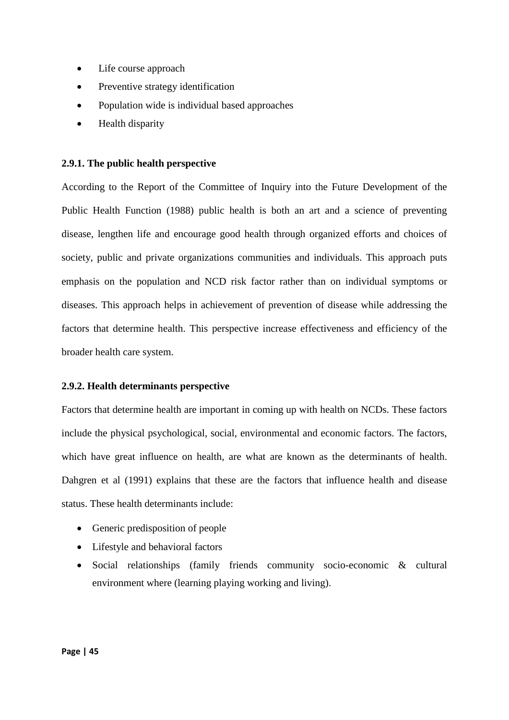- Life course approach
- Preventive strategy identification
- Population wide is individual based approaches
- Health disparity

## **2.9.1. The public health perspective**

According to the Report of the Committee of Inquiry into the Future Development of the Public Health Function (1988) public health is both an art and a science of preventing disease, lengthen life and encourage good health through organized efforts and choices of society, public and private organizations communities and individuals. This approach puts emphasis on the population and NCD risk factor rather than on individual symptoms or diseases. This approach helps in achievement of prevention of disease while addressing the factors that determine health. This perspective increase effectiveness and efficiency of the broader health care system.

## **2.9.2. Health determinants perspective**

Factors that determine health are important in coming up with health on NCDs. These factors include the physical psychological, social, environmental and economic factors. The factors, which have great influence on health, are what are known as the determinants of health. Dahgren et al (1991) explains that these are the factors that influence health and disease status. These health determinants include:

- Generic predisposition of people
- Lifestyle and behavioral factors
- Social relationships (family friends community socio-economic & cultural environment where (learning playing working and living).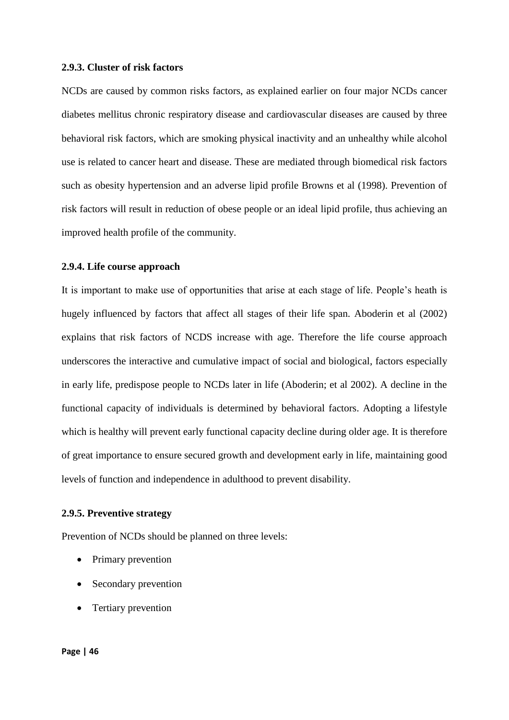#### **2.9.3. Cluster of risk factors**

NCDs are caused by common risks factors, as explained earlier on four major NCDs cancer diabetes mellitus chronic respiratory disease and cardiovascular diseases are caused by three behavioral risk factors, which are smoking physical inactivity and an unhealthy while alcohol use is related to cancer heart and disease. These are mediated through biomedical risk factors such as obesity hypertension and an adverse lipid profile Browns et al (1998). Prevention of risk factors will result in reduction of obese people or an ideal lipid profile, thus achieving an improved health profile of the community.

#### **2.9.4. Life course approach**

It is important to make use of opportunities that arise at each stage of life. People's heath is hugely influenced by factors that affect all stages of their life span. Aboderin et al (2002) explains that risk factors of NCDS increase with age. Therefore the life course approach underscores the interactive and cumulative impact of social and biological, factors especially in early life, predispose people to NCDs later in life (Aboderin; et al 2002). A decline in the functional capacity of individuals is determined by behavioral factors. Adopting a lifestyle which is healthy will prevent early functional capacity decline during older age. It is therefore of great importance to ensure secured growth and development early in life, maintaining good levels of function and independence in adulthood to prevent disability.

## **2.9.5. Preventive strategy**

Prevention of NCDs should be planned on three levels:

- Primary prevention
- Secondary prevention
- Tertiary prevention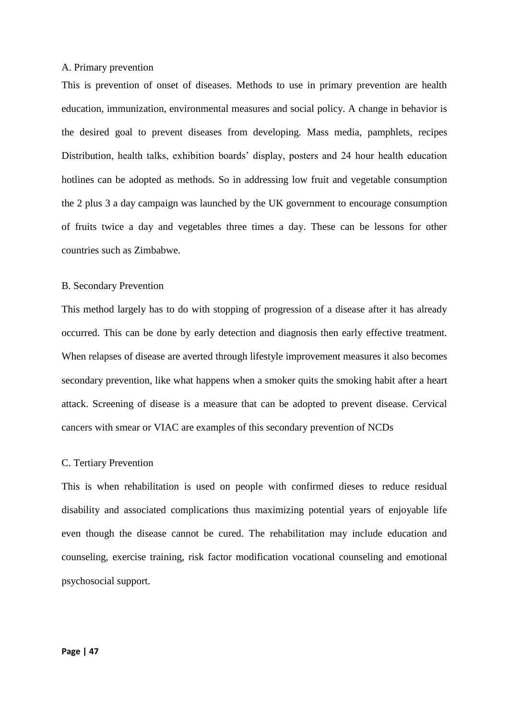## A. Primary prevention

This is prevention of onset of diseases. Methods to use in primary prevention are health education, immunization, environmental measures and social policy. A change in behavior is the desired goal to prevent diseases from developing. Mass media, pamphlets, recipes Distribution, health talks, exhibition boards' display, posters and 24 hour health education hotlines can be adopted as methods. So in addressing low fruit and vegetable consumption the 2 plus 3 a day campaign was launched by the UK government to encourage consumption of fruits twice a day and vegetables three times a day. These can be lessons for other countries such as Zimbabwe.

## B. Secondary Prevention

This method largely has to do with stopping of progression of a disease after it has already occurred. This can be done by early detection and diagnosis then early effective treatment. When relapses of disease are averted through lifestyle improvement measures it also becomes secondary prevention, like what happens when a smoker quits the smoking habit after a heart attack. Screening of disease is a measure that can be adopted to prevent disease. Cervical cancers with smear or VIAC are examples of this secondary prevention of NCDs

#### C. Tertiary Prevention

This is when rehabilitation is used on people with confirmed dieses to reduce residual disability and associated complications thus maximizing potential years of enjoyable life even though the disease cannot be cured. The rehabilitation may include education and counseling, exercise training, risk factor modification vocational counseling and emotional psychosocial support.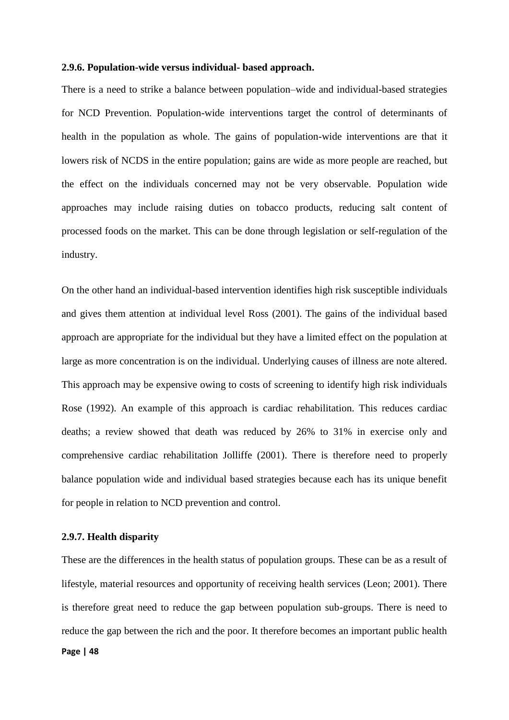#### **2.9.6. Population-wide versus individual- based approach.**

There is a need to strike a balance between population–wide and individual-based strategies for NCD Prevention. Population-wide interventions target the control of determinants of health in the population as whole. The gains of population-wide interventions are that it lowers risk of NCDS in the entire population; gains are wide as more people are reached, but the effect on the individuals concerned may not be very observable. Population wide approaches may include raising duties on tobacco products, reducing salt content of processed foods on the market. This can be done through legislation or self-regulation of the industry.

On the other hand an individual-based intervention identifies high risk susceptible individuals and gives them attention at individual level Ross (2001). The gains of the individual based approach are appropriate for the individual but they have a limited effect on the population at large as more concentration is on the individual. Underlying causes of illness are note altered. This approach may be expensive owing to costs of screening to identify high risk individuals Rose (1992). An example of this approach is cardiac rehabilitation. This reduces cardiac deaths; a review showed that death was reduced by 26% to 31% in exercise only and comprehensive cardiac rehabilitation Jolliffe (2001). There is therefore need to properly balance population wide and individual based strategies because each has its unique benefit for people in relation to NCD prevention and control.

#### **2.9.7. Health disparity**

**Page | 48** These are the differences in the health status of population groups. These can be as a result of lifestyle, material resources and opportunity of receiving health services (Leon; 2001). There is therefore great need to reduce the gap between population sub-groups. There is need to reduce the gap between the rich and the poor. It therefore becomes an important public health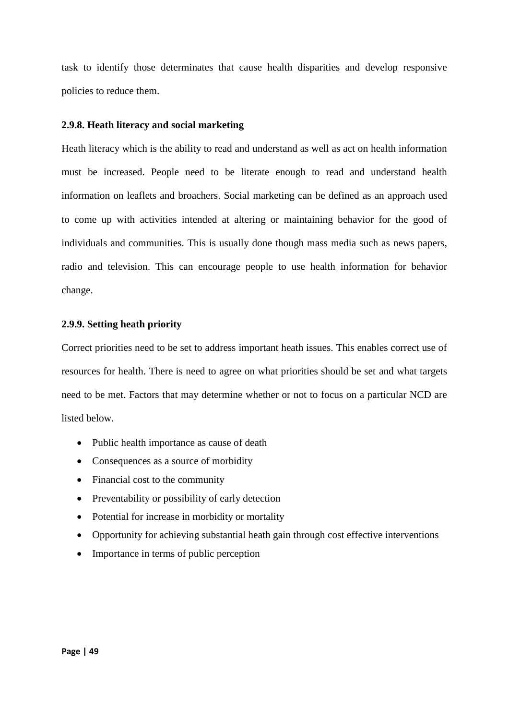task to identify those determinates that cause health disparities and develop responsive policies to reduce them.

# **2.9.8. Heath literacy and social marketing**

Heath literacy which is the ability to read and understand as well as act on health information must be increased. People need to be literate enough to read and understand health information on leaflets and broachers. Social marketing can be defined as an approach used to come up with activities intended at altering or maintaining behavior for the good of individuals and communities. This is usually done though mass media such as news papers, radio and television. This can encourage people to use health information for behavior change.

# **2.9.9. Setting heath priority**

Correct priorities need to be set to address important heath issues. This enables correct use of resources for health. There is need to agree on what priorities should be set and what targets need to be met. Factors that may determine whether or not to focus on a particular NCD are listed below.

- Public health importance as cause of death
- Consequences as a source of morbidity
- Financial cost to the community
- Preventability or possibility of early detection
- Potential for increase in morbidity or mortality
- Opportunity for achieving substantial heath gain through cost effective interventions
- Importance in terms of public perception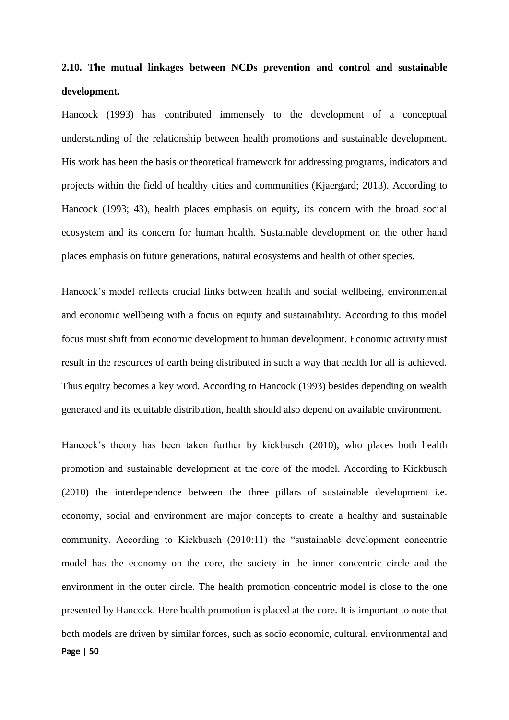# **2.10. The mutual linkages between NCDs prevention and control and sustainable development.**

Hancock (1993) has contributed immensely to the development of a conceptual understanding of the relationship between health promotions and sustainable development. His work has been the basis or theoretical framework for addressing programs, indicators and projects within the field of healthy cities and communities (Kjaergard; 2013). According to Hancock (1993; 43), health places emphasis on equity, its concern with the broad social ecosystem and its concern for human health. Sustainable development on the other hand places emphasis on future generations, natural ecosystems and health of other species.

Hancock's model reflects crucial links between health and social wellbeing, environmental and economic wellbeing with a focus on equity and sustainability. According to this model focus must shift from economic development to human development. Economic activity must result in the resources of earth being distributed in such a way that health for all is achieved. Thus equity becomes a key word. According to Hancock (1993) besides depending on wealth generated and its equitable distribution, health should also depend on available environment.

**Page | 50** Hancock's theory has been taken further by kickbusch (2010), who places both health promotion and sustainable development at the core of the model. According to Kickbusch (2010) the interdependence between the three pillars of sustainable development i.e. economy, social and environment are major concepts to create a healthy and sustainable community. According to Kickbusch (2010:11) the "sustainable development concentric model has the economy on the core, the society in the inner concentric circle and the environment in the outer circle. The health promotion concentric model is close to the one presented by Hancock. Here health promotion is placed at the core. It is important to note that both models are driven by similar forces, such as socio economic, cultural, environmental and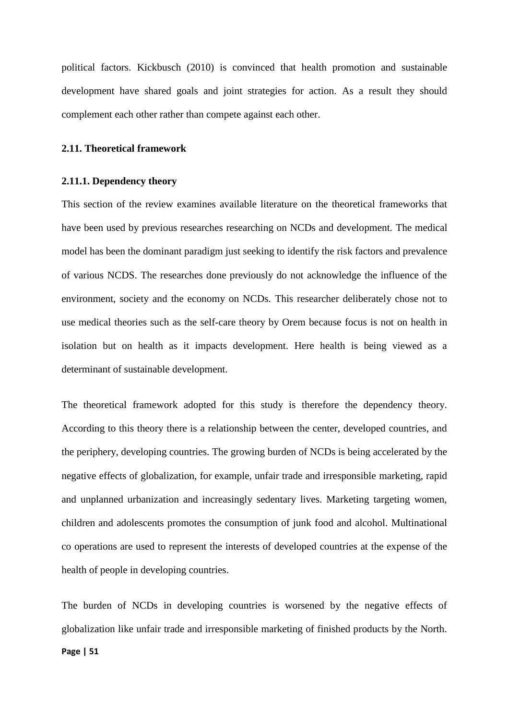political factors. Kickbusch (2010) is convinced that health promotion and sustainable development have shared goals and joint strategies for action. As a result they should complement each other rather than compete against each other.

#### **2.11. Theoretical framework**

### **2.11.1. Dependency theory**

This section of the review examines available literature on the theoretical frameworks that have been used by previous researches researching on NCDs and development. The medical model has been the dominant paradigm just seeking to identify the risk factors and prevalence of various NCDS. The researches done previously do not acknowledge the influence of the environment, society and the economy on NCDs. This researcher deliberately chose not to use medical theories such as the self-care theory by Orem because focus is not on health in isolation but on health as it impacts development. Here health is being viewed as a determinant of sustainable development.

The theoretical framework adopted for this study is therefore the dependency theory. According to this theory there is a relationship between the center, developed countries, and the periphery, developing countries. The growing burden of NCDs is being accelerated by the negative effects of globalization, for example, unfair trade and irresponsible marketing, rapid and unplanned urbanization and increasingly sedentary lives. Marketing targeting women, children and adolescents promotes the consumption of junk food and alcohol. Multinational co operations are used to represent the interests of developed countries at the expense of the health of people in developing countries.

**Page | 51** The burden of NCDs in developing countries is worsened by the negative effects of globalization like unfair trade and irresponsible marketing of finished products by the North.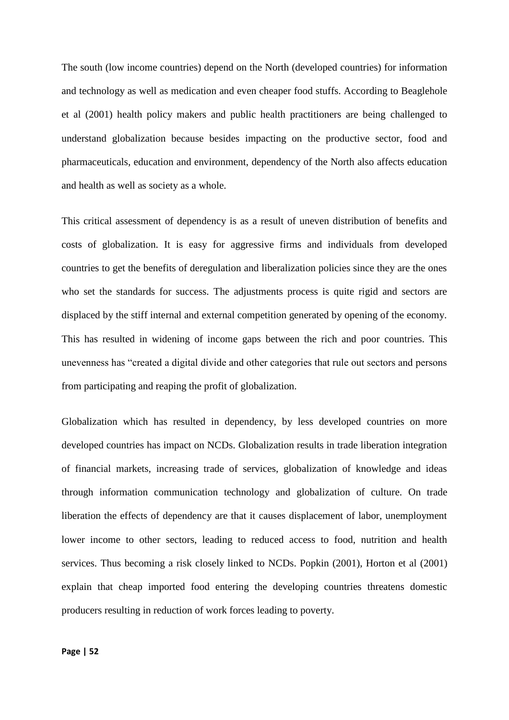The south (low income countries) depend on the North (developed countries) for information and technology as well as medication and even cheaper food stuffs. According to Beaglehole et al (2001) health policy makers and public health practitioners are being challenged to understand globalization because besides impacting on the productive sector, food and pharmaceuticals, education and environment, dependency of the North also affects education and health as well as society as a whole.

This critical assessment of dependency is as a result of uneven distribution of benefits and costs of globalization. It is easy for aggressive firms and individuals from developed countries to get the benefits of deregulation and liberalization policies since they are the ones who set the standards for success. The adjustments process is quite rigid and sectors are displaced by the stiff internal and external competition generated by opening of the economy. This has resulted in widening of income gaps between the rich and poor countries. This unevenness has "created a digital divide and other categories that rule out sectors and persons from participating and reaping the profit of globalization.

Globalization which has resulted in dependency, by less developed countries on more developed countries has impact on NCDs. Globalization results in trade liberation integration of financial markets, increasing trade of services, globalization of knowledge and ideas through information communication technology and globalization of culture. On trade liberation the effects of dependency are that it causes displacement of labor, unemployment lower income to other sectors, leading to reduced access to food, nutrition and health services. Thus becoming a risk closely linked to NCDs. Popkin (2001), Horton et al (2001) explain that cheap imported food entering the developing countries threatens domestic producers resulting in reduction of work forces leading to poverty.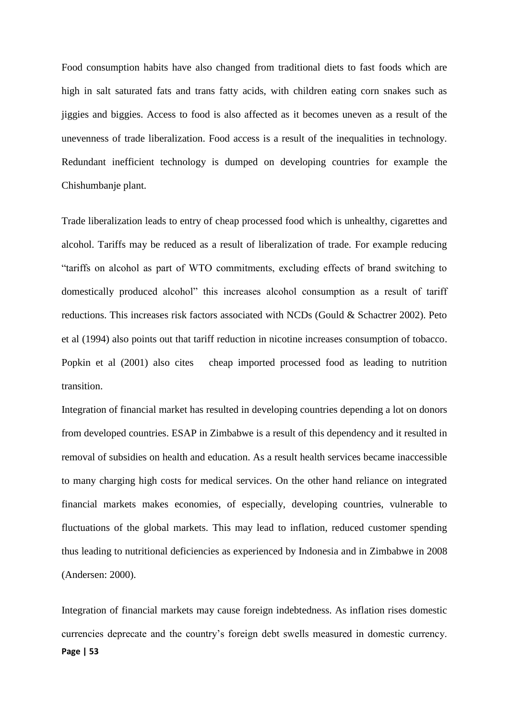Food consumption habits have also changed from traditional diets to fast foods which are high in salt saturated fats and trans fatty acids, with children eating corn snakes such as jiggies and biggies. Access to food is also affected as it becomes uneven as a result of the unevenness of trade liberalization. Food access is a result of the inequalities in technology. Redundant inefficient technology is dumped on developing countries for example the Chishumbanje plant.

Trade liberalization leads to entry of cheap processed food which is unhealthy, cigarettes and alcohol. Tariffs may be reduced as a result of liberalization of trade. For example reducing "tariffs on alcohol as part of WTO commitments, excluding effects of brand switching to domestically produced alcohol" this increases alcohol consumption as a result of tariff reductions. This increases risk factors associated with NCDs (Gould & Schactrer 2002). Peto et al (1994) also points out that tariff reduction in nicotine increases consumption of tobacco. Popkin et al (2001) also cites cheap imported processed food as leading to nutrition transition.

Integration of financial market has resulted in developing countries depending a lot on donors from developed countries. ESAP in Zimbabwe is a result of this dependency and it resulted in removal of subsidies on health and education. As a result health services became inaccessible to many charging high costs for medical services. On the other hand reliance on integrated financial markets makes economies, of especially, developing countries, vulnerable to fluctuations of the global markets. This may lead to inflation, reduced customer spending thus leading to nutritional deficiencies as experienced by Indonesia and in Zimbabwe in 2008 (Andersen: 2000).

**Page | 53** Integration of financial markets may cause foreign indebtedness. As inflation rises domestic currencies deprecate and the country's foreign debt swells measured in domestic currency.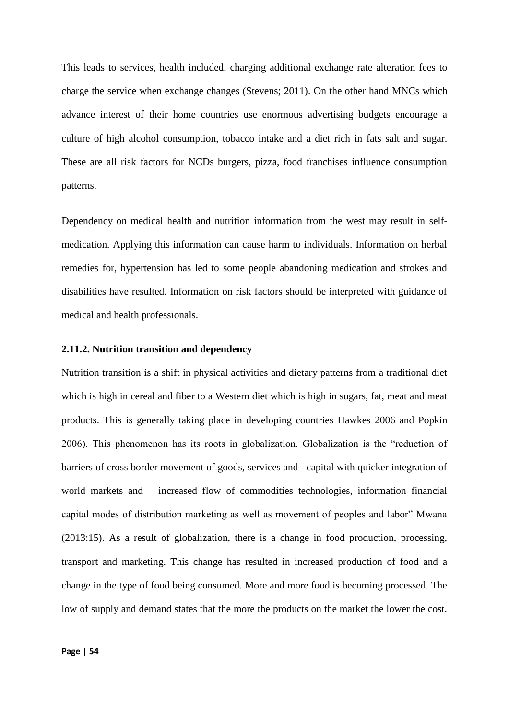This leads to services, health included, charging additional exchange rate alteration fees to charge the service when exchange changes (Stevens; 2011). On the other hand MNCs which advance interest of their home countries use enormous advertising budgets encourage a culture of high alcohol consumption, tobacco intake and a diet rich in fats salt and sugar. These are all risk factors for NCDs burgers, pizza, food franchises influence consumption patterns.

Dependency on medical health and nutrition information from the west may result in selfmedication. Applying this information can cause harm to individuals. Information on herbal remedies for, hypertension has led to some people abandoning medication and strokes and disabilities have resulted. Information on risk factors should be interpreted with guidance of medical and health professionals.

#### **2.11.2. Nutrition transition and dependency**

Nutrition transition is a shift in physical activities and dietary patterns from a traditional diet which is high in cereal and fiber to a Western diet which is high in sugars, fat, meat and meat products. This is generally taking place in developing countries Hawkes 2006 and Popkin 2006). This phenomenon has its roots in globalization. Globalization is the "reduction of barriers of cross border movement of goods, services and capital with quicker integration of world markets and increased flow of commodities technologies, information financial capital modes of distribution marketing as well as movement of peoples and labor" Mwana (2013:15). As a result of globalization, there is a change in food production, processing, transport and marketing. This change has resulted in increased production of food and a change in the type of food being consumed. More and more food is becoming processed. The low of supply and demand states that the more the products on the market the lower the cost.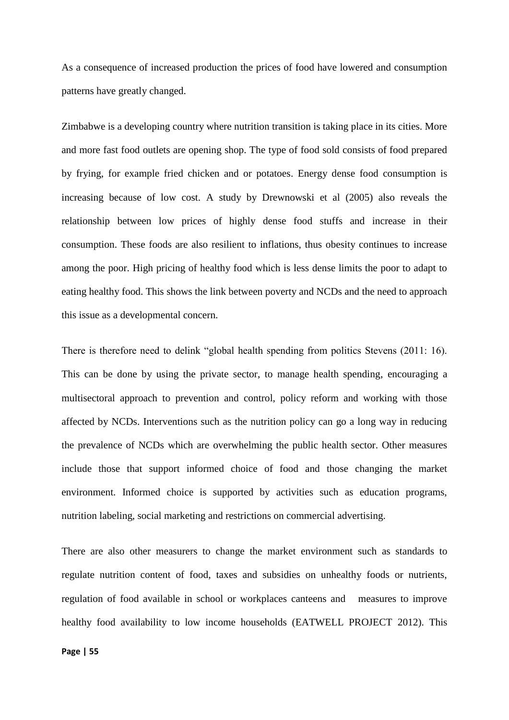As a consequence of increased production the prices of food have lowered and consumption patterns have greatly changed.

Zimbabwe is a developing country where nutrition transition is taking place in its cities. More and more fast food outlets are opening shop. The type of food sold consists of food prepared by frying, for example fried chicken and or potatoes. Energy dense food consumption is increasing because of low cost. A study by Drewnowski et al (2005) also reveals the relationship between low prices of highly dense food stuffs and increase in their consumption. These foods are also resilient to inflations, thus obesity continues to increase among the poor. High pricing of healthy food which is less dense limits the poor to adapt to eating healthy food. This shows the link between poverty and NCDs and the need to approach this issue as a developmental concern.

There is therefore need to delink "global health spending from politics Stevens (2011: 16). This can be done by using the private sector, to manage health spending, encouraging a multisectoral approach to prevention and control, policy reform and working with those affected by NCDs. Interventions such as the nutrition policy can go a long way in reducing the prevalence of NCDs which are overwhelming the public health sector. Other measures include those that support informed choice of food and those changing the market environment. Informed choice is supported by activities such as education programs, nutrition labeling, social marketing and restrictions on commercial advertising.

There are also other measurers to change the market environment such as standards to regulate nutrition content of food, taxes and subsidies on unhealthy foods or nutrients, regulation of food available in school or workplaces canteens and measures to improve healthy food availability to low income households (EATWELL PROJECT 2012). This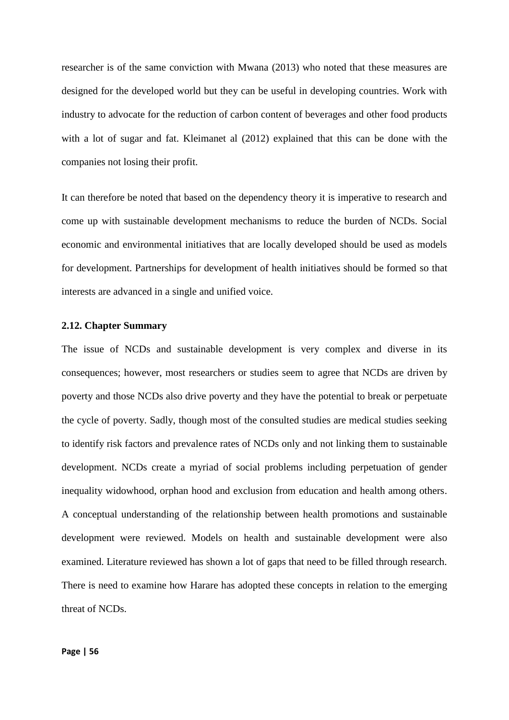researcher is of the same conviction with Mwana (2013) who noted that these measures are designed for the developed world but they can be useful in developing countries. Work with industry to advocate for the reduction of carbon content of beverages and other food products with a lot of sugar and fat. Kleimanet al (2012) explained that this can be done with the companies not losing their profit.

It can therefore be noted that based on the dependency theory it is imperative to research and come up with sustainable development mechanisms to reduce the burden of NCDs. Social economic and environmental initiatives that are locally developed should be used as models for development. Partnerships for development of health initiatives should be formed so that interests are advanced in a single and unified voice.

#### **2.12. Chapter Summary**

The issue of NCDs and sustainable development is very complex and diverse in its consequences; however, most researchers or studies seem to agree that NCDs are driven by poverty and those NCDs also drive poverty and they have the potential to break or perpetuate the cycle of poverty. Sadly, though most of the consulted studies are medical studies seeking to identify risk factors and prevalence rates of NCDs only and not linking them to sustainable development. NCDs create a myriad of social problems including perpetuation of gender inequality widowhood, orphan hood and exclusion from education and health among others. A conceptual understanding of the relationship between health promotions and sustainable development were reviewed. Models on health and sustainable development were also examined. Literature reviewed has shown a lot of gaps that need to be filled through research. There is need to examine how Harare has adopted these concepts in relation to the emerging threat of NCDs.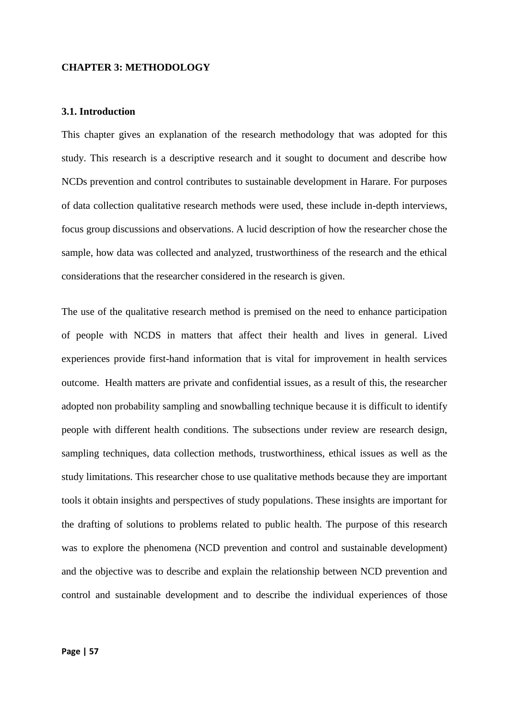## **CHAPTER 3: METHODOLOGY**

## **3.1. Introduction**

This chapter gives an explanation of the research methodology that was adopted for this study. This research is a descriptive research and it sought to document and describe how NCDs prevention and control contributes to sustainable development in Harare. For purposes of data collection qualitative research methods were used, these include in-depth interviews, focus group discussions and observations. A lucid description of how the researcher chose the sample, how data was collected and analyzed, trustworthiness of the research and the ethical considerations that the researcher considered in the research is given.

The use of the qualitative research method is premised on the need to enhance participation of people with NCDS in matters that affect their health and lives in general. Lived experiences provide first-hand information that is vital for improvement in health services outcome. Health matters are private and confidential issues, as a result of this, the researcher adopted non probability sampling and snowballing technique because it is difficult to identify people with different health conditions. The subsections under review are research design, sampling techniques, data collection methods, trustworthiness, ethical issues as well as the study limitations. This researcher chose to use qualitative methods because they are important tools it obtain insights and perspectives of study populations. These insights are important for the drafting of solutions to problems related to public health. The purpose of this research was to explore the phenomena (NCD prevention and control and sustainable development) and the objective was to describe and explain the relationship between NCD prevention and control and sustainable development and to describe the individual experiences of those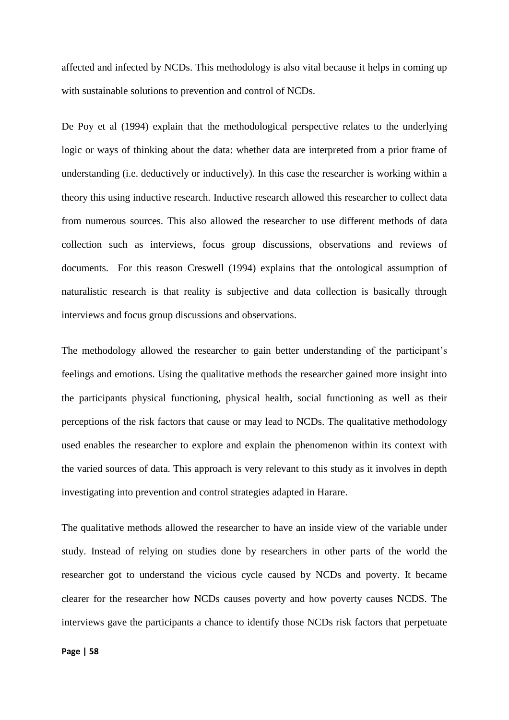affected and infected by NCDs. This methodology is also vital because it helps in coming up with sustainable solutions to prevention and control of NCDs.

De Poy et al (1994) explain that the methodological perspective relates to the underlying logic or ways of thinking about the data: whether data are interpreted from a prior frame of understanding (i.e. deductively or inductively). In this case the researcher is working within a theory this using inductive research. Inductive research allowed this researcher to collect data from numerous sources. This also allowed the researcher to use different methods of data collection such as interviews, focus group discussions, observations and reviews of documents. For this reason Creswell (1994) explains that the ontological assumption of naturalistic research is that reality is subjective and data collection is basically through interviews and focus group discussions and observations.

The methodology allowed the researcher to gain better understanding of the participant's feelings and emotions. Using the qualitative methods the researcher gained more insight into the participants physical functioning, physical health, social functioning as well as their perceptions of the risk factors that cause or may lead to NCDs. The qualitative methodology used enables the researcher to explore and explain the phenomenon within its context with the varied sources of data. This approach is very relevant to this study as it involves in depth investigating into prevention and control strategies adapted in Harare.

The qualitative methods allowed the researcher to have an inside view of the variable under study. Instead of relying on studies done by researchers in other parts of the world the researcher got to understand the vicious cycle caused by NCDs and poverty. It became clearer for the researcher how NCDs causes poverty and how poverty causes NCDS. The interviews gave the participants a chance to identify those NCDs risk factors that perpetuate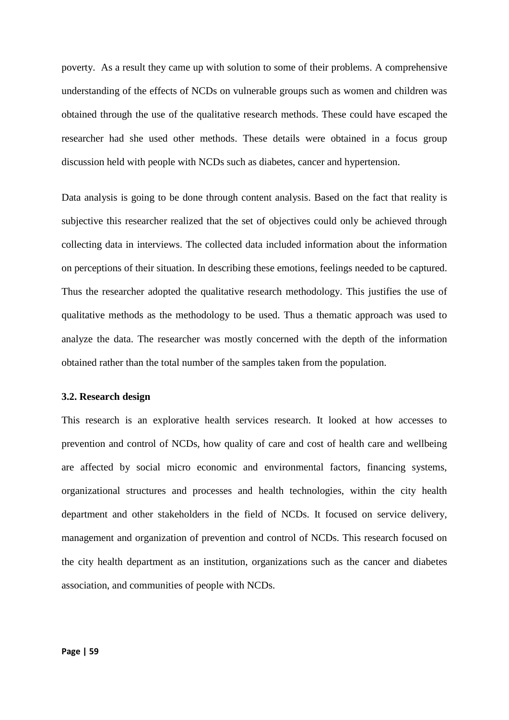poverty. As a result they came up with solution to some of their problems. A comprehensive understanding of the effects of NCDs on vulnerable groups such as women and children was obtained through the use of the qualitative research methods. These could have escaped the researcher had she used other methods. These details were obtained in a focus group discussion held with people with NCDs such as diabetes, cancer and hypertension.

Data analysis is going to be done through content analysis. Based on the fact that reality is subjective this researcher realized that the set of objectives could only be achieved through collecting data in interviews. The collected data included information about the information on perceptions of their situation. In describing these emotions, feelings needed to be captured. Thus the researcher adopted the qualitative research methodology. This justifies the use of qualitative methods as the methodology to be used. Thus a thematic approach was used to analyze the data. The researcher was mostly concerned with the depth of the information obtained rather than the total number of the samples taken from the population.

## **3.2. Research design**

This research is an explorative health services research. It looked at how accesses to prevention and control of NCDs, how quality of care and cost of health care and wellbeing are affected by social micro economic and environmental factors, financing systems, organizational structures and processes and health technologies, within the city health department and other stakeholders in the field of NCDs. It focused on service delivery, management and organization of prevention and control of NCDs. This research focused on the city health department as an institution, organizations such as the cancer and diabetes association, and communities of people with NCDs.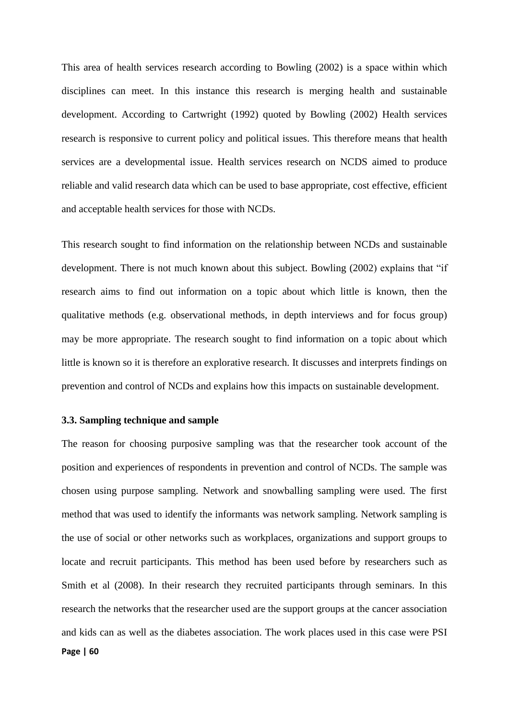This area of health services research according to Bowling (2002) is a space within which disciplines can meet. In this instance this research is merging health and sustainable development. According to Cartwright (1992) quoted by Bowling (2002) Health services research is responsive to current policy and political issues. This therefore means that health services are a developmental issue. Health services research on NCDS aimed to produce reliable and valid research data which can be used to base appropriate, cost effective, efficient and acceptable health services for those with NCDs.

This research sought to find information on the relationship between NCDs and sustainable development. There is not much known about this subject. Bowling (2002) explains that "if research aims to find out information on a topic about which little is known, then the qualitative methods (e.g. observational methods, in depth interviews and for focus group) may be more appropriate. The research sought to find information on a topic about which little is known so it is therefore an explorative research. It discusses and interprets findings on prevention and control of NCDs and explains how this impacts on sustainable development.

# **3.3. Sampling technique and sample**

**Page | 60** The reason for choosing purposive sampling was that the researcher took account of the position and experiences of respondents in prevention and control of NCDs. The sample was chosen using purpose sampling. Network and snowballing sampling were used. The first method that was used to identify the informants was network sampling. Network sampling is the use of social or other networks such as workplaces, organizations and support groups to locate and recruit participants. This method has been used before by researchers such as Smith et al (2008). In their research they recruited participants through seminars. In this research the networks that the researcher used are the support groups at the cancer association and kids can as well as the diabetes association. The work places used in this case were PSI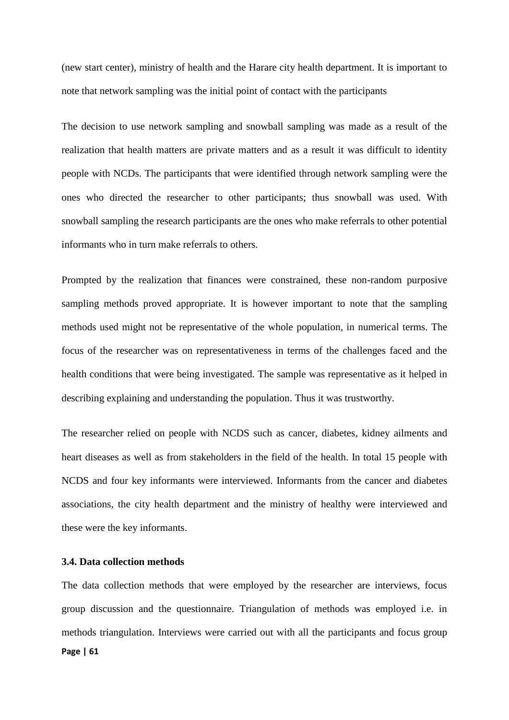(new start center), ministry of health and the Harare city health department. It is important to note that network sampling was the initial point of contact with the participants

The decision to use network sampling and snowball sampling was made as a result of the realization that health matters are private matters and as a result it was difficult to identity people with NCDs. The participants that were identified through network sampling were the ones who directed the researcher to other participants; thus snowball was used. With snowball sampling the research participants are the ones who make referrals to other potential informants who in turn make referrals to others.

Prompted by the realization that finances were constrained, these non-random purposive sampling methods proved appropriate. It is however important to note that the sampling methods used might not be representative of the whole population, in numerical terms. The focus of the researcher was on representativeness in terms of the challenges faced and the health conditions that were being investigated. The sample was representative as it helped in describing explaining and understanding the population. Thus it was trustworthy.

The researcher relied on people with NCDS such as cancer, diabetes, kidney ailments and heart diseases as well as from stakeholders in the field of the health. In total 15 people with NCDS and four key informants were interviewed. Informants from the cancer and diabetes associations, the city health department and the ministry of healthy were interviewed and these were the key informants.

## **3.4. Data collection methods**

**Page | 61** The data collection methods that were employed by the researcher are interviews, focus group discussion and the questionnaire. Triangulation of methods was employed i.e. in methods triangulation. Interviews were carried out with all the participants and focus group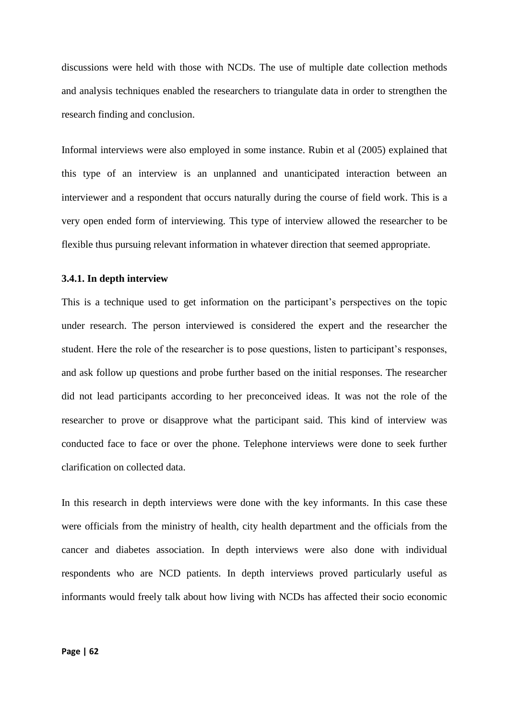discussions were held with those with NCDs. The use of multiple date collection methods and analysis techniques enabled the researchers to triangulate data in order to strengthen the research finding and conclusion.

Informal interviews were also employed in some instance. Rubin et al (2005) explained that this type of an interview is an unplanned and unanticipated interaction between an interviewer and a respondent that occurs naturally during the course of field work. This is a very open ended form of interviewing. This type of interview allowed the researcher to be flexible thus pursuing relevant information in whatever direction that seemed appropriate.

# **3.4.1. In depth interview**

This is a technique used to get information on the participant's perspectives on the topic under research. The person interviewed is considered the expert and the researcher the student. Here the role of the researcher is to pose questions, listen to participant's responses, and ask follow up questions and probe further based on the initial responses. The researcher did not lead participants according to her preconceived ideas. It was not the role of the researcher to prove or disapprove what the participant said. This kind of interview was conducted face to face or over the phone. Telephone interviews were done to seek further clarification on collected data.

In this research in depth interviews were done with the key informants. In this case these were officials from the ministry of health, city health department and the officials from the cancer and diabetes association. In depth interviews were also done with individual respondents who are NCD patients. In depth interviews proved particularly useful as informants would freely talk about how living with NCDs has affected their socio economic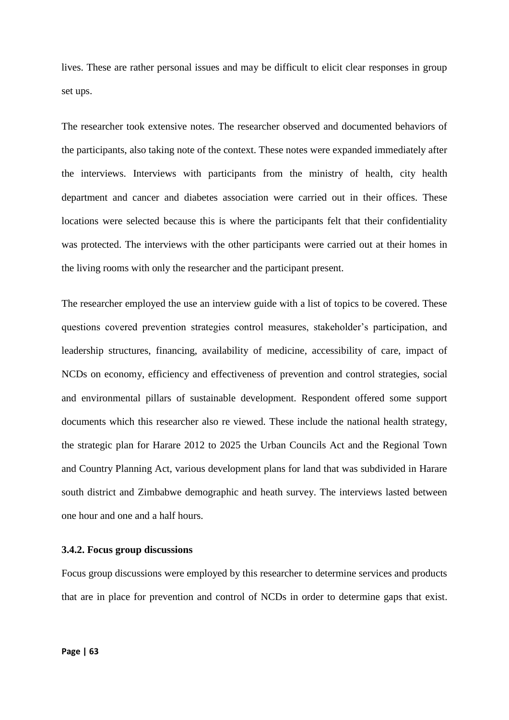lives. These are rather personal issues and may be difficult to elicit clear responses in group set ups.

The researcher took extensive notes. The researcher observed and documented behaviors of the participants, also taking note of the context. These notes were expanded immediately after the interviews. Interviews with participants from the ministry of health, city health department and cancer and diabetes association were carried out in their offices. These locations were selected because this is where the participants felt that their confidentiality was protected. The interviews with the other participants were carried out at their homes in the living rooms with only the researcher and the participant present.

The researcher employed the use an interview guide with a list of topics to be covered. These questions covered prevention strategies control measures, stakeholder's participation, and leadership structures, financing, availability of medicine, accessibility of care, impact of NCDs on economy, efficiency and effectiveness of prevention and control strategies, social and environmental pillars of sustainable development. Respondent offered some support documents which this researcher also re viewed. These include the national health strategy, the strategic plan for Harare 2012 to 2025 the Urban Councils Act and the Regional Town and Country Planning Act, various development plans for land that was subdivided in Harare south district and Zimbabwe demographic and heath survey. The interviews lasted between one hour and one and a half hours.

# **3.4.2. Focus group discussions**

Focus group discussions were employed by this researcher to determine services and products that are in place for prevention and control of NCDs in order to determine gaps that exist.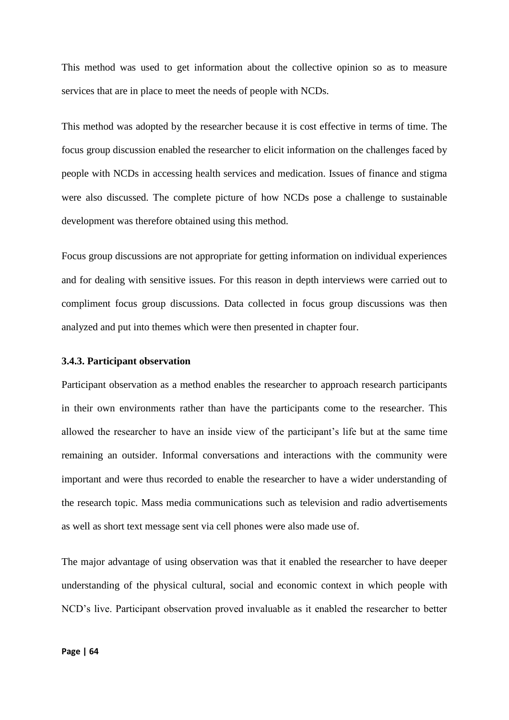This method was used to get information about the collective opinion so as to measure services that are in place to meet the needs of people with NCDs.

This method was adopted by the researcher because it is cost effective in terms of time. The focus group discussion enabled the researcher to elicit information on the challenges faced by people with NCDs in accessing health services and medication. Issues of finance and stigma were also discussed. The complete picture of how NCDs pose a challenge to sustainable development was therefore obtained using this method.

Focus group discussions are not appropriate for getting information on individual experiences and for dealing with sensitive issues. For this reason in depth interviews were carried out to compliment focus group discussions. Data collected in focus group discussions was then analyzed and put into themes which were then presented in chapter four.

### **3.4.3. Participant observation**

Participant observation as a method enables the researcher to approach research participants in their own environments rather than have the participants come to the researcher. This allowed the researcher to have an inside view of the participant's life but at the same time remaining an outsider. Informal conversations and interactions with the community were important and were thus recorded to enable the researcher to have a wider understanding of the research topic. Mass media communications such as television and radio advertisements as well as short text message sent via cell phones were also made use of.

The major advantage of using observation was that it enabled the researcher to have deeper understanding of the physical cultural, social and economic context in which people with NCD's live. Participant observation proved invaluable as it enabled the researcher to better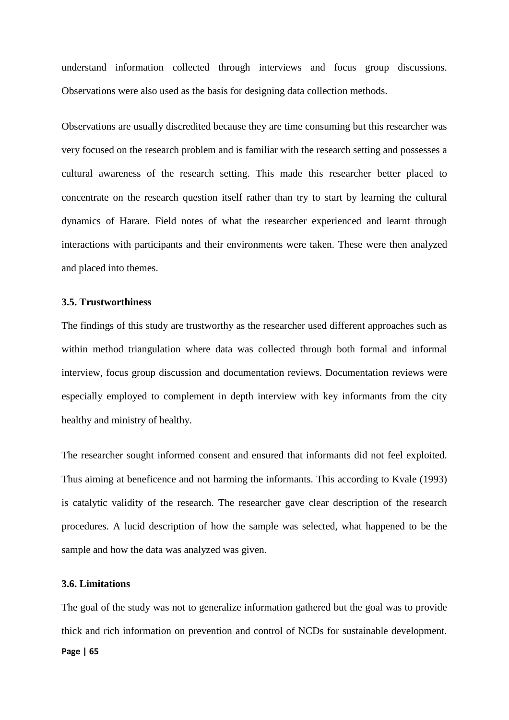understand information collected through interviews and focus group discussions. Observations were also used as the basis for designing data collection methods.

Observations are usually discredited because they are time consuming but this researcher was very focused on the research problem and is familiar with the research setting and possesses a cultural awareness of the research setting. This made this researcher better placed to concentrate on the research question itself rather than try to start by learning the cultural dynamics of Harare. Field notes of what the researcher experienced and learnt through interactions with participants and their environments were taken. These were then analyzed and placed into themes.

# **3.5. Trustworthiness**

The findings of this study are trustworthy as the researcher used different approaches such as within method triangulation where data was collected through both formal and informal interview, focus group discussion and documentation reviews. Documentation reviews were especially employed to complement in depth interview with key informants from the city healthy and ministry of healthy.

The researcher sought informed consent and ensured that informants did not feel exploited. Thus aiming at beneficence and not harming the informants. This according to Kvale (1993) is catalytic validity of the research. The researcher gave clear description of the research procedures. A lucid description of how the sample was selected, what happened to be the sample and how the data was analyzed was given.

## **3.6. Limitations**

The goal of the study was not to generalize information gathered but the goal was to provide thick and rich information on prevention and control of NCDs for sustainable development.

#### **Page | 65**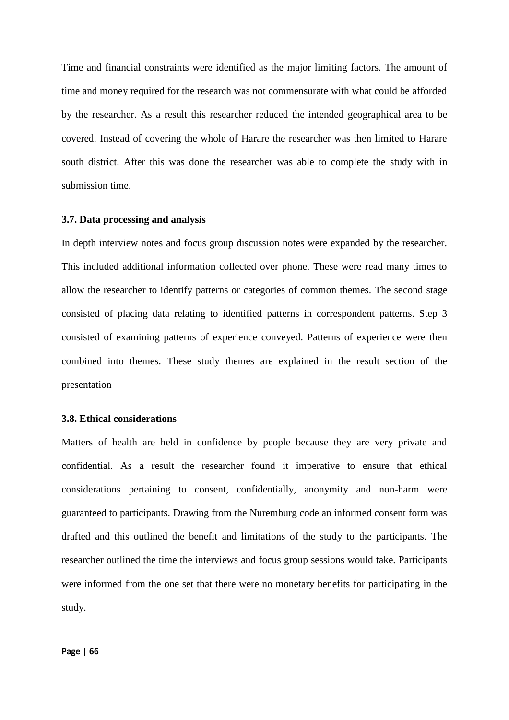Time and financial constraints were identified as the major limiting factors. The amount of time and money required for the research was not commensurate with what could be afforded by the researcher. As a result this researcher reduced the intended geographical area to be covered. Instead of covering the whole of Harare the researcher was then limited to Harare south district. After this was done the researcher was able to complete the study with in submission time.

# **3.7. Data processing and analysis**

In depth interview notes and focus group discussion notes were expanded by the researcher. This included additional information collected over phone. These were read many times to allow the researcher to identify patterns or categories of common themes. The second stage consisted of placing data relating to identified patterns in correspondent patterns. Step 3 consisted of examining patterns of experience conveyed. Patterns of experience were then combined into themes. These study themes are explained in the result section of the presentation

# **3.8. Ethical considerations**

Matters of health are held in confidence by people because they are very private and confidential. As a result the researcher found it imperative to ensure that ethical considerations pertaining to consent, confidentially, anonymity and non-harm were guaranteed to participants. Drawing from the Nuremburg code an informed consent form was drafted and this outlined the benefit and limitations of the study to the participants. The researcher outlined the time the interviews and focus group sessions would take. Participants were informed from the one set that there were no monetary benefits for participating in the study.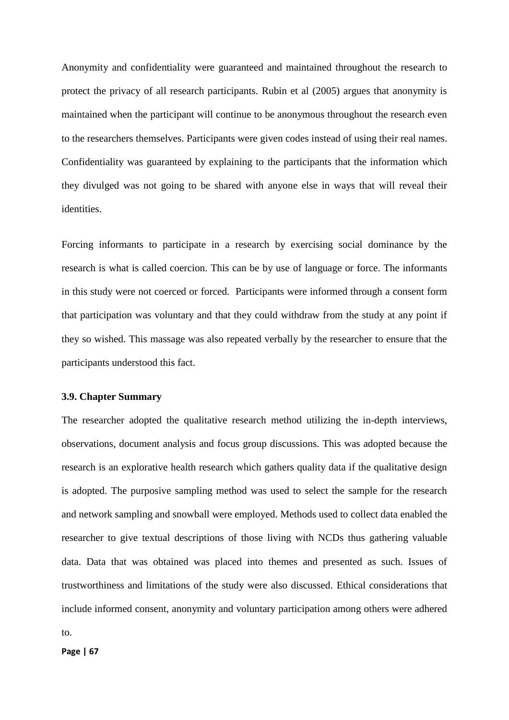Anonymity and confidentiality were guaranteed and maintained throughout the research to protect the privacy of all research participants. Rubin et al (2005) argues that anonymity is maintained when the participant will continue to be anonymous throughout the research even to the researchers themselves. Participants were given codes instead of using their real names. Confidentiality was guaranteed by explaining to the participants that the information which they divulged was not going to be shared with anyone else in ways that will reveal their identities.

Forcing informants to participate in a research by exercising social dominance by the research is what is called coercion. This can be by use of language or force. The informants in this study were not coerced or forced. Participants were informed through a consent form that participation was voluntary and that they could withdraw from the study at any point if they so wished. This massage was also repeated verbally by the researcher to ensure that the participants understood this fact.

# **3.9. Chapter Summary**

The researcher adopted the qualitative research method utilizing the in-depth interviews, observations, document analysis and focus group discussions. This was adopted because the research is an explorative health research which gathers quality data if the qualitative design is adopted. The purposive sampling method was used to select the sample for the research and network sampling and snowball were employed. Methods used to collect data enabled the researcher to give textual descriptions of those living with NCDs thus gathering valuable data. Data that was obtained was placed into themes and presented as such. Issues of trustworthiness and limitations of the study were also discussed. Ethical considerations that include informed consent, anonymity and voluntary participation among others were adhered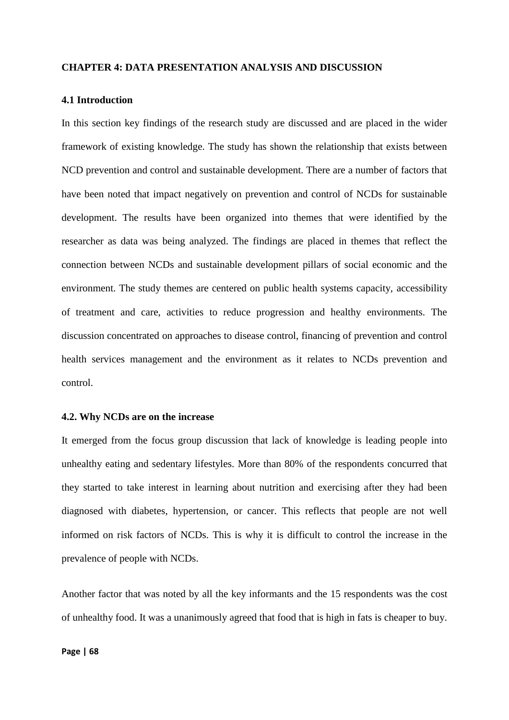## **CHAPTER 4: DATA PRESENTATION ANALYSIS AND DISCUSSION**

# **4.1 Introduction**

In this section key findings of the research study are discussed and are placed in the wider framework of existing knowledge. The study has shown the relationship that exists between NCD prevention and control and sustainable development. There are a number of factors that have been noted that impact negatively on prevention and control of NCDs for sustainable development. The results have been organized into themes that were identified by the researcher as data was being analyzed. The findings are placed in themes that reflect the connection between NCDs and sustainable development pillars of social economic and the environment. The study themes are centered on public health systems capacity, accessibility of treatment and care, activities to reduce progression and healthy environments. The discussion concentrated on approaches to disease control, financing of prevention and control health services management and the environment as it relates to NCDs prevention and control.

## **4.2. Why NCDs are on the increase**

It emerged from the focus group discussion that lack of knowledge is leading people into unhealthy eating and sedentary lifestyles. More than 80% of the respondents concurred that they started to take interest in learning about nutrition and exercising after they had been diagnosed with diabetes, hypertension, or cancer. This reflects that people are not well informed on risk factors of NCDs. This is why it is difficult to control the increase in the prevalence of people with NCDs.

Another factor that was noted by all the key informants and the 15 respondents was the cost of unhealthy food. It was a unanimously agreed that food that is high in fats is cheaper to buy.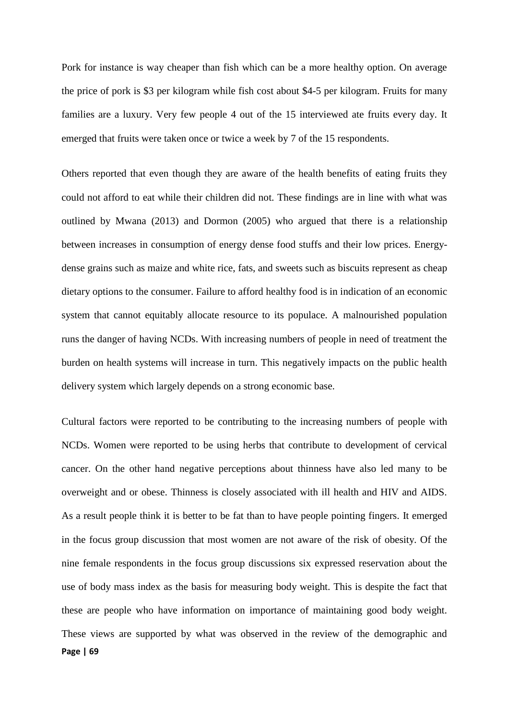Pork for instance is way cheaper than fish which can be a more healthy option. On average the price of pork is \$3 per kilogram while fish cost about \$4-5 per kilogram. Fruits for many families are a luxury. Very few people 4 out of the 15 interviewed ate fruits every day. It emerged that fruits were taken once or twice a week by 7 of the 15 respondents.

Others reported that even though they are aware of the health benefits of eating fruits they could not afford to eat while their children did not. These findings are in line with what was outlined by Mwana (2013) and Dormon (2005) who argued that there is a relationship between increases in consumption of energy dense food stuffs and their low prices. Energydense grains such as maize and white rice, fats, and sweets such as biscuits represent as cheap dietary options to the consumer. Failure to afford healthy food is in indication of an economic system that cannot equitably allocate resource to its populace. A malnourished population runs the danger of having NCDs. With increasing numbers of people in need of treatment the burden on health systems will increase in turn. This negatively impacts on the public health delivery system which largely depends on a strong economic base.

**Page | 69** Cultural factors were reported to be contributing to the increasing numbers of people with NCDs. Women were reported to be using herbs that contribute to development of cervical cancer. On the other hand negative perceptions about thinness have also led many to be overweight and or obese. Thinness is closely associated with ill health and HIV and AIDS. As a result people think it is better to be fat than to have people pointing fingers. It emerged in the focus group discussion that most women are not aware of the risk of obesity. Of the nine female respondents in the focus group discussions six expressed reservation about the use of body mass index as the basis for measuring body weight. This is despite the fact that these are people who have information on importance of maintaining good body weight. These views are supported by what was observed in the review of the demographic and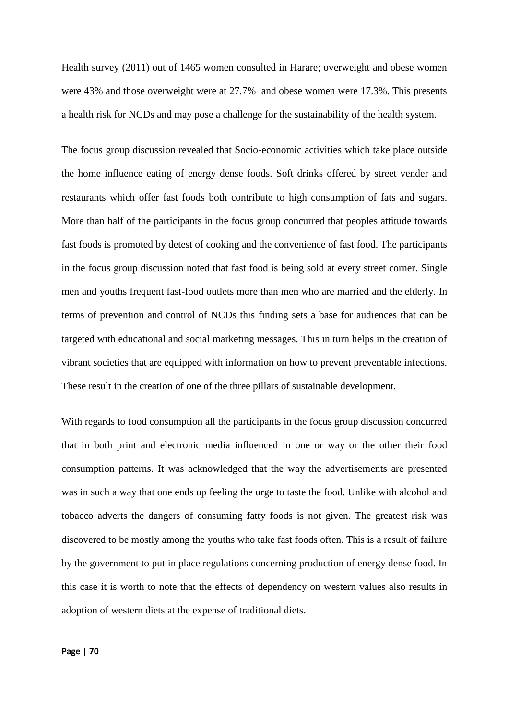Health survey (2011) out of 1465 women consulted in Harare; overweight and obese women were 43% and those overweight were at 27.7% and obese women were 17.3%. This presents a health risk for NCDs and may pose a challenge for the sustainability of the health system.

The focus group discussion revealed that Socio-economic activities which take place outside the home influence eating of energy dense foods. Soft drinks offered by street vender and restaurants which offer fast foods both contribute to high consumption of fats and sugars. More than half of the participants in the focus group concurred that peoples attitude towards fast foods is promoted by detest of cooking and the convenience of fast food. The participants in the focus group discussion noted that fast food is being sold at every street corner. Single men and youths frequent fast-food outlets more than men who are married and the elderly. In terms of prevention and control of NCDs this finding sets a base for audiences that can be targeted with educational and social marketing messages. This in turn helps in the creation of vibrant societies that are equipped with information on how to prevent preventable infections. These result in the creation of one of the three pillars of sustainable development.

With regards to food consumption all the participants in the focus group discussion concurred that in both print and electronic media influenced in one or way or the other their food consumption patterns. It was acknowledged that the way the advertisements are presented was in such a way that one ends up feeling the urge to taste the food. Unlike with alcohol and tobacco adverts the dangers of consuming fatty foods is not given. The greatest risk was discovered to be mostly among the youths who take fast foods often. This is a result of failure by the government to put in place regulations concerning production of energy dense food. In this case it is worth to note that the effects of dependency on western values also results in adoption of western diets at the expense of traditional diets.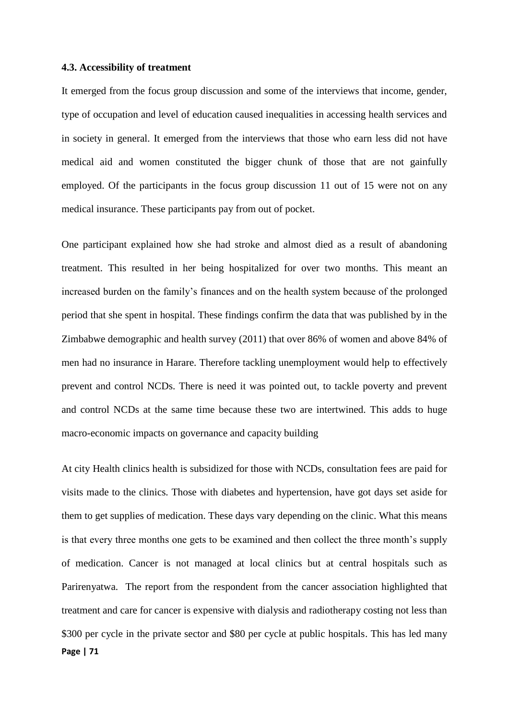## **4.3. Accessibility of treatment**

It emerged from the focus group discussion and some of the interviews that income, gender, type of occupation and level of education caused inequalities in accessing health services and in society in general. It emerged from the interviews that those who earn less did not have medical aid and women constituted the bigger chunk of those that are not gainfully employed. Of the participants in the focus group discussion 11 out of 15 were not on any medical insurance. These participants pay from out of pocket.

One participant explained how she had stroke and almost died as a result of abandoning treatment. This resulted in her being hospitalized for over two months. This meant an increased burden on the family's finances and on the health system because of the prolonged period that she spent in hospital. These findings confirm the data that was published by in the Zimbabwe demographic and health survey (2011) that over 86% of women and above 84% of men had no insurance in Harare. Therefore tackling unemployment would help to effectively prevent and control NCDs. There is need it was pointed out, to tackle poverty and prevent and control NCDs at the same time because these two are intertwined. This adds to huge macro-economic impacts on governance and capacity building

**Page | 71** At city Health clinics health is subsidized for those with NCDs, consultation fees are paid for visits made to the clinics. Those with diabetes and hypertension, have got days set aside for them to get supplies of medication. These days vary depending on the clinic. What this means is that every three months one gets to be examined and then collect the three month's supply of medication. Cancer is not managed at local clinics but at central hospitals such as Parirenyatwa. The report from the respondent from the cancer association highlighted that treatment and care for cancer is expensive with dialysis and radiotherapy costing not less than \$300 per cycle in the private sector and \$80 per cycle at public hospitals. This has led many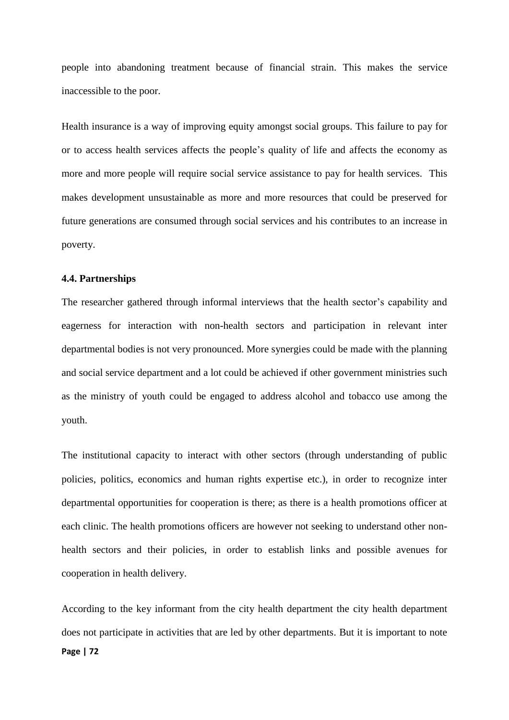people into abandoning treatment because of financial strain. This makes the service inaccessible to the poor.

Health insurance is a way of improving equity amongst social groups. This failure to pay for or to access health services affects the people's quality of life and affects the economy as more and more people will require social service assistance to pay for health services. This makes development unsustainable as more and more resources that could be preserved for future generations are consumed through social services and his contributes to an increase in poverty.

## **4.4. Partnerships**

The researcher gathered through informal interviews that the health sector's capability and eagerness for interaction with non-health sectors and participation in relevant inter departmental bodies is not very pronounced. More synergies could be made with the planning and social service department and a lot could be achieved if other government ministries such as the ministry of youth could be engaged to address alcohol and tobacco use among the youth.

The institutional capacity to interact with other sectors (through understanding of public policies, politics, economics and human rights expertise etc.), in order to recognize inter departmental opportunities for cooperation is there; as there is a health promotions officer at each clinic. The health promotions officers are however not seeking to understand other nonhealth sectors and their policies, in order to establish links and possible avenues for cooperation in health delivery.

**Page | 72** According to the key informant from the city health department the city health department does not participate in activities that are led by other departments. But it is important to note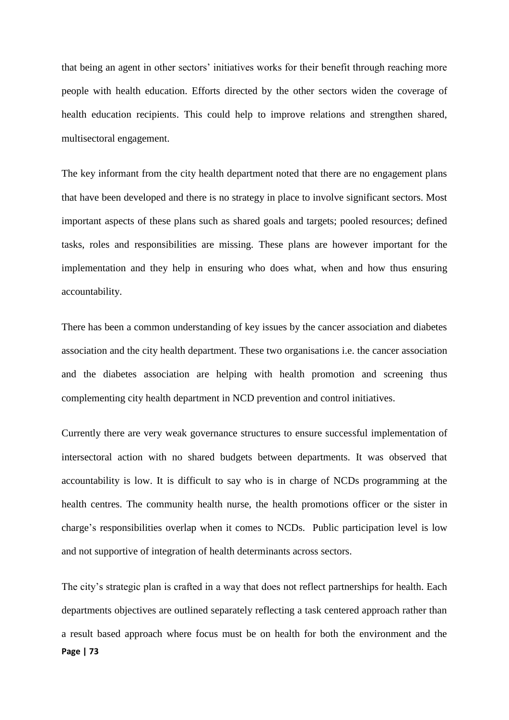that being an agent in other sectors' initiatives works for their benefit through reaching more people with health education. Efforts directed by the other sectors widen the coverage of health education recipients. This could help to improve relations and strengthen shared, multisectoral engagement.

The key informant from the city health department noted that there are no engagement plans that have been developed and there is no strategy in place to involve significant sectors. Most important aspects of these plans such as shared goals and targets; pooled resources; defined tasks, roles and responsibilities are missing. These plans are however important for the implementation and they help in ensuring who does what, when and how thus ensuring accountability.

There has been a common understanding of key issues by the cancer association and diabetes association and the city health department. These two organisations i.e. the cancer association and the diabetes association are helping with health promotion and screening thus complementing city health department in NCD prevention and control initiatives.

Currently there are very weak governance structures to ensure successful implementation of intersectoral action with no shared budgets between departments. It was observed that accountability is low. It is difficult to say who is in charge of NCDs programming at the health centres. The community health nurse, the health promotions officer or the sister in charge's responsibilities overlap when it comes to NCDs. Public participation level is low and not supportive of integration of health determinants across sectors.

**Page | 73** The city's strategic plan is crafted in a way that does not reflect partnerships for health. Each departments objectives are outlined separately reflecting a task centered approach rather than a result based approach where focus must be on health for both the environment and the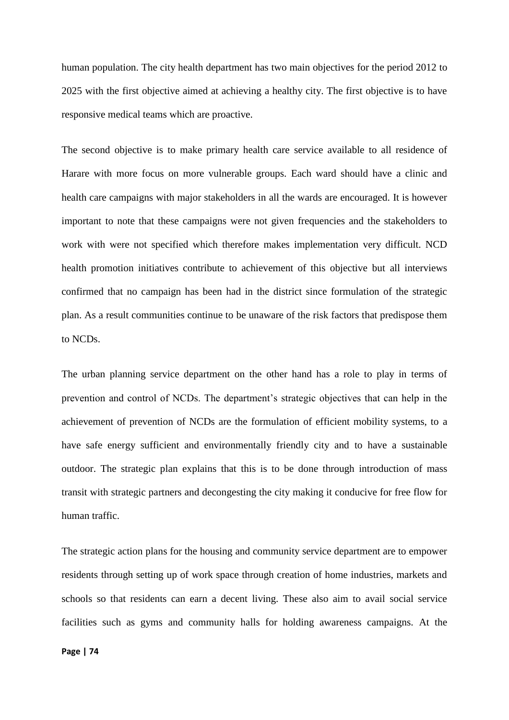human population. The city health department has two main objectives for the period 2012 to 2025 with the first objective aimed at achieving a healthy city. The first objective is to have responsive medical teams which are proactive.

The second objective is to make primary health care service available to all residence of Harare with more focus on more vulnerable groups. Each ward should have a clinic and health care campaigns with major stakeholders in all the wards are encouraged. It is however important to note that these campaigns were not given frequencies and the stakeholders to work with were not specified which therefore makes implementation very difficult. NCD health promotion initiatives contribute to achievement of this objective but all interviews confirmed that no campaign has been had in the district since formulation of the strategic plan. As a result communities continue to be unaware of the risk factors that predispose them to NCDs.

The urban planning service department on the other hand has a role to play in terms of prevention and control of NCDs. The department's strategic objectives that can help in the achievement of prevention of NCDs are the formulation of efficient mobility systems, to a have safe energy sufficient and environmentally friendly city and to have a sustainable outdoor. The strategic plan explains that this is to be done through introduction of mass transit with strategic partners and decongesting the city making it conducive for free flow for human traffic.

The strategic action plans for the housing and community service department are to empower residents through setting up of work space through creation of home industries, markets and schools so that residents can earn a decent living. These also aim to avail social service facilities such as gyms and community halls for holding awareness campaigns. At the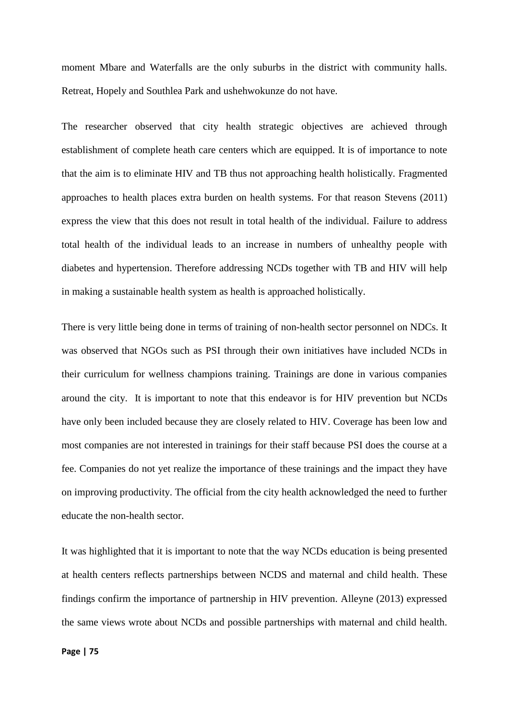moment Mbare and Waterfalls are the only suburbs in the district with community halls. Retreat, Hopely and Southlea Park and ushehwokunze do not have.

The researcher observed that city health strategic objectives are achieved through establishment of complete heath care centers which are equipped. It is of importance to note that the aim is to eliminate HIV and TB thus not approaching health holistically. Fragmented approaches to health places extra burden on health systems. For that reason Stevens (2011) express the view that this does not result in total health of the individual. Failure to address total health of the individual leads to an increase in numbers of unhealthy people with diabetes and hypertension. Therefore addressing NCDs together with TB and HIV will help in making a sustainable health system as health is approached holistically.

There is very little being done in terms of training of non-health sector personnel on NDCs. It was observed that NGOs such as PSI through their own initiatives have included NCDs in their curriculum for wellness champions training. Trainings are done in various companies around the city. It is important to note that this endeavor is for HIV prevention but NCDs have only been included because they are closely related to HIV. Coverage has been low and most companies are not interested in trainings for their staff because PSI does the course at a fee. Companies do not yet realize the importance of these trainings and the impact they have on improving productivity. The official from the city health acknowledged the need to further educate the non-health sector.

It was highlighted that it is important to note that the way NCDs education is being presented at health centers reflects partnerships between NCDS and maternal and child health. These findings confirm the importance of partnership in HIV prevention. Alleyne (2013) expressed the same views wrote about NCDs and possible partnerships with maternal and child health.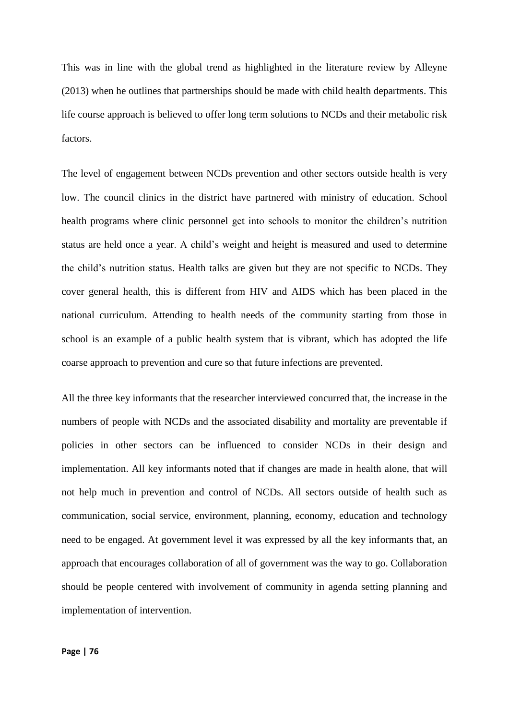This was in line with the global trend as highlighted in the literature review by Alleyne (2013) when he outlines that partnerships should be made with child health departments. This life course approach is believed to offer long term solutions to NCDs and their metabolic risk factors.

The level of engagement between NCDs prevention and other sectors outside health is very low. The council clinics in the district have partnered with ministry of education. School health programs where clinic personnel get into schools to monitor the children's nutrition status are held once a year. A child's weight and height is measured and used to determine the child's nutrition status. Health talks are given but they are not specific to NCDs. They cover general health, this is different from HIV and AIDS which has been placed in the national curriculum. Attending to health needs of the community starting from those in school is an example of a public health system that is vibrant, which has adopted the life coarse approach to prevention and cure so that future infections are prevented.

All the three key informants that the researcher interviewed concurred that, the increase in the numbers of people with NCDs and the associated disability and mortality are preventable if policies in other sectors can be influenced to consider NCDs in their design and implementation. All key informants noted that if changes are made in health alone, that will not help much in prevention and control of NCDs. All sectors outside of health such as communication, social service, environment, planning, economy, education and technology need to be engaged. At government level it was expressed by all the key informants that, an approach that encourages collaboration of all of government was the way to go. Collaboration should be people centered with involvement of community in agenda setting planning and implementation of intervention.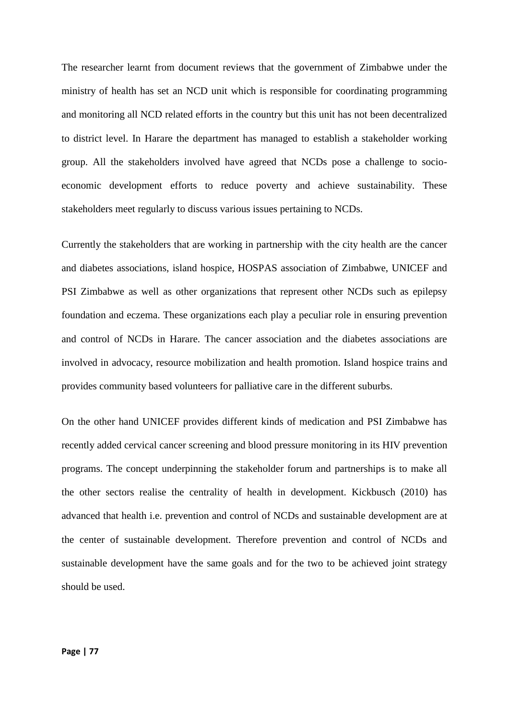The researcher learnt from document reviews that the government of Zimbabwe under the ministry of health has set an NCD unit which is responsible for coordinating programming and monitoring all NCD related efforts in the country but this unit has not been decentralized to district level. In Harare the department has managed to establish a stakeholder working group. All the stakeholders involved have agreed that NCDs pose a challenge to socioeconomic development efforts to reduce poverty and achieve sustainability. These stakeholders meet regularly to discuss various issues pertaining to NCDs.

Currently the stakeholders that are working in partnership with the city health are the cancer and diabetes associations, island hospice, HOSPAS association of Zimbabwe, UNICEF and PSI Zimbabwe as well as other organizations that represent other NCDs such as epilepsy foundation and eczema. These organizations each play a peculiar role in ensuring prevention and control of NCDs in Harare. The cancer association and the diabetes associations are involved in advocacy, resource mobilization and health promotion. Island hospice trains and provides community based volunteers for palliative care in the different suburbs.

On the other hand UNICEF provides different kinds of medication and PSI Zimbabwe has recently added cervical cancer screening and blood pressure monitoring in its HIV prevention programs. The concept underpinning the stakeholder forum and partnerships is to make all the other sectors realise the centrality of health in development. Kickbusch (2010) has advanced that health i.e. prevention and control of NCDs and sustainable development are at the center of sustainable development. Therefore prevention and control of NCDs and sustainable development have the same goals and for the two to be achieved joint strategy should be used.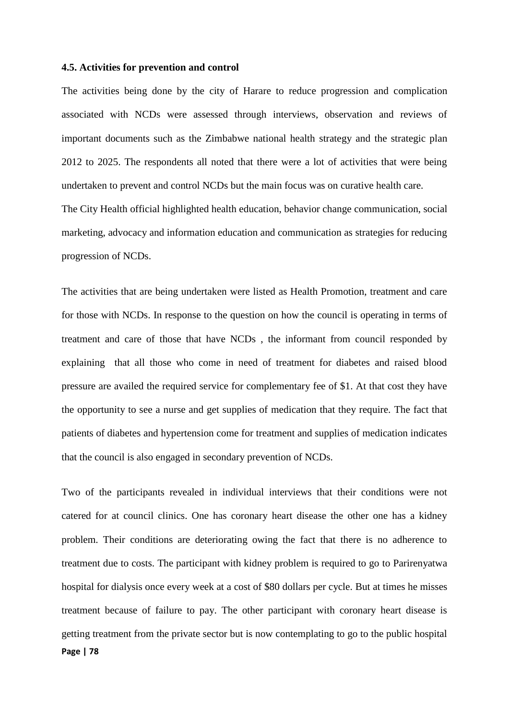# **4.5. Activities for prevention and control**

The activities being done by the city of Harare to reduce progression and complication associated with NCDs were assessed through interviews, observation and reviews of important documents such as the Zimbabwe national health strategy and the strategic plan 2012 to 2025. The respondents all noted that there were a lot of activities that were being undertaken to prevent and control NCDs but the main focus was on curative health care. The City Health official highlighted health education, behavior change communication, social marketing, advocacy and information education and communication as strategies for reducing progression of NCDs.

The activities that are being undertaken were listed as Health Promotion, treatment and care for those with NCDs. In response to the question on how the council is operating in terms of treatment and care of those that have NCDs , the informant from council responded by explaining that all those who come in need of treatment for diabetes and raised blood pressure are availed the required service for complementary fee of \$1. At that cost they have the opportunity to see a nurse and get supplies of medication that they require. The fact that patients of diabetes and hypertension come for treatment and supplies of medication indicates that the council is also engaged in secondary prevention of NCDs.

**Page | 78** Two of the participants revealed in individual interviews that their conditions were not catered for at council clinics. One has coronary heart disease the other one has a kidney problem. Their conditions are deteriorating owing the fact that there is no adherence to treatment due to costs. The participant with kidney problem is required to go to Parirenyatwa hospital for dialysis once every week at a cost of \$80 dollars per cycle. But at times he misses treatment because of failure to pay. The other participant with coronary heart disease is getting treatment from the private sector but is now contemplating to go to the public hospital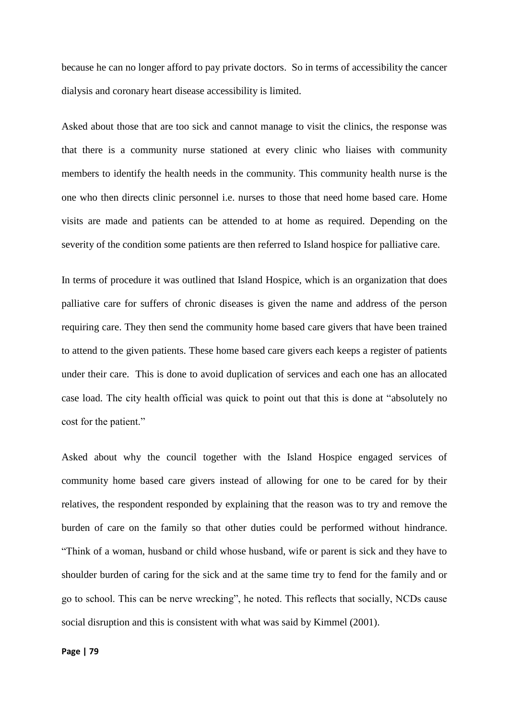because he can no longer afford to pay private doctors. So in terms of accessibility the cancer dialysis and coronary heart disease accessibility is limited.

Asked about those that are too sick and cannot manage to visit the clinics, the response was that there is a community nurse stationed at every clinic who liaises with community members to identify the health needs in the community. This community health nurse is the one who then directs clinic personnel i.e. nurses to those that need home based care. Home visits are made and patients can be attended to at home as required. Depending on the severity of the condition some patients are then referred to Island hospice for palliative care.

In terms of procedure it was outlined that Island Hospice, which is an organization that does palliative care for suffers of chronic diseases is given the name and address of the person requiring care. They then send the community home based care givers that have been trained to attend to the given patients. These home based care givers each keeps a register of patients under their care. This is done to avoid duplication of services and each one has an allocated case load. The city health official was quick to point out that this is done at "absolutely no cost for the patient."

Asked about why the council together with the Island Hospice engaged services of community home based care givers instead of allowing for one to be cared for by their relatives, the respondent responded by explaining that the reason was to try and remove the burden of care on the family so that other duties could be performed without hindrance. "Think of a woman, husband or child whose husband, wife or parent is sick and they have to shoulder burden of caring for the sick and at the same time try to fend for the family and or go to school. This can be nerve wrecking", he noted. This reflects that socially, NCDs cause social disruption and this is consistent with what was said by Kimmel (2001).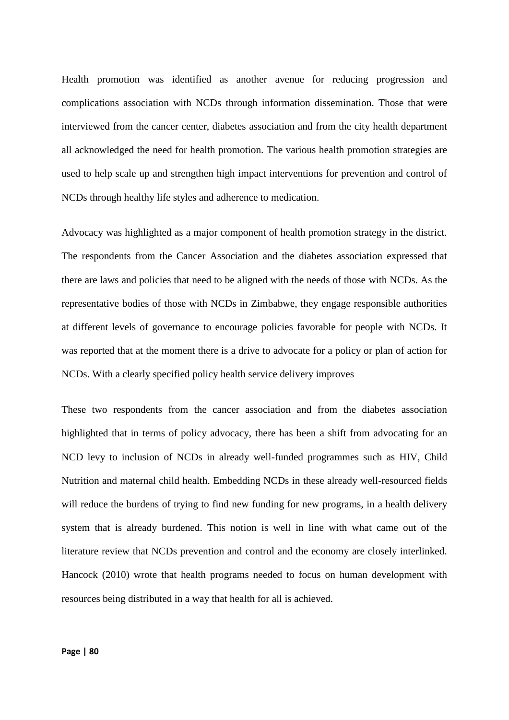Health promotion was identified as another avenue for reducing progression and complications association with NCDs through information dissemination. Those that were interviewed from the cancer center, diabetes association and from the city health department all acknowledged the need for health promotion. The various health promotion strategies are used to help scale up and strengthen high impact interventions for prevention and control of NCDs through healthy life styles and adherence to medication.

Advocacy was highlighted as a major component of health promotion strategy in the district. The respondents from the Cancer Association and the diabetes association expressed that there are laws and policies that need to be aligned with the needs of those with NCDs. As the representative bodies of those with NCDs in Zimbabwe, they engage responsible authorities at different levels of governance to encourage policies favorable for people with NCDs. It was reported that at the moment there is a drive to advocate for a policy or plan of action for NCDs. With a clearly specified policy health service delivery improves

These two respondents from the cancer association and from the diabetes association highlighted that in terms of policy advocacy, there has been a shift from advocating for an NCD levy to inclusion of NCDs in already well-funded programmes such as HIV, Child Nutrition and maternal child health. Embedding NCDs in these already well-resourced fields will reduce the burdens of trying to find new funding for new programs, in a health delivery system that is already burdened. This notion is well in line with what came out of the literature review that NCDs prevention and control and the economy are closely interlinked. Hancock (2010) wrote that health programs needed to focus on human development with resources being distributed in a way that health for all is achieved.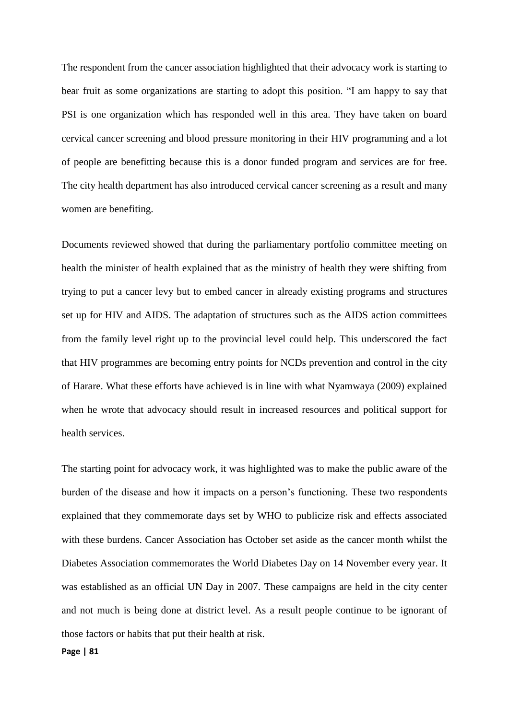The respondent from the cancer association highlighted that their advocacy work is starting to bear fruit as some organizations are starting to adopt this position. "I am happy to say that PSI is one organization which has responded well in this area. They have taken on board cervical cancer screening and blood pressure monitoring in their HIV programming and a lot of people are benefitting because this is a donor funded program and services are for free. The city health department has also introduced cervical cancer screening as a result and many women are benefiting.

Documents reviewed showed that during the parliamentary portfolio committee meeting on health the minister of health explained that as the ministry of health they were shifting from trying to put a cancer levy but to embed cancer in already existing programs and structures set up for HIV and AIDS. The adaptation of structures such as the AIDS action committees from the family level right up to the provincial level could help. This underscored the fact that HIV programmes are becoming entry points for NCDs prevention and control in the city of Harare. What these efforts have achieved is in line with what Nyamwaya (2009) explained when he wrote that advocacy should result in increased resources and political support for health services.

The starting point for advocacy work, it was highlighted was to make the public aware of the burden of the disease and how it impacts on a person's functioning. These two respondents explained that they commemorate days set by WHO to publicize risk and effects associated with these burdens. Cancer Association has October set aside as the cancer month whilst the Diabetes Association commemorates the World Diabetes Day on 14 November every year. It was established as an official UN Day in 2007. These campaigns are held in the city center and not much is being done at district level. As a result people continue to be ignorant of those factors or habits that put their health at risk.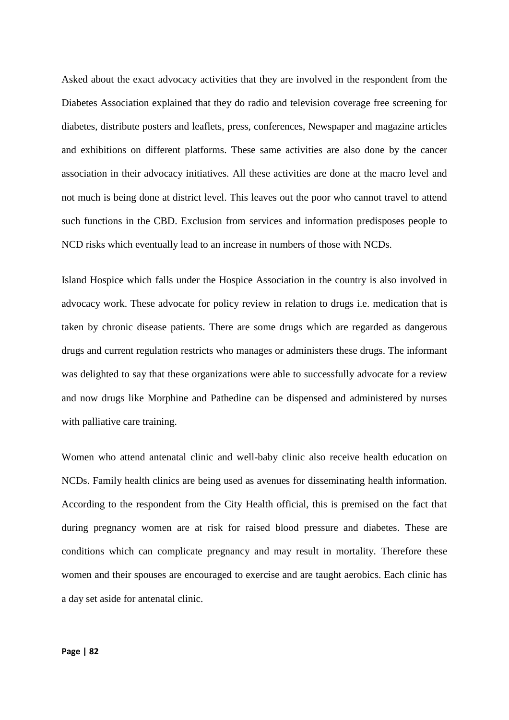Asked about the exact advocacy activities that they are involved in the respondent from the Diabetes Association explained that they do radio and television coverage free screening for diabetes, distribute posters and leaflets, press, conferences, Newspaper and magazine articles and exhibitions on different platforms. These same activities are also done by the cancer association in their advocacy initiatives. All these activities are done at the macro level and not much is being done at district level. This leaves out the poor who cannot travel to attend such functions in the CBD. Exclusion from services and information predisposes people to NCD risks which eventually lead to an increase in numbers of those with NCDs.

Island Hospice which falls under the Hospice Association in the country is also involved in advocacy work. These advocate for policy review in relation to drugs i.e. medication that is taken by chronic disease patients. There are some drugs which are regarded as dangerous drugs and current regulation restricts who manages or administers these drugs. The informant was delighted to say that these organizations were able to successfully advocate for a review and now drugs like Morphine and Pathedine can be dispensed and administered by nurses with palliative care training.

Women who attend antenatal clinic and well-baby clinic also receive health education on NCDs. Family health clinics are being used as avenues for disseminating health information. According to the respondent from the City Health official, this is premised on the fact that during pregnancy women are at risk for raised blood pressure and diabetes. These are conditions which can complicate pregnancy and may result in mortality. Therefore these women and their spouses are encouraged to exercise and are taught aerobics. Each clinic has a day set aside for antenatal clinic.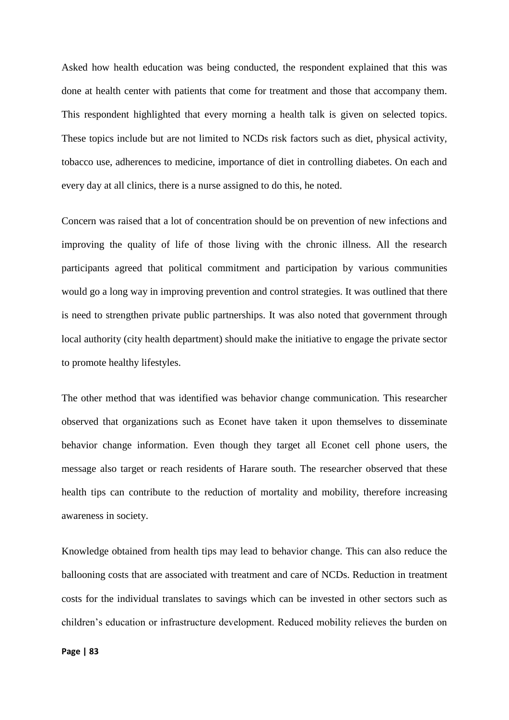Asked how health education was being conducted, the respondent explained that this was done at health center with patients that come for treatment and those that accompany them. This respondent highlighted that every morning a health talk is given on selected topics. These topics include but are not limited to NCDs risk factors such as diet, physical activity, tobacco use, adherences to medicine, importance of diet in controlling diabetes. On each and every day at all clinics, there is a nurse assigned to do this, he noted.

Concern was raised that a lot of concentration should be on prevention of new infections and improving the quality of life of those living with the chronic illness. All the research participants agreed that political commitment and participation by various communities would go a long way in improving prevention and control strategies. It was outlined that there is need to strengthen private public partnerships. It was also noted that government through local authority (city health department) should make the initiative to engage the private sector to promote healthy lifestyles.

The other method that was identified was behavior change communication. This researcher observed that organizations such as Econet have taken it upon themselves to disseminate behavior change information. Even though they target all Econet cell phone users, the message also target or reach residents of Harare south. The researcher observed that these health tips can contribute to the reduction of mortality and mobility, therefore increasing awareness in society.

Knowledge obtained from health tips may lead to behavior change. This can also reduce the ballooning costs that are associated with treatment and care of NCDs. Reduction in treatment costs for the individual translates to savings which can be invested in other sectors such as children's education or infrastructure development. Reduced mobility relieves the burden on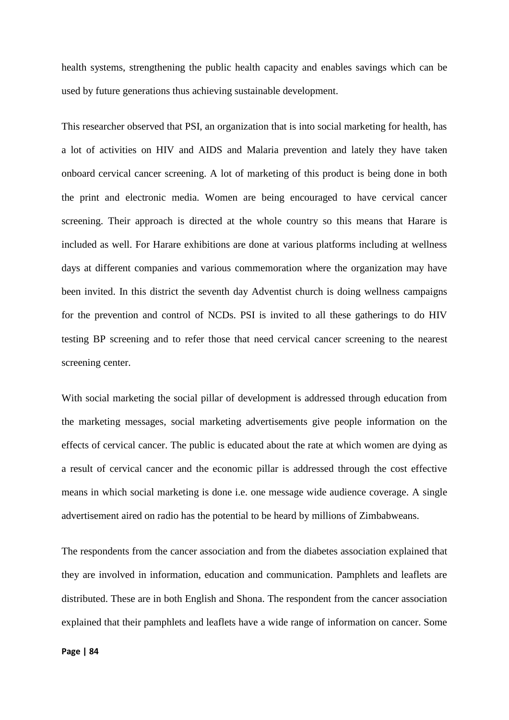health systems, strengthening the public health capacity and enables savings which can be used by future generations thus achieving sustainable development.

This researcher observed that PSI, an organization that is into social marketing for health, has a lot of activities on HIV and AIDS and Malaria prevention and lately they have taken onboard cervical cancer screening. A lot of marketing of this product is being done in both the print and electronic media. Women are being encouraged to have cervical cancer screening. Their approach is directed at the whole country so this means that Harare is included as well. For Harare exhibitions are done at various platforms including at wellness days at different companies and various commemoration where the organization may have been invited. In this district the seventh day Adventist church is doing wellness campaigns for the prevention and control of NCDs. PSI is invited to all these gatherings to do HIV testing BP screening and to refer those that need cervical cancer screening to the nearest screening center.

With social marketing the social pillar of development is addressed through education from the marketing messages, social marketing advertisements give people information on the effects of cervical cancer. The public is educated about the rate at which women are dying as a result of cervical cancer and the economic pillar is addressed through the cost effective means in which social marketing is done i.e. one message wide audience coverage. A single advertisement aired on radio has the potential to be heard by millions of Zimbabweans.

The respondents from the cancer association and from the diabetes association explained that they are involved in information, education and communication. Pamphlets and leaflets are distributed. These are in both English and Shona. The respondent from the cancer association explained that their pamphlets and leaflets have a wide range of information on cancer. Some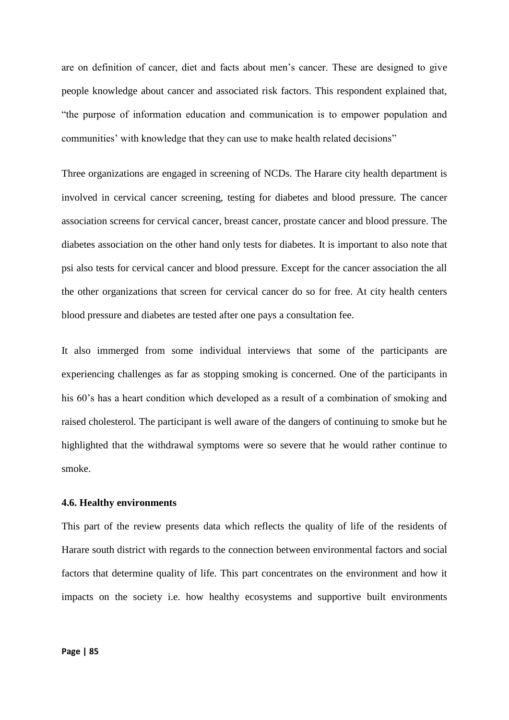are on definition of cancer, diet and facts about men's cancer. These are designed to give people knowledge about cancer and associated risk factors. This respondent explained that, "the purpose of information education and communication is to empower population and communities' with knowledge that they can use to make health related decisions"

Three organizations are engaged in screening of NCDs. The Harare city health department is involved in cervical cancer screening, testing for diabetes and blood pressure. The cancer association screens for cervical cancer, breast cancer, prostate cancer and blood pressure. The diabetes association on the other hand only tests for diabetes. It is important to also note that psi also tests for cervical cancer and blood pressure. Except for the cancer association the all the other organizations that screen for cervical cancer do so for free. At city health centers blood pressure and diabetes are tested after one pays a consultation fee.

It also immerged from some individual interviews that some of the participants are experiencing challenges as far as stopping smoking is concerned. One of the participants in his 60's has a heart condition which developed as a result of a combination of smoking and raised cholesterol. The participant is well aware of the dangers of continuing to smoke but he highlighted that the withdrawal symptoms were so severe that he would rather continue to smoke.

### **4.6. Healthy environments**

This part of the review presents data which reflects the quality of life of the residents of Harare south district with regards to the connection between environmental factors and social factors that determine quality of life. This part concentrates on the environment and how it impacts on the society i.e. how healthy ecosystems and supportive built environments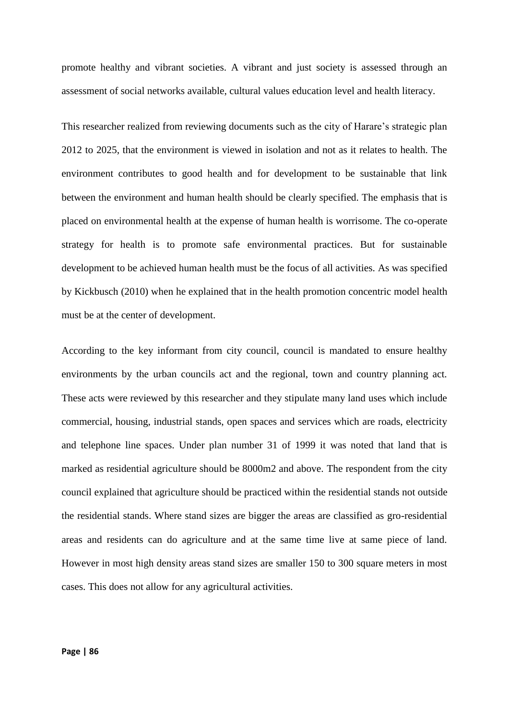promote healthy and vibrant societies. A vibrant and just society is assessed through an assessment of social networks available, cultural values education level and health literacy.

This researcher realized from reviewing documents such as the city of Harare's strategic plan 2012 to 2025, that the environment is viewed in isolation and not as it relates to health. The environment contributes to good health and for development to be sustainable that link between the environment and human health should be clearly specified. The emphasis that is placed on environmental health at the expense of human health is worrisome. The co-operate strategy for health is to promote safe environmental practices. But for sustainable development to be achieved human health must be the focus of all activities. As was specified by Kickbusch (2010) when he explained that in the health promotion concentric model health must be at the center of development.

According to the key informant from city council, council is mandated to ensure healthy environments by the urban councils act and the regional, town and country planning act. These acts were reviewed by this researcher and they stipulate many land uses which include commercial, housing, industrial stands, open spaces and services which are roads, electricity and telephone line spaces. Under plan number 31 of 1999 it was noted that land that is marked as residential agriculture should be 8000m2 and above. The respondent from the city council explained that agriculture should be practiced within the residential stands not outside the residential stands. Where stand sizes are bigger the areas are classified as gro-residential areas and residents can do agriculture and at the same time live at same piece of land. However in most high density areas stand sizes are smaller 150 to 300 square meters in most cases. This does not allow for any agricultural activities.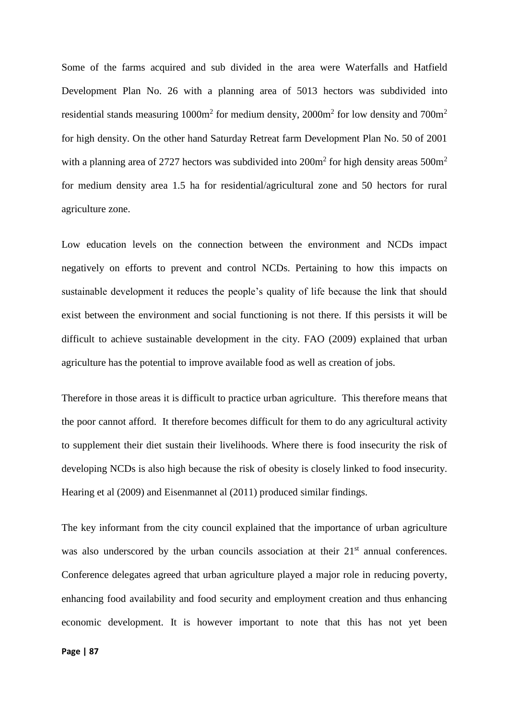Some of the farms acquired and sub divided in the area were Waterfalls and Hatfield Development Plan No. 26 with a planning area of 5013 hectors was subdivided into residential stands measuring  $1000m^2$  for medium density,  $2000m^2$  for low density and  $700m^2$ for high density. On the other hand Saturday Retreat farm Development Plan No. 50 of 2001 with a planning area of 2727 hectors was subdivided into  $200m^2$  for high density areas  $500m^2$ for medium density area 1.5 ha for residential/agricultural zone and 50 hectors for rural agriculture zone.

Low education levels on the connection between the environment and NCDs impact negatively on efforts to prevent and control NCDs. Pertaining to how this impacts on sustainable development it reduces the people's quality of life because the link that should exist between the environment and social functioning is not there. If this persists it will be difficult to achieve sustainable development in the city. FAO (2009) explained that urban agriculture has the potential to improve available food as well as creation of jobs.

Therefore in those areas it is difficult to practice urban agriculture. This therefore means that the poor cannot afford. It therefore becomes difficult for them to do any agricultural activity to supplement their diet sustain their livelihoods. Where there is food insecurity the risk of developing NCDs is also high because the risk of obesity is closely linked to food insecurity. Hearing et al (2009) and Eisenmannet al (2011) produced similar findings.

The key informant from the city council explained that the importance of urban agriculture was also underscored by the urban councils association at their  $21<sup>st</sup>$  annual conferences. Conference delegates agreed that urban agriculture played a major role in reducing poverty, enhancing food availability and food security and employment creation and thus enhancing economic development. It is however important to note that this has not yet been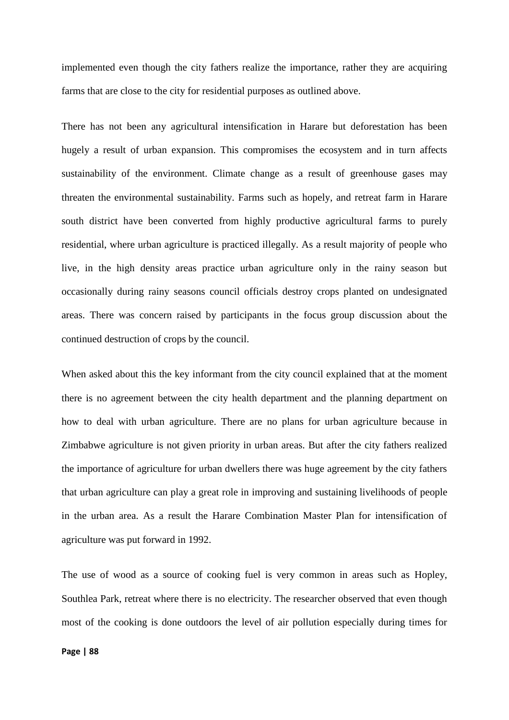implemented even though the city fathers realize the importance, rather they are acquiring farms that are close to the city for residential purposes as outlined above.

There has not been any agricultural intensification in Harare but deforestation has been hugely a result of urban expansion. This compromises the ecosystem and in turn affects sustainability of the environment. Climate change as a result of greenhouse gases may threaten the environmental sustainability. Farms such as hopely, and retreat farm in Harare south district have been converted from highly productive agricultural farms to purely residential, where urban agriculture is practiced illegally. As a result majority of people who live, in the high density areas practice urban agriculture only in the rainy season but occasionally during rainy seasons council officials destroy crops planted on undesignated areas. There was concern raised by participants in the focus group discussion about the continued destruction of crops by the council.

When asked about this the key informant from the city council explained that at the moment there is no agreement between the city health department and the planning department on how to deal with urban agriculture. There are no plans for urban agriculture because in Zimbabwe agriculture is not given priority in urban areas. But after the city fathers realized the importance of agriculture for urban dwellers there was huge agreement by the city fathers that urban agriculture can play a great role in improving and sustaining livelihoods of people in the urban area. As a result the Harare Combination Master Plan for intensification of agriculture was put forward in 1992.

The use of wood as a source of cooking fuel is very common in areas such as Hopley, Southlea Park, retreat where there is no electricity. The researcher observed that even though most of the cooking is done outdoors the level of air pollution especially during times for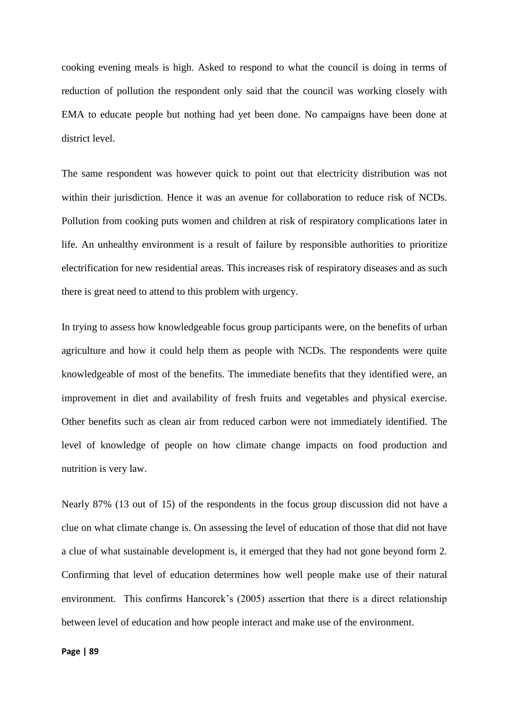cooking evening meals is high. Asked to respond to what the council is doing in terms of reduction of pollution the respondent only said that the council was working closely with EMA to educate people but nothing had yet been done. No campaigns have been done at district level.

The same respondent was however quick to point out that electricity distribution was not within their jurisdiction. Hence it was an avenue for collaboration to reduce risk of NCDs. Pollution from cooking puts women and children at risk of respiratory complications later in life. An unhealthy environment is a result of failure by responsible authorities to prioritize electrification for new residential areas. This increases risk of respiratory diseases and as such there is great need to attend to this problem with urgency.

In trying to assess how knowledgeable focus group participants were, on the benefits of urban agriculture and how it could help them as people with NCDs. The respondents were quite knowledgeable of most of the benefits. The immediate benefits that they identified were, an improvement in diet and availability of fresh fruits and vegetables and physical exercise. Other benefits such as clean air from reduced carbon were not immediately identified. The level of knowledge of people on how climate change impacts on food production and nutrition is very law.

Nearly 87% (13 out of 15) of the respondents in the focus group discussion did not have a clue on what climate change is. On assessing the level of education of those that did not have a clue of what sustainable development is, it emerged that they had not gone beyond form 2. Confirming that level of education determines how well people make use of their natural environment. This confirms Hancorck's (2005) assertion that there is a direct relationship between level of education and how people interact and make use of the environment.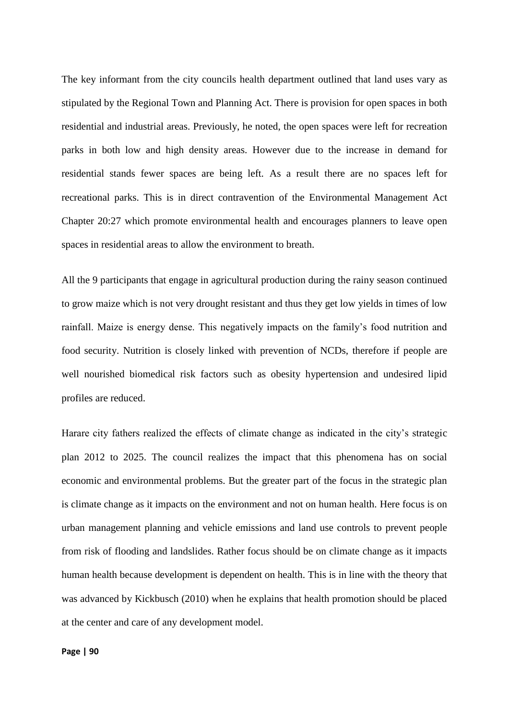The key informant from the city councils health department outlined that land uses vary as stipulated by the Regional Town and Planning Act. There is provision for open spaces in both residential and industrial areas. Previously, he noted, the open spaces were left for recreation parks in both low and high density areas. However due to the increase in demand for residential stands fewer spaces are being left. As a result there are no spaces left for recreational parks. This is in direct contravention of the Environmental Management Act Chapter 20:27 which promote environmental health and encourages planners to leave open spaces in residential areas to allow the environment to breath.

All the 9 participants that engage in agricultural production during the rainy season continued to grow maize which is not very drought resistant and thus they get low yields in times of low rainfall. Maize is energy dense. This negatively impacts on the family's food nutrition and food security. Nutrition is closely linked with prevention of NCDs, therefore if people are well nourished biomedical risk factors such as obesity hypertension and undesired lipid profiles are reduced.

Harare city fathers realized the effects of climate change as indicated in the city's strategic plan 2012 to 2025. The council realizes the impact that this phenomena has on social economic and environmental problems. But the greater part of the focus in the strategic plan is climate change as it impacts on the environment and not on human health. Here focus is on urban management planning and vehicle emissions and land use controls to prevent people from risk of flooding and landslides. Rather focus should be on climate change as it impacts human health because development is dependent on health. This is in line with the theory that was advanced by Kickbusch (2010) when he explains that health promotion should be placed at the center and care of any development model.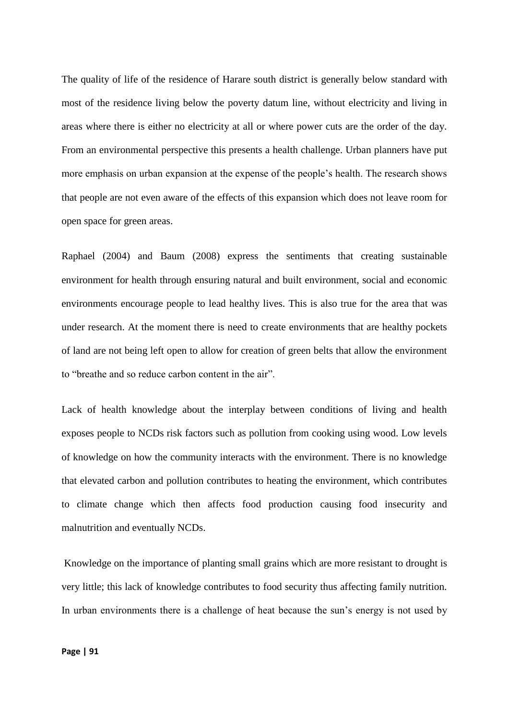The quality of life of the residence of Harare south district is generally below standard with most of the residence living below the poverty datum line, without electricity and living in areas where there is either no electricity at all or where power cuts are the order of the day. From an environmental perspective this presents a health challenge. Urban planners have put more emphasis on urban expansion at the expense of the people's health. The research shows that people are not even aware of the effects of this expansion which does not leave room for open space for green areas.

Raphael (2004) and Baum (2008) express the sentiments that creating sustainable environment for health through ensuring natural and built environment, social and economic environments encourage people to lead healthy lives. This is also true for the area that was under research. At the moment there is need to create environments that are healthy pockets of land are not being left open to allow for creation of green belts that allow the environment to "breathe and so reduce carbon content in the air".

Lack of health knowledge about the interplay between conditions of living and health exposes people to NCDs risk factors such as pollution from cooking using wood. Low levels of knowledge on how the community interacts with the environment. There is no knowledge that elevated carbon and pollution contributes to heating the environment, which contributes to climate change which then affects food production causing food insecurity and malnutrition and eventually NCDs.

Knowledge on the importance of planting small grains which are more resistant to drought is very little; this lack of knowledge contributes to food security thus affecting family nutrition. In urban environments there is a challenge of heat because the sun's energy is not used by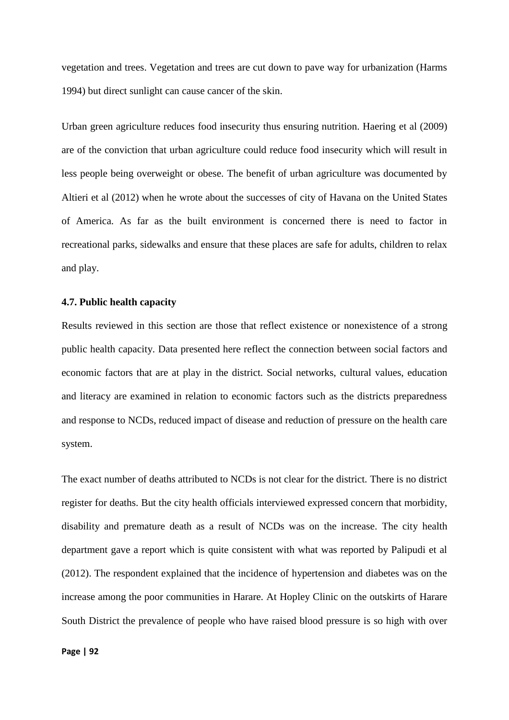vegetation and trees. Vegetation and trees are cut down to pave way for urbanization (Harms 1994) but direct sunlight can cause cancer of the skin.

Urban green agriculture reduces food insecurity thus ensuring nutrition. Haering et al (2009) are of the conviction that urban agriculture could reduce food insecurity which will result in less people being overweight or obese. The benefit of urban agriculture was documented by Altieri et al (2012) when he wrote about the successes of city of Havana on the United States of America. As far as the built environment is concerned there is need to factor in recreational parks, sidewalks and ensure that these places are safe for adults, children to relax and play.

#### **4.7. Public health capacity**

Results reviewed in this section are those that reflect existence or nonexistence of a strong public health capacity. Data presented here reflect the connection between social factors and economic factors that are at play in the district. Social networks, cultural values, education and literacy are examined in relation to economic factors such as the districts preparedness and response to NCDs, reduced impact of disease and reduction of pressure on the health care system.

The exact number of deaths attributed to NCDs is not clear for the district. There is no district register for deaths. But the city health officials interviewed expressed concern that morbidity, disability and premature death as a result of NCDs was on the increase. The city health department gave a report which is quite consistent with what was reported by Palipudi et al (2012). The respondent explained that the incidence of hypertension and diabetes was on the increase among the poor communities in Harare. At Hopley Clinic on the outskirts of Harare South District the prevalence of people who have raised blood pressure is so high with over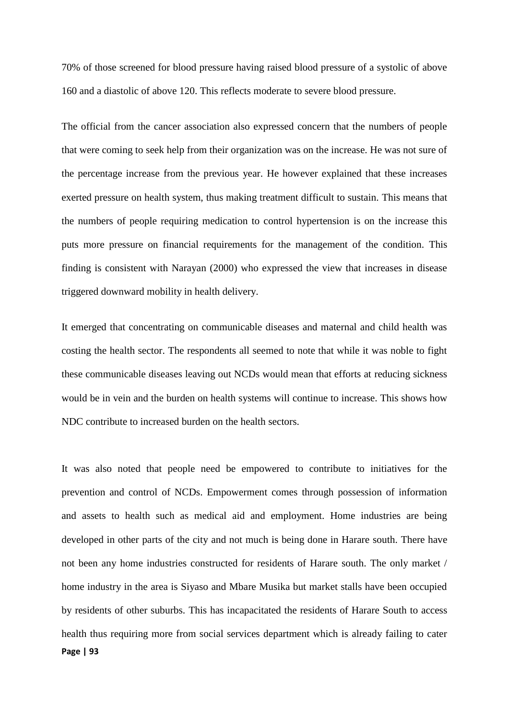70% of those screened for blood pressure having raised blood pressure of a systolic of above 160 and a diastolic of above 120. This reflects moderate to severe blood pressure.

The official from the cancer association also expressed concern that the numbers of people that were coming to seek help from their organization was on the increase. He was not sure of the percentage increase from the previous year. He however explained that these increases exerted pressure on health system, thus making treatment difficult to sustain. This means that the numbers of people requiring medication to control hypertension is on the increase this puts more pressure on financial requirements for the management of the condition. This finding is consistent with Narayan (2000) who expressed the view that increases in disease triggered downward mobility in health delivery.

It emerged that concentrating on communicable diseases and maternal and child health was costing the health sector. The respondents all seemed to note that while it was noble to fight these communicable diseases leaving out NCDs would mean that efforts at reducing sickness would be in vein and the burden on health systems will continue to increase. This shows how NDC contribute to increased burden on the health sectors.

**Page | 93** It was also noted that people need be empowered to contribute to initiatives for the prevention and control of NCDs. Empowerment comes through possession of information and assets to health such as medical aid and employment. Home industries are being developed in other parts of the city and not much is being done in Harare south. There have not been any home industries constructed for residents of Harare south. The only market / home industry in the area is Siyaso and Mbare Musika but market stalls have been occupied by residents of other suburbs. This has incapacitated the residents of Harare South to access health thus requiring more from social services department which is already failing to cater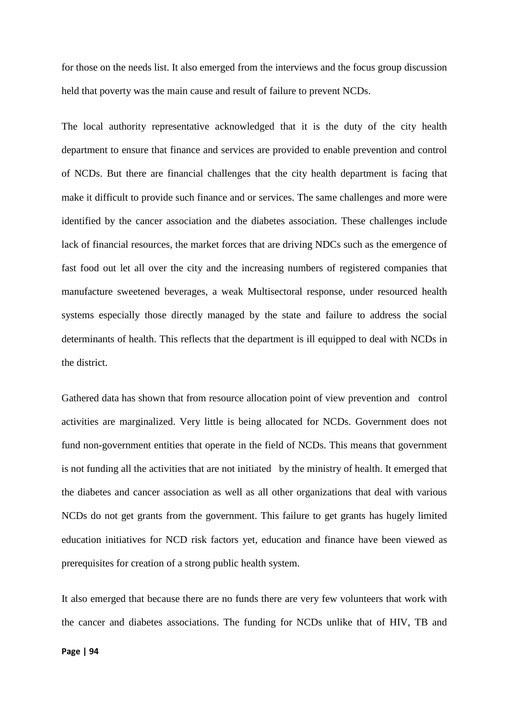for those on the needs list. It also emerged from the interviews and the focus group discussion held that poverty was the main cause and result of failure to prevent NCDs.

The local authority representative acknowledged that it is the duty of the city health department to ensure that finance and services are provided to enable prevention and control of NCDs. But there are financial challenges that the city health department is facing that make it difficult to provide such finance and or services. The same challenges and more were identified by the cancer association and the diabetes association. These challenges include lack of financial resources, the market forces that are driving NDCs such as the emergence of fast food out let all over the city and the increasing numbers of registered companies that manufacture sweetened beverages, a weak Multisectoral response, under resourced health systems especially those directly managed by the state and failure to address the social determinants of health. This reflects that the department is ill equipped to deal with NCDs in the district.

Gathered data has shown that from resource allocation point of view prevention and control activities are marginalized. Very little is being allocated for NCDs. Government does not fund non-government entities that operate in the field of NCDs. This means that government is not funding all the activities that are not initiated by the ministry of health. It emerged that the diabetes and cancer association as well as all other organizations that deal with various NCDs do not get grants from the government. This failure to get grants has hugely limited education initiatives for NCD risk factors yet, education and finance have been viewed as prerequisites for creation of a strong public health system.

It also emerged that because there are no funds there are very few volunteers that work with the cancer and diabetes associations. The funding for NCDs unlike that of HIV, TB and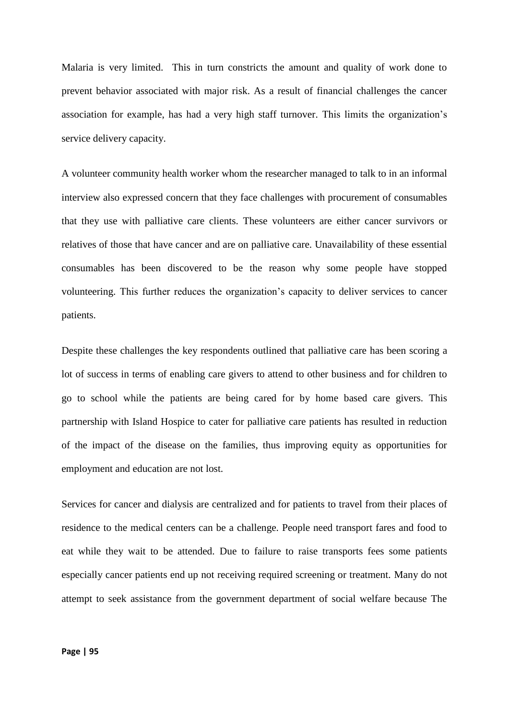Malaria is very limited. This in turn constricts the amount and quality of work done to prevent behavior associated with major risk. As a result of financial challenges the cancer association for example, has had a very high staff turnover. This limits the organization's service delivery capacity.

A volunteer community health worker whom the researcher managed to talk to in an informal interview also expressed concern that they face challenges with procurement of consumables that they use with palliative care clients. These volunteers are either cancer survivors or relatives of those that have cancer and are on palliative care. Unavailability of these essential consumables has been discovered to be the reason why some people have stopped volunteering. This further reduces the organization's capacity to deliver services to cancer patients.

Despite these challenges the key respondents outlined that palliative care has been scoring a lot of success in terms of enabling care givers to attend to other business and for children to go to school while the patients are being cared for by home based care givers. This partnership with Island Hospice to cater for palliative care patients has resulted in reduction of the impact of the disease on the families, thus improving equity as opportunities for employment and education are not lost.

Services for cancer and dialysis are centralized and for patients to travel from their places of residence to the medical centers can be a challenge. People need transport fares and food to eat while they wait to be attended. Due to failure to raise transports fees some patients especially cancer patients end up not receiving required screening or treatment. Many do not attempt to seek assistance from the government department of social welfare because The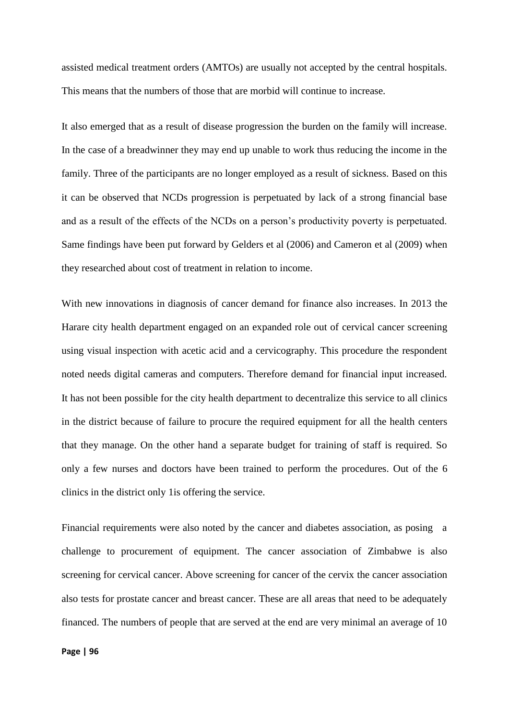assisted medical treatment orders (AMTOs) are usually not accepted by the central hospitals. This means that the numbers of those that are morbid will continue to increase.

It also emerged that as a result of disease progression the burden on the family will increase. In the case of a breadwinner they may end up unable to work thus reducing the income in the family. Three of the participants are no longer employed as a result of sickness. Based on this it can be observed that NCDs progression is perpetuated by lack of a strong financial base and as a result of the effects of the NCDs on a person's productivity poverty is perpetuated. Same findings have been put forward by Gelders et al (2006) and Cameron et al (2009) when they researched about cost of treatment in relation to income.

With new innovations in diagnosis of cancer demand for finance also increases. In 2013 the Harare city health department engaged on an expanded role out of cervical cancer screening using visual inspection with acetic acid and a cervicography. This procedure the respondent noted needs digital cameras and computers. Therefore demand for financial input increased. It has not been possible for the city health department to decentralize this service to all clinics in the district because of failure to procure the required equipment for all the health centers that they manage. On the other hand a separate budget for training of staff is required. So only a few nurses and doctors have been trained to perform the procedures. Out of the 6 clinics in the district only 1is offering the service.

Financial requirements were also noted by the cancer and diabetes association, as posing a challenge to procurement of equipment. The cancer association of Zimbabwe is also screening for cervical cancer. Above screening for cancer of the cervix the cancer association also tests for prostate cancer and breast cancer. These are all areas that need to be adequately financed. The numbers of people that are served at the end are very minimal an average of 10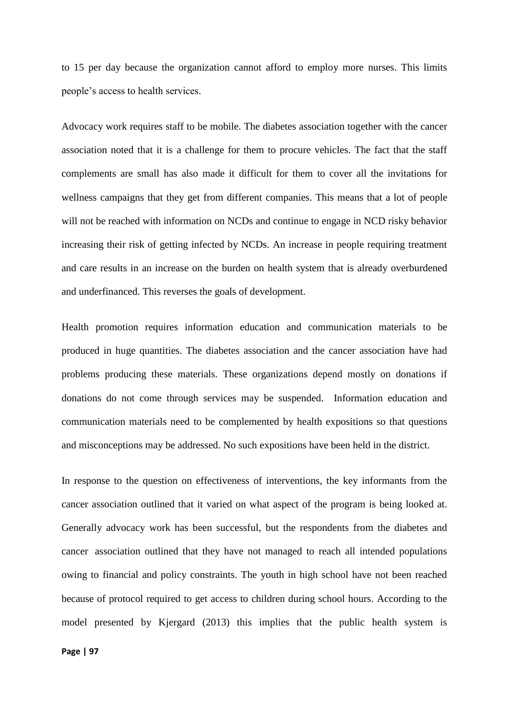to 15 per day because the organization cannot afford to employ more nurses. This limits people's access to health services.

Advocacy work requires staff to be mobile. The diabetes association together with the cancer association noted that it is a challenge for them to procure vehicles. The fact that the staff complements are small has also made it difficult for them to cover all the invitations for wellness campaigns that they get from different companies. This means that a lot of people will not be reached with information on NCDs and continue to engage in NCD risky behavior increasing their risk of getting infected by NCDs. An increase in people requiring treatment and care results in an increase on the burden on health system that is already overburdened and underfinanced. This reverses the goals of development.

Health promotion requires information education and communication materials to be produced in huge quantities. The diabetes association and the cancer association have had problems producing these materials. These organizations depend mostly on donations if donations do not come through services may be suspended. Information education and communication materials need to be complemented by health expositions so that questions and misconceptions may be addressed. No such expositions have been held in the district.

In response to the question on effectiveness of interventions, the key informants from the cancer association outlined that it varied on what aspect of the program is being looked at. Generally advocacy work has been successful, but the respondents from the diabetes and cancer association outlined that they have not managed to reach all intended populations owing to financial and policy constraints. The youth in high school have not been reached because of protocol required to get access to children during school hours. According to the model presented by Kjergard (2013) this implies that the public health system is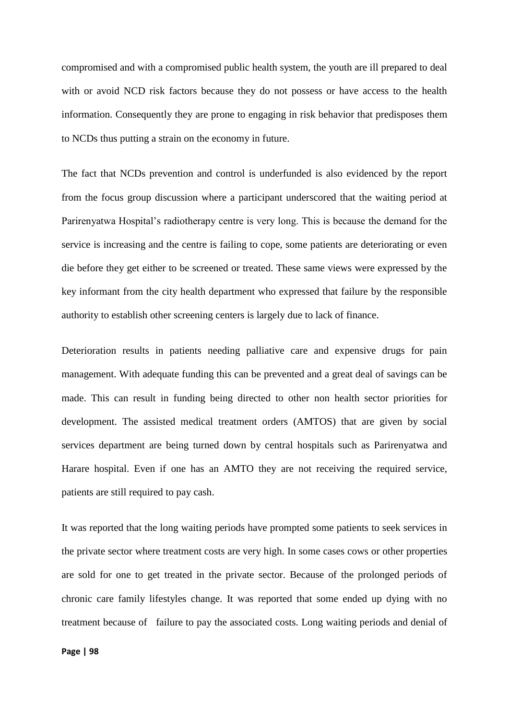compromised and with a compromised public health system, the youth are ill prepared to deal with or avoid NCD risk factors because they do not possess or have access to the health information. Consequently they are prone to engaging in risk behavior that predisposes them to NCDs thus putting a strain on the economy in future.

The fact that NCDs prevention and control is underfunded is also evidenced by the report from the focus group discussion where a participant underscored that the waiting period at Parirenyatwa Hospital's radiotherapy centre is very long. This is because the demand for the service is increasing and the centre is failing to cope, some patients are deteriorating or even die before they get either to be screened or treated. These same views were expressed by the key informant from the city health department who expressed that failure by the responsible authority to establish other screening centers is largely due to lack of finance.

Deterioration results in patients needing palliative care and expensive drugs for pain management. With adequate funding this can be prevented and a great deal of savings can be made. This can result in funding being directed to other non health sector priorities for development. The assisted medical treatment orders (AMTOS) that are given by social services department are being turned down by central hospitals such as Parirenyatwa and Harare hospital. Even if one has an AMTO they are not receiving the required service, patients are still required to pay cash.

It was reported that the long waiting periods have prompted some patients to seek services in the private sector where treatment costs are very high. In some cases cows or other properties are sold for one to get treated in the private sector. Because of the prolonged periods of chronic care family lifestyles change. It was reported that some ended up dying with no treatment because of failure to pay the associated costs. Long waiting periods and denial of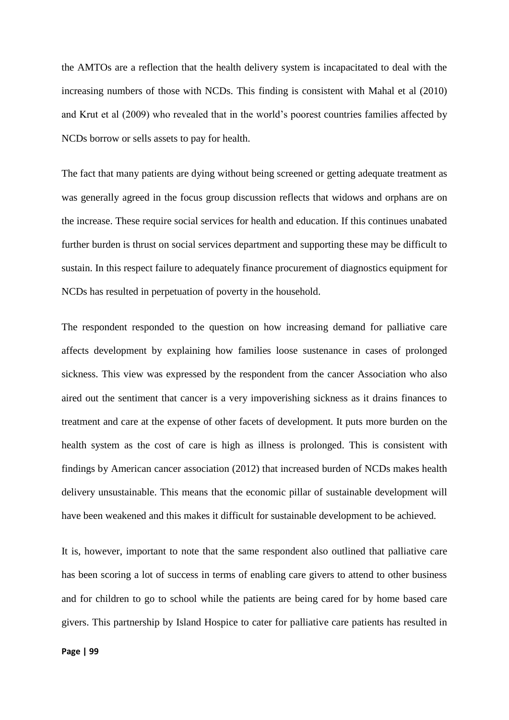the AMTOs are a reflection that the health delivery system is incapacitated to deal with the increasing numbers of those with NCDs. This finding is consistent with Mahal et al (2010) and Krut et al (2009) who revealed that in the world's poorest countries families affected by NCDs borrow or sells assets to pay for health.

The fact that many patients are dying without being screened or getting adequate treatment as was generally agreed in the focus group discussion reflects that widows and orphans are on the increase. These require social services for health and education. If this continues unabated further burden is thrust on social services department and supporting these may be difficult to sustain. In this respect failure to adequately finance procurement of diagnostics equipment for NCDs has resulted in perpetuation of poverty in the household.

The respondent responded to the question on how increasing demand for palliative care affects development by explaining how families loose sustenance in cases of prolonged sickness. This view was expressed by the respondent from the cancer Association who also aired out the sentiment that cancer is a very impoverishing sickness as it drains finances to treatment and care at the expense of other facets of development. It puts more burden on the health system as the cost of care is high as illness is prolonged. This is consistent with findings by American cancer association (2012) that increased burden of NCDs makes health delivery unsustainable. This means that the economic pillar of sustainable development will have been weakened and this makes it difficult for sustainable development to be achieved.

It is, however, important to note that the same respondent also outlined that palliative care has been scoring a lot of success in terms of enabling care givers to attend to other business and for children to go to school while the patients are being cared for by home based care givers. This partnership by Island Hospice to cater for palliative care patients has resulted in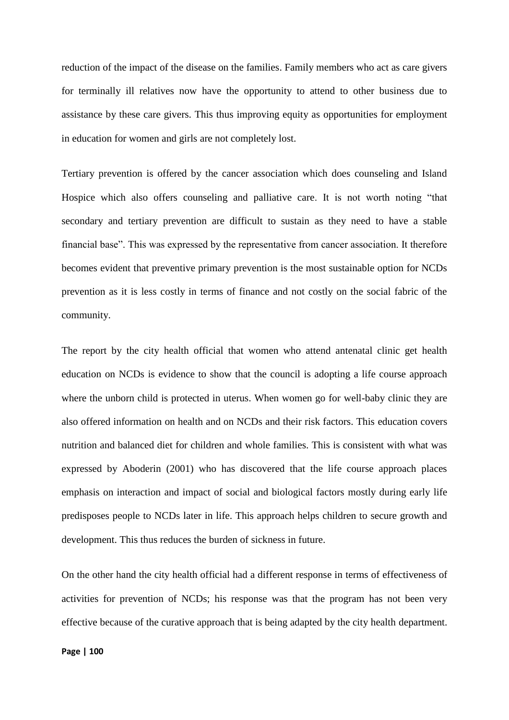reduction of the impact of the disease on the families. Family members who act as care givers for terminally ill relatives now have the opportunity to attend to other business due to assistance by these care givers. This thus improving equity as opportunities for employment in education for women and girls are not completely lost.

Tertiary prevention is offered by the cancer association which does counseling and Island Hospice which also offers counseling and palliative care. It is not worth noting "that secondary and tertiary prevention are difficult to sustain as they need to have a stable financial base". This was expressed by the representative from cancer association. It therefore becomes evident that preventive primary prevention is the most sustainable option for NCDs prevention as it is less costly in terms of finance and not costly on the social fabric of the community.

The report by the city health official that women who attend antenatal clinic get health education on NCDs is evidence to show that the council is adopting a life course approach where the unborn child is protected in uterus. When women go for well-baby clinic they are also offered information on health and on NCDs and their risk factors. This education covers nutrition and balanced diet for children and whole families. This is consistent with what was expressed by Aboderin (2001) who has discovered that the life course approach places emphasis on interaction and impact of social and biological factors mostly during early life predisposes people to NCDs later in life. This approach helps children to secure growth and development. This thus reduces the burden of sickness in future.

On the other hand the city health official had a different response in terms of effectiveness of activities for prevention of NCDs; his response was that the program has not been very effective because of the curative approach that is being adapted by the city health department.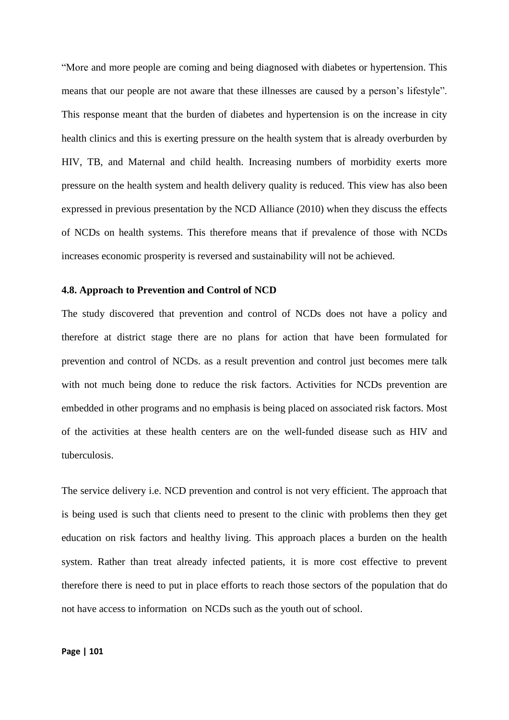"More and more people are coming and being diagnosed with diabetes or hypertension. This means that our people are not aware that these illnesses are caused by a person's lifestyle". This response meant that the burden of diabetes and hypertension is on the increase in city health clinics and this is exerting pressure on the health system that is already overburden by HIV, TB, and Maternal and child health. Increasing numbers of morbidity exerts more pressure on the health system and health delivery quality is reduced. This view has also been expressed in previous presentation by the NCD Alliance (2010) when they discuss the effects of NCDs on health systems. This therefore means that if prevalence of those with NCDs increases economic prosperity is reversed and sustainability will not be achieved.

#### **4.8. Approach to Prevention and Control of NCD**

The study discovered that prevention and control of NCDs does not have a policy and therefore at district stage there are no plans for action that have been formulated for prevention and control of NCDs. as a result prevention and control just becomes mere talk with not much being done to reduce the risk factors. Activities for NCDs prevention are embedded in other programs and no emphasis is being placed on associated risk factors. Most of the activities at these health centers are on the well-funded disease such as HIV and tuberculosis.

The service delivery i.e. NCD prevention and control is not very efficient. The approach that is being used is such that clients need to present to the clinic with problems then they get education on risk factors and healthy living. This approach places a burden on the health system. Rather than treat already infected patients, it is more cost effective to prevent therefore there is need to put in place efforts to reach those sectors of the population that do not have access to information on NCDs such as the youth out of school.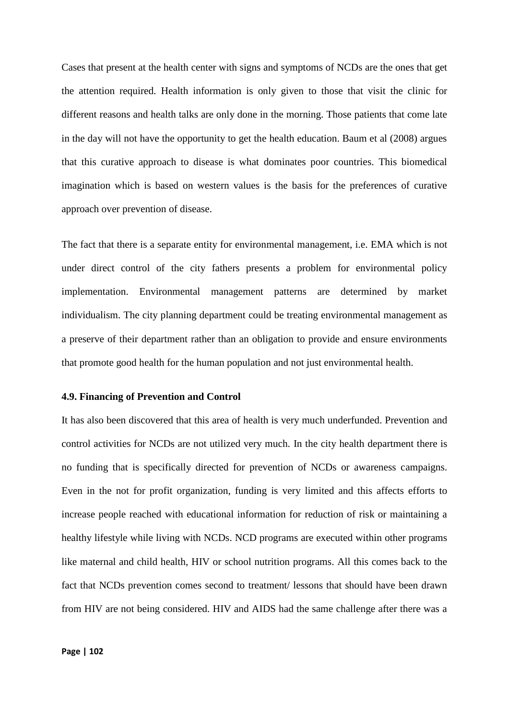Cases that present at the health center with signs and symptoms of NCDs are the ones that get the attention required. Health information is only given to those that visit the clinic for different reasons and health talks are only done in the morning. Those patients that come late in the day will not have the opportunity to get the health education. Baum et al (2008) argues that this curative approach to disease is what dominates poor countries. This biomedical imagination which is based on western values is the basis for the preferences of curative approach over prevention of disease.

The fact that there is a separate entity for environmental management, i.e. EMA which is not under direct control of the city fathers presents a problem for environmental policy implementation. Environmental management patterns are determined by market individualism. The city planning department could be treating environmental management as a preserve of their department rather than an obligation to provide and ensure environments that promote good health for the human population and not just environmental health.

#### **4.9. Financing of Prevention and Control**

It has also been discovered that this area of health is very much underfunded. Prevention and control activities for NCDs are not utilized very much. In the city health department there is no funding that is specifically directed for prevention of NCDs or awareness campaigns. Even in the not for profit organization, funding is very limited and this affects efforts to increase people reached with educational information for reduction of risk or maintaining a healthy lifestyle while living with NCDs. NCD programs are executed within other programs like maternal and child health, HIV or school nutrition programs. All this comes back to the fact that NCDs prevention comes second to treatment/ lessons that should have been drawn from HIV are not being considered. HIV and AIDS had the same challenge after there was a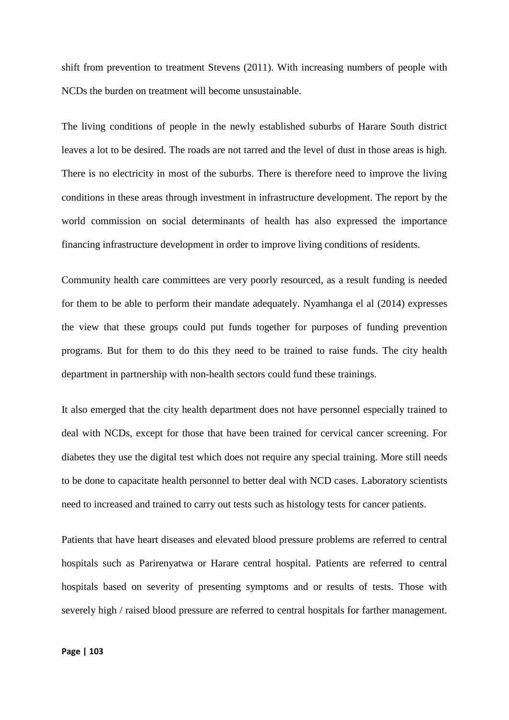shift from prevention to treatment Stevens (2011). With increasing numbers of people with NCDs the burden on treatment will become unsustainable.

The living conditions of people in the newly established suburbs of Harare South district leaves a lot to be desired. The roads are not tarred and the level of dust in those areas is high. There is no electricity in most of the suburbs. There is therefore need to improve the living conditions in these areas through investment in infrastructure development. The report by the world commission on social determinants of health has also expressed the importance financing infrastructure development in order to improve living conditions of residents.

Community health care committees are very poorly resourced, as a result funding is needed for them to be able to perform their mandate adequately. Nyamhanga el al (2014) expresses the view that these groups could put funds together for purposes of funding prevention programs. But for them to do this they need to be trained to raise funds. The city health department in partnership with non-health sectors could fund these trainings.

It also emerged that the city health department does not have personnel especially trained to deal with NCDs, except for those that have been trained for cervical cancer screening. For diabetes they use the digital test which does not require any special training. More still needs to be done to capacitate health personnel to better deal with NCD cases. Laboratory scientists need to increased and trained to carry out tests such as histology tests for cancer patients.

Patients that have heart diseases and elevated blood pressure problems are referred to central hospitals such as Parirenyatwa or Harare central hospital. Patients are referred to central hospitals based on severity of presenting symptoms and or results of tests. Those with severely high / raised blood pressure are referred to central hospitals for farther management.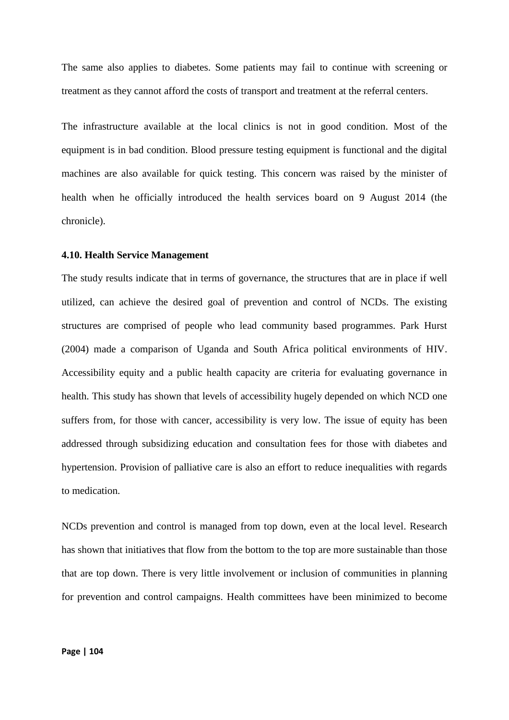The same also applies to diabetes. Some patients may fail to continue with screening or treatment as they cannot afford the costs of transport and treatment at the referral centers.

The infrastructure available at the local clinics is not in good condition. Most of the equipment is in bad condition. Blood pressure testing equipment is functional and the digital machines are also available for quick testing. This concern was raised by the minister of health when he officially introduced the health services board on 9 August 2014 (the chronicle).

#### **4.10. Health Service Management**

The study results indicate that in terms of governance, the structures that are in place if well utilized, can achieve the desired goal of prevention and control of NCDs. The existing structures are comprised of people who lead community based programmes. Park Hurst (2004) made a comparison of Uganda and South Africa political environments of HIV. Accessibility equity and a public health capacity are criteria for evaluating governance in health. This study has shown that levels of accessibility hugely depended on which NCD one suffers from, for those with cancer, accessibility is very low. The issue of equity has been addressed through subsidizing education and consultation fees for those with diabetes and hypertension. Provision of palliative care is also an effort to reduce inequalities with regards to medication.

NCDs prevention and control is managed from top down, even at the local level. Research has shown that initiatives that flow from the bottom to the top are more sustainable than those that are top down. There is very little involvement or inclusion of communities in planning for prevention and control campaigns. Health committees have been minimized to become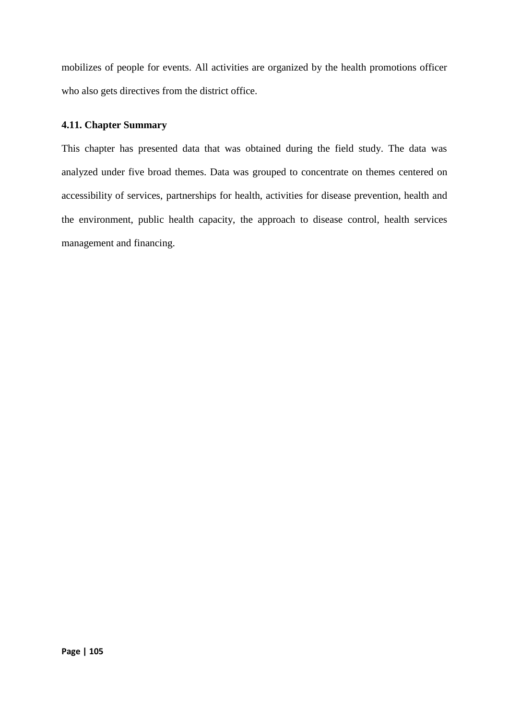mobilizes of people for events. All activities are organized by the health promotions officer who also gets directives from the district office.

## **4.11. Chapter Summary**

This chapter has presented data that was obtained during the field study. The data was analyzed under five broad themes. Data was grouped to concentrate on themes centered on accessibility of services, partnerships for health, activities for disease prevention, health and the environment, public health capacity, the approach to disease control, health services management and financing.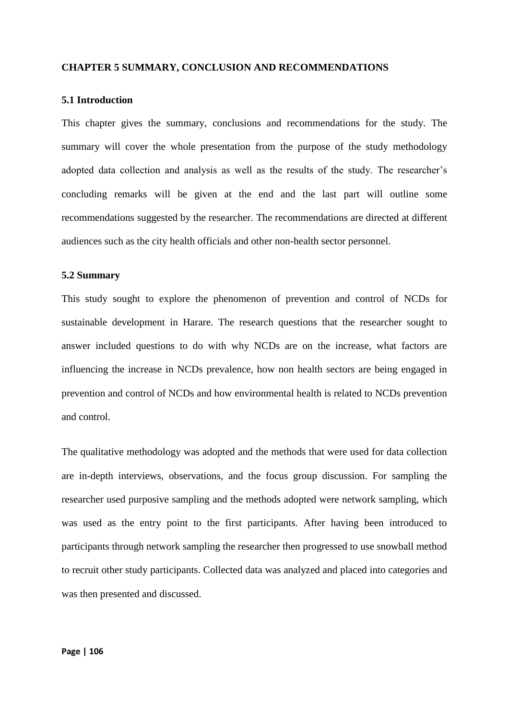#### **CHAPTER 5 SUMMARY, CONCLUSION AND RECOMMENDATIONS**

#### **5.1 Introduction**

This chapter gives the summary, conclusions and recommendations for the study. The summary will cover the whole presentation from the purpose of the study methodology adopted data collection and analysis as well as the results of the study. The researcher's concluding remarks will be given at the end and the last part will outline some recommendations suggested by the researcher. The recommendations are directed at different audiences such as the city health officials and other non-health sector personnel.

#### **5.2 Summary**

This study sought to explore the phenomenon of prevention and control of NCDs for sustainable development in Harare. The research questions that the researcher sought to answer included questions to do with why NCDs are on the increase, what factors are influencing the increase in NCDs prevalence, how non health sectors are being engaged in prevention and control of NCDs and how environmental health is related to NCDs prevention and control.

The qualitative methodology was adopted and the methods that were used for data collection are in-depth interviews, observations, and the focus group discussion. For sampling the researcher used purposive sampling and the methods adopted were network sampling, which was used as the entry point to the first participants. After having been introduced to participants through network sampling the researcher then progressed to use snowball method to recruit other study participants. Collected data was analyzed and placed into categories and was then presented and discussed.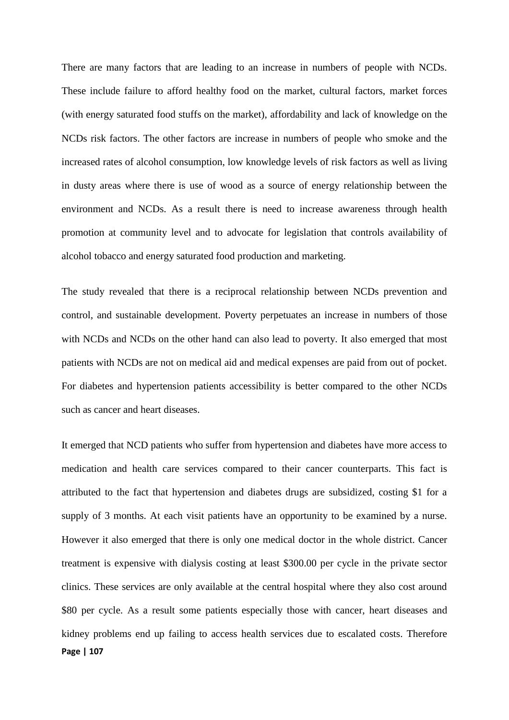There are many factors that are leading to an increase in numbers of people with NCDs. These include failure to afford healthy food on the market, cultural factors, market forces (with energy saturated food stuffs on the market), affordability and lack of knowledge on the NCDs risk factors. The other factors are increase in numbers of people who smoke and the increased rates of alcohol consumption, low knowledge levels of risk factors as well as living in dusty areas where there is use of wood as a source of energy relationship between the environment and NCDs. As a result there is need to increase awareness through health promotion at community level and to advocate for legislation that controls availability of alcohol tobacco and energy saturated food production and marketing.

The study revealed that there is a reciprocal relationship between NCDs prevention and control, and sustainable development. Poverty perpetuates an increase in numbers of those with NCDs and NCDs on the other hand can also lead to poverty. It also emerged that most patients with NCDs are not on medical aid and medical expenses are paid from out of pocket. For diabetes and hypertension patients accessibility is better compared to the other NCDs such as cancer and heart diseases.

**Page | 107** It emerged that NCD patients who suffer from hypertension and diabetes have more access to medication and health care services compared to their cancer counterparts. This fact is attributed to the fact that hypertension and diabetes drugs are subsidized, costing \$1 for a supply of 3 months. At each visit patients have an opportunity to be examined by a nurse. However it also emerged that there is only one medical doctor in the whole district. Cancer treatment is expensive with dialysis costing at least \$300.00 per cycle in the private sector clinics. These services are only available at the central hospital where they also cost around \$80 per cycle. As a result some patients especially those with cancer, heart diseases and kidney problems end up failing to access health services due to escalated costs. Therefore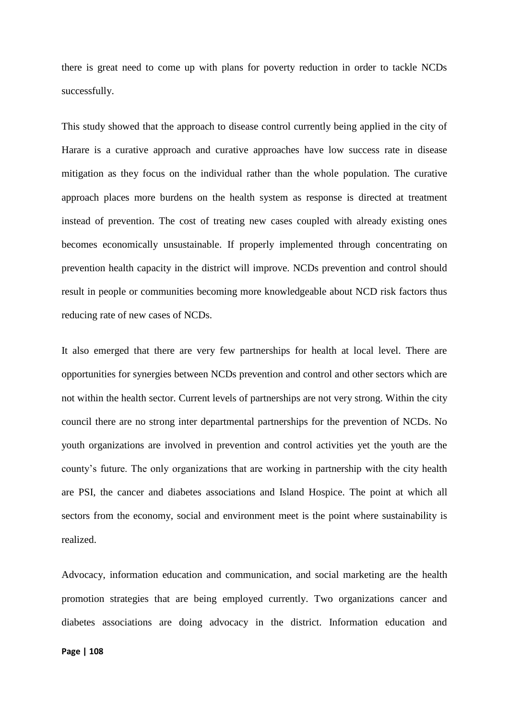there is great need to come up with plans for poverty reduction in order to tackle NCDs successfully.

This study showed that the approach to disease control currently being applied in the city of Harare is a curative approach and curative approaches have low success rate in disease mitigation as they focus on the individual rather than the whole population. The curative approach places more burdens on the health system as response is directed at treatment instead of prevention. The cost of treating new cases coupled with already existing ones becomes economically unsustainable. If properly implemented through concentrating on prevention health capacity in the district will improve. NCDs prevention and control should result in people or communities becoming more knowledgeable about NCD risk factors thus reducing rate of new cases of NCDs.

It also emerged that there are very few partnerships for health at local level. There are opportunities for synergies between NCDs prevention and control and other sectors which are not within the health sector. Current levels of partnerships are not very strong. Within the city council there are no strong inter departmental partnerships for the prevention of NCDs. No youth organizations are involved in prevention and control activities yet the youth are the county's future. The only organizations that are working in partnership with the city health are PSI, the cancer and diabetes associations and Island Hospice. The point at which all sectors from the economy, social and environment meet is the point where sustainability is realized.

Advocacy, information education and communication, and social marketing are the health promotion strategies that are being employed currently. Two organizations cancer and diabetes associations are doing advocacy in the district. Information education and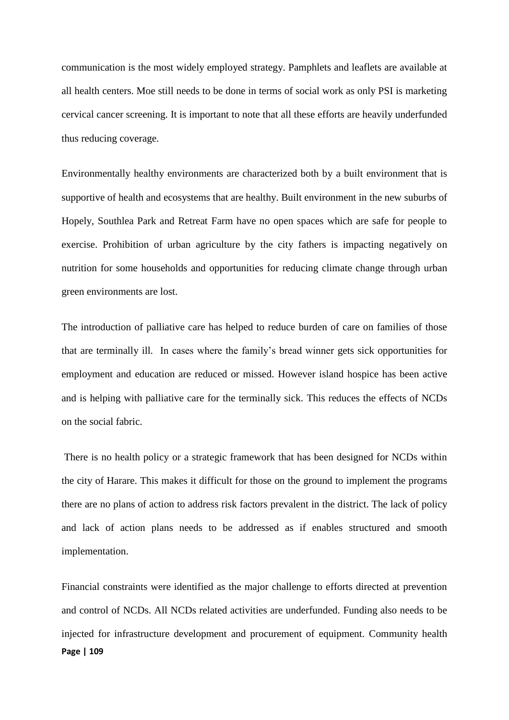communication is the most widely employed strategy. Pamphlets and leaflets are available at all health centers. Moe still needs to be done in terms of social work as only PSI is marketing cervical cancer screening. It is important to note that all these efforts are heavily underfunded thus reducing coverage.

Environmentally healthy environments are characterized both by a built environment that is supportive of health and ecosystems that are healthy. Built environment in the new suburbs of Hopely, Southlea Park and Retreat Farm have no open spaces which are safe for people to exercise. Prohibition of urban agriculture by the city fathers is impacting negatively on nutrition for some households and opportunities for reducing climate change through urban green environments are lost.

The introduction of palliative care has helped to reduce burden of care on families of those that are terminally ill. In cases where the family's bread winner gets sick opportunities for employment and education are reduced or missed. However island hospice has been active and is helping with palliative care for the terminally sick. This reduces the effects of NCDs on the social fabric.

There is no health policy or a strategic framework that has been designed for NCDs within the city of Harare. This makes it difficult for those on the ground to implement the programs there are no plans of action to address risk factors prevalent in the district. The lack of policy and lack of action plans needs to be addressed as if enables structured and smooth implementation.

**Page | 109** Financial constraints were identified as the major challenge to efforts directed at prevention and control of NCDs. All NCDs related activities are underfunded. Funding also needs to be injected for infrastructure development and procurement of equipment. Community health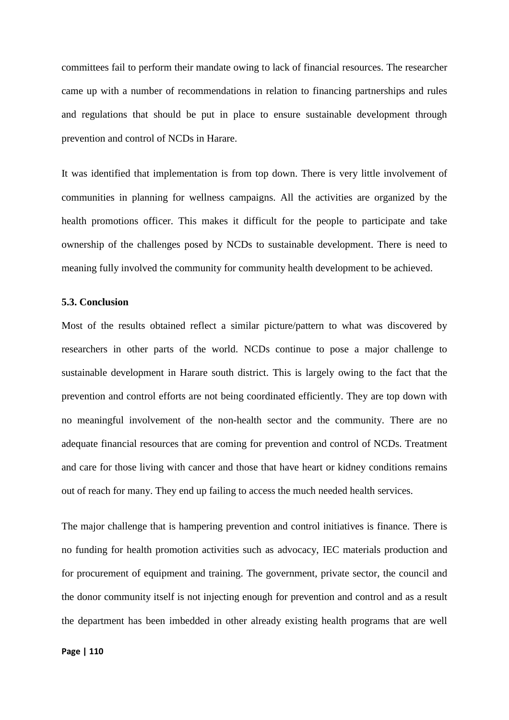committees fail to perform their mandate owing to lack of financial resources. The researcher came up with a number of recommendations in relation to financing partnerships and rules and regulations that should be put in place to ensure sustainable development through prevention and control of NCDs in Harare.

It was identified that implementation is from top down. There is very little involvement of communities in planning for wellness campaigns. All the activities are organized by the health promotions officer. This makes it difficult for the people to participate and take ownership of the challenges posed by NCDs to sustainable development. There is need to meaning fully involved the community for community health development to be achieved.

#### **5.3. Conclusion**

Most of the results obtained reflect a similar picture/pattern to what was discovered by researchers in other parts of the world. NCDs continue to pose a major challenge to sustainable development in Harare south district. This is largely owing to the fact that the prevention and control efforts are not being coordinated efficiently. They are top down with no meaningful involvement of the non-health sector and the community. There are no adequate financial resources that are coming for prevention and control of NCDs. Treatment and care for those living with cancer and those that have heart or kidney conditions remains out of reach for many. They end up failing to access the much needed health services.

The major challenge that is hampering prevention and control initiatives is finance. There is no funding for health promotion activities such as advocacy, IEC materials production and for procurement of equipment and training. The government, private sector, the council and the donor community itself is not injecting enough for prevention and control and as a result the department has been imbedded in other already existing health programs that are well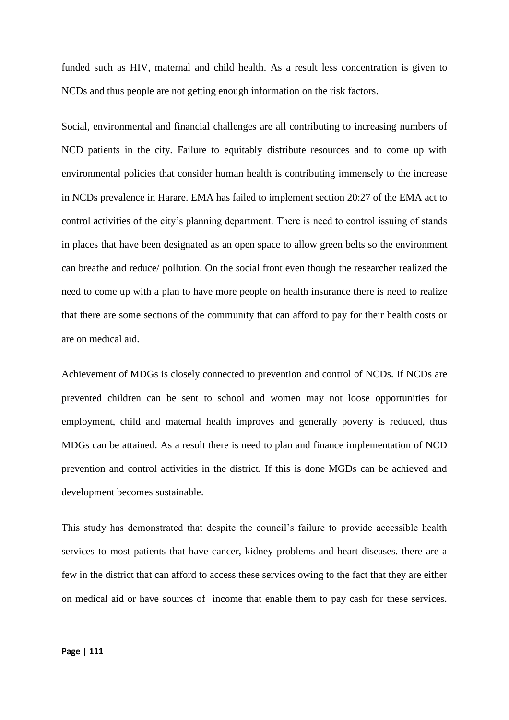funded such as HIV, maternal and child health. As a result less concentration is given to NCDs and thus people are not getting enough information on the risk factors.

Social, environmental and financial challenges are all contributing to increasing numbers of NCD patients in the city. Failure to equitably distribute resources and to come up with environmental policies that consider human health is contributing immensely to the increase in NCDs prevalence in Harare. EMA has failed to implement section 20:27 of the EMA act to control activities of the city's planning department. There is need to control issuing of stands in places that have been designated as an open space to allow green belts so the environment can breathe and reduce/ pollution. On the social front even though the researcher realized the need to come up with a plan to have more people on health insurance there is need to realize that there are some sections of the community that can afford to pay for their health costs or are on medical aid.

Achievement of MDGs is closely connected to prevention and control of NCDs. If NCDs are prevented children can be sent to school and women may not loose opportunities for employment, child and maternal health improves and generally poverty is reduced, thus MDGs can be attained. As a result there is need to plan and finance implementation of NCD prevention and control activities in the district. If this is done MGDs can be achieved and development becomes sustainable.

This study has demonstrated that despite the council's failure to provide accessible health services to most patients that have cancer, kidney problems and heart diseases. there are a few in the district that can afford to access these services owing to the fact that they are either on medical aid or have sources of income that enable them to pay cash for these services.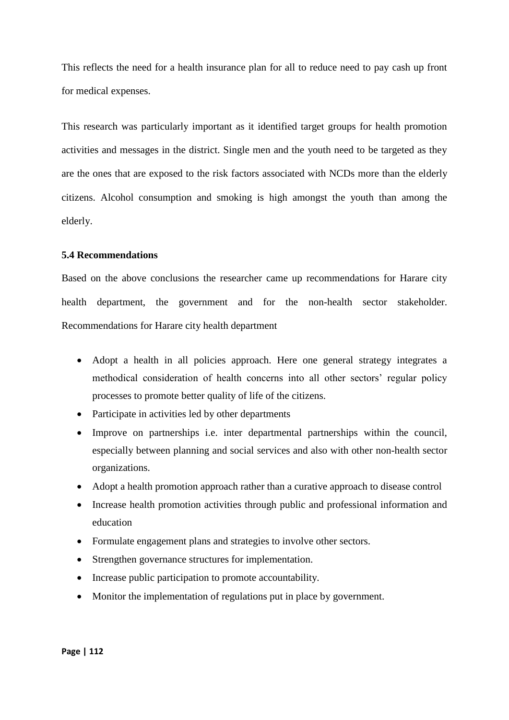This reflects the need for a health insurance plan for all to reduce need to pay cash up front for medical expenses.

This research was particularly important as it identified target groups for health promotion activities and messages in the district. Single men and the youth need to be targeted as they are the ones that are exposed to the risk factors associated with NCDs more than the elderly citizens. Alcohol consumption and smoking is high amongst the youth than among the elderly.

#### **5.4 Recommendations**

Based on the above conclusions the researcher came up recommendations for Harare city health department, the government and for the non-health sector stakeholder. Recommendations for Harare city health department

- Adopt a health in all policies approach. Here one general strategy integrates a methodical consideration of health concerns into all other sectors' regular policy processes to promote better quality of life of the citizens.
- Participate in activities led by other departments
- Improve on partnerships i.e. inter departmental partnerships within the council, especially between planning and social services and also with other non-health sector organizations.
- Adopt a health promotion approach rather than a curative approach to disease control
- Increase health promotion activities through public and professional information and education
- Formulate engagement plans and strategies to involve other sectors.
- Strengthen governance structures for implementation.
- Increase public participation to promote accountability.
- Monitor the implementation of regulations put in place by government.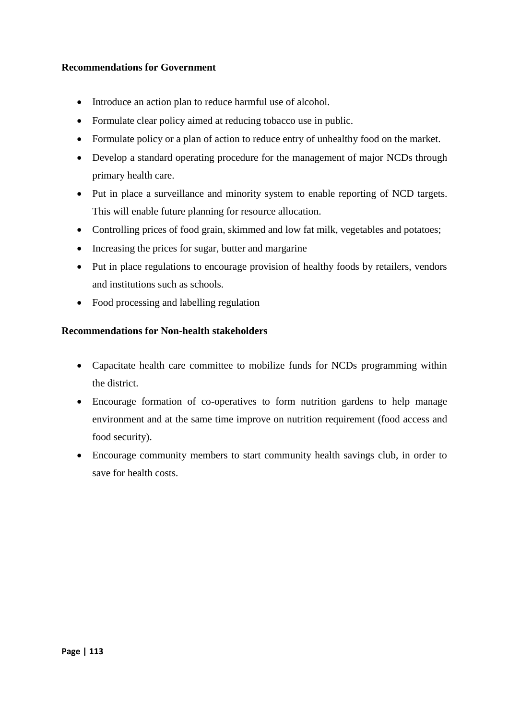## **Recommendations for Government**

- Introduce an action plan to reduce harmful use of alcohol.
- Formulate clear policy aimed at reducing tobacco use in public.
- Formulate policy or a plan of action to reduce entry of unhealthy food on the market.
- Develop a standard operating procedure for the management of major NCDs through primary health care.
- Put in place a surveillance and minority system to enable reporting of NCD targets. This will enable future planning for resource allocation.
- Controlling prices of food grain, skimmed and low fat milk, vegetables and potatoes;
- Increasing the prices for sugar, butter and margarine
- Put in place regulations to encourage provision of healthy foods by retailers, vendors and institutions such as schools.
- Food processing and labelling regulation

## **Recommendations for Non-health stakeholders**

- Capacitate health care committee to mobilize funds for NCDs programming within the district.
- Encourage formation of co-operatives to form nutrition gardens to help manage environment and at the same time improve on nutrition requirement (food access and food security).
- Encourage community members to start community health savings club, in order to save for health costs.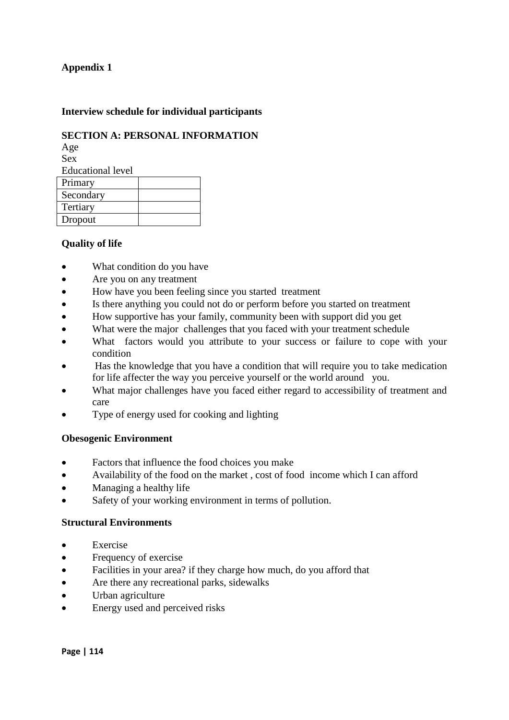## **Interview schedule for individual participants**

# **SECTION A: PERSONAL INFORMATION**

Age Sex Educational level Primary Secondary Tertiary Dropout

# **Quality of life**

- What condition do you have
- Are you on any treatment
- How have you been feeling since you started treatment
- Is there anything you could not do or perform before you started on treatment
- How supportive has your family, community been with support did you get
- What were the major challenges that you faced with your treatment schedule
- What factors would you attribute to your success or failure to cope with your condition
- Has the knowledge that you have a condition that will require you to take medication for life affecter the way you perceive yourself or the world around you.
- What major challenges have you faced either regard to accessibility of treatment and care
- Type of energy used for cooking and lighting

### **Obesogenic Environment**

- Factors that influence the food choices you make
- Availability of the food on the market , cost of food income which I can afford
- Managing a healthy life
- Safety of your working environment in terms of pollution.

### **Structural Environments**

- Exercise
- Frequency of exercise
- Facilities in your area? if they charge how much, do you afford that
- Are there any recreational parks, sidewalks
- Urban agriculture
- Energy used and perceived risks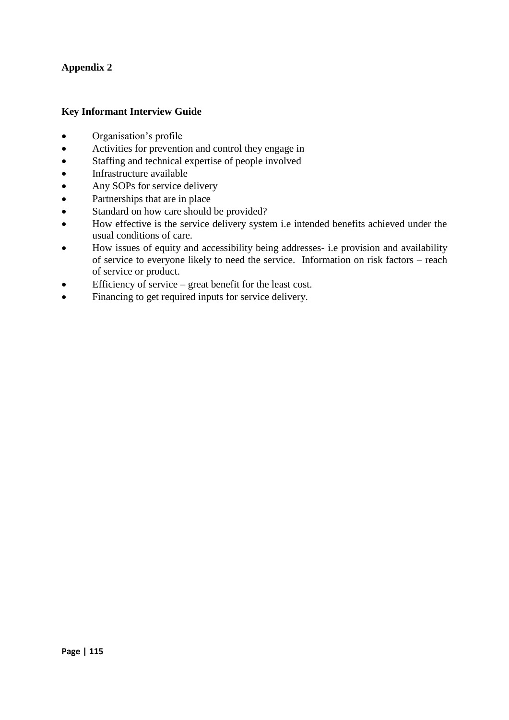## **Key Informant Interview Guide**

- Organisation's profile
- Activities for prevention and control they engage in
- Staffing and technical expertise of people involved
- Infrastructure available
- Any SOPs for service delivery
- Partnerships that are in place
- Standard on how care should be provided?
- How effective is the service delivery system i.e intended benefits achieved under the usual conditions of care.
- How issues of equity and accessibility being addresses- i.e provision and availability of service to everyone likely to need the service. Information on risk factors – reach of service or product.
- Efficiency of service great benefit for the least cost.
- Financing to get required inputs for service delivery.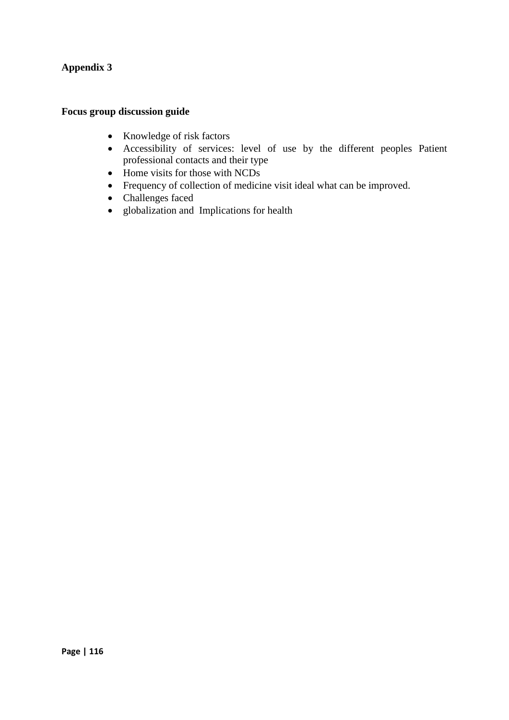# **Focus group discussion guide**

- Knowledge of risk factors
- Accessibility of services: level of use by the different peoples Patient professional contacts and their type
- Home visits for those with NCDs
- Frequency of collection of medicine visit ideal what can be improved.
- Challenges faced
- globalization and Implications for health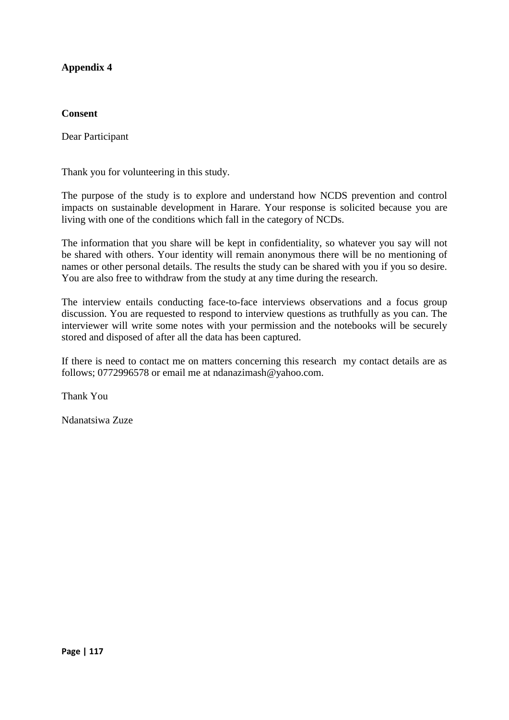## **Consent**

Dear Participant

Thank you for volunteering in this study.

The purpose of the study is to explore and understand how NCDS prevention and control impacts on sustainable development in Harare. Your response is solicited because you are living with one of the conditions which fall in the category of NCDs.

The information that you share will be kept in confidentiality, so whatever you say will not be shared with others. Your identity will remain anonymous there will be no mentioning of names or other personal details. The results the study can be shared with you if you so desire. You are also free to withdraw from the study at any time during the research.

The interview entails conducting face-to-face interviews observations and a focus group discussion. You are requested to respond to interview questions as truthfully as you can. The interviewer will write some notes with your permission and the notebooks will be securely stored and disposed of after all the data has been captured.

If there is need to contact me on matters concerning this research my contact details are as follows; 0772996578 or email me at ndanazimash@yahoo.com.

Thank You

Ndanatsiwa Zuze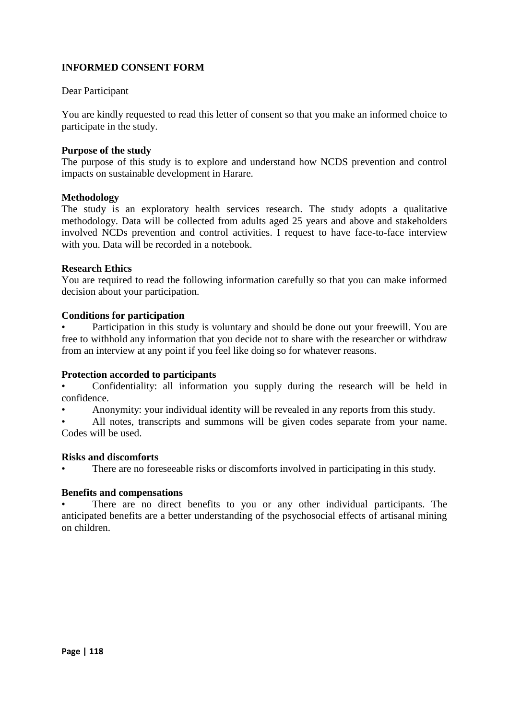# **INFORMED CONSENT FORM**

## Dear Participant

You are kindly requested to read this letter of consent so that you make an informed choice to participate in the study.

### **Purpose of the study**

The purpose of this study is to explore and understand how NCDS prevention and control impacts on sustainable development in Harare.

### **Methodology**

The study is an exploratory health services research. The study adopts a qualitative methodology. Data will be collected from adults aged 25 years and above and stakeholders involved NCDs prevention and control activities. I request to have face-to-face interview with you. Data will be recorded in a notebook.

### **Research Ethics**

You are required to read the following information carefully so that you can make informed decision about your participation.

#### **Conditions for participation**

• Participation in this study is voluntary and should be done out your freewill. You are free to withhold any information that you decide not to share with the researcher or withdraw from an interview at any point if you feel like doing so for whatever reasons.

### **Protection accorded to participants**

• Confidentiality: all information you supply during the research will be held in confidence.

• Anonymity: your individual identity will be revealed in any reports from this study.

All notes, transcripts and summons will be given codes separate from your name. Codes will be used.

### **Risks and discomforts**

There are no foreseeable risks or discomforts involved in participating in this study.

#### **Benefits and compensations**

There are no direct benefits to you or any other individual participants. The anticipated benefits are a better understanding of the psychosocial effects of artisanal mining on children.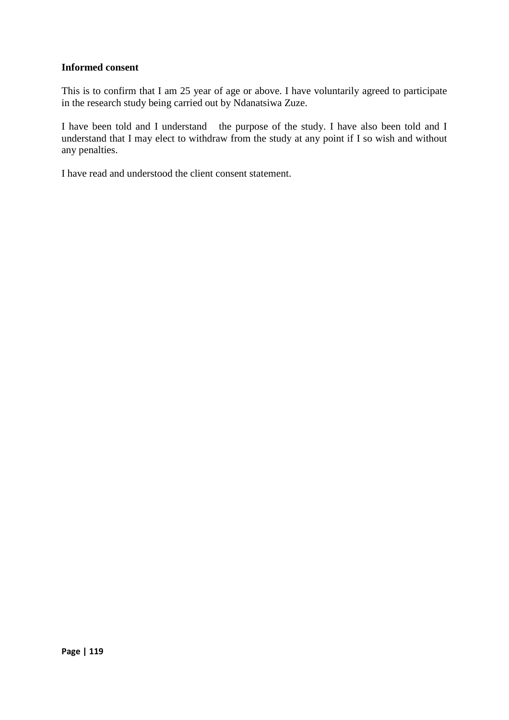## **Informed consent**

This is to confirm that I am 25 year of age or above. I have voluntarily agreed to participate in the research study being carried out by Ndanatsiwa Zuze.

I have been told and I understand the purpose of the study. I have also been told and I understand that I may elect to withdraw from the study at any point if I so wish and without any penalties.

I have read and understood the client consent statement.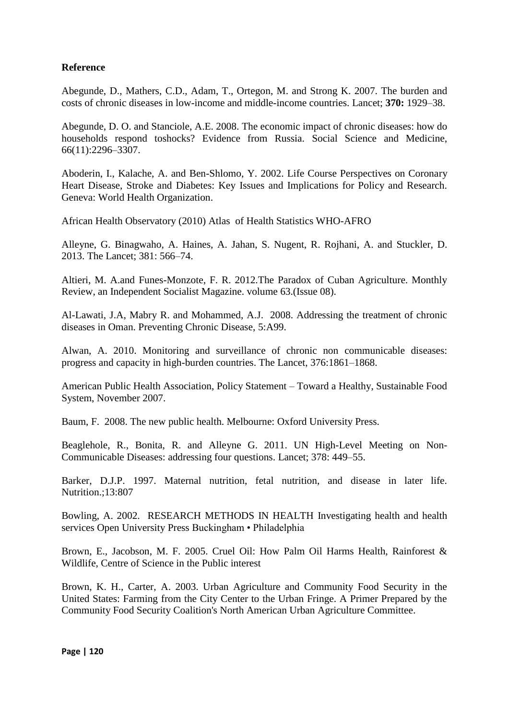# **Reference**

Abegunde, D., Mathers, C.D., Adam, T., Ortegon, M. and Strong K. 2007. The burden and costs of chronic diseases in low-income and middle-income countries. Lancet; **370:** 1929–38.

Abegunde, D. O. and Stanciole, A.E. 2008. The economic impact of chronic diseases: how do households respond toshocks? Evidence from Russia. Social Science and Medicine, 66(11):2296–3307.

Aboderin, I., Kalache, A. and Ben-Shlomo, Y. 2002. Life Course Perspectives on Coronary Heart Disease, Stroke and Diabetes: Key Issues and Implications for Policy and Research. Geneva: World Health Organization.

African Health Observatory (2010) Atlas of Health Statistics WHO-AFRO

Alleyne, G. Binagwaho, A. Haines, A. Jahan, S. Nugent, R. Rojhani, A. and Stuckler, D. 2013. The Lancet; 381: 566–74.

Altieri, M. A.and Funes-Monzote, F. R. 2012.The Paradox of Cuban Agriculture. Monthly Review, an Independent Socialist Magazine. volume 63.(Issue 08).

Al-Lawati, J.A, Mabry R. and Mohammed, A.J. 2008. Addressing the treatment of chronic diseases in Oman. Preventing Chronic Disease, 5:A99.

Alwan, A. 2010. Monitoring and surveillance of chronic non communicable diseases: progress and capacity in high-burden countries. The Lancet, 376:1861–1868.

American Public Health Association, Policy Statement – Toward a Healthy, Sustainable Food System, November 2007.

Baum, F. 2008. The new public health. Melbourne: Oxford University Press.

Beaglehole, R., Bonita, R. and Alleyne G. 2011. UN High-Level Meeting on Non-Communicable Diseases: addressing four questions. Lancet; 378: 449–55.

Barker, D.J.P. 1997. Maternal nutrition, fetal nutrition, and disease in later life. Nutrition.;13:807

Bowling, A. 2002. RESEARCH METHODS IN HEALTH Investigating health and health services Open University Press Buckingham • Philadelphia

Brown, E., Jacobson, M. F. 2005. Cruel Oil: How Palm Oil Harms Health, Rainforest & Wildlife, Centre of Science in the Public interest

Brown, K. H., Carter, A. 2003. Urban Agriculture and Community Food Security in the United States: Farming from the City Center to the Urban Fringe. A Primer Prepared by the Community Food Security Coalition's North American Urban Agriculture Committee.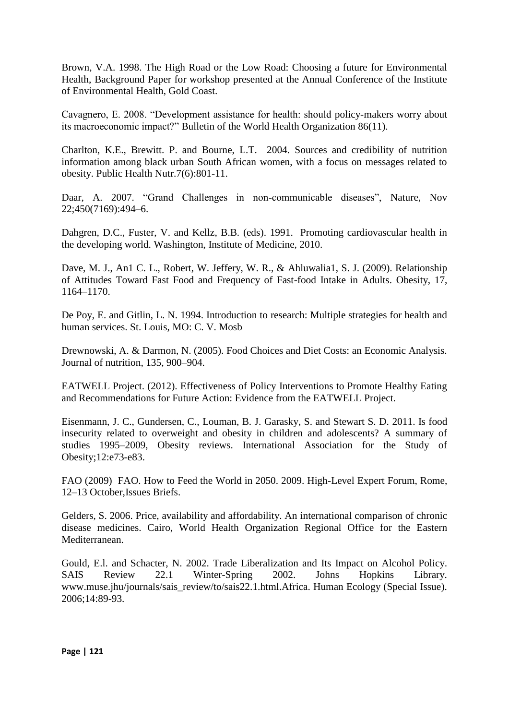Brown, V.A. 1998. The High Road or the Low Road: Choosing a future for Environmental Health, Background Paper for workshop presented at the Annual Conference of the Institute of Environmental Health, Gold Coast.

Cavagnero, E. 2008. "Development assistance for health: should policy-makers worry about its macroeconomic impact?" Bulletin of the World Health Organization 86(11).

Charlton, K.E., Brewitt. P. and Bourne, L.T. 2004. Sources and credibility of nutrition information among black urban South African women, with a focus on messages related to obesity. Public Health Nutr.7(6):801-11.

Daar, A. 2007. "Grand Challenges in non-communicable diseases", Nature, Nov 22;450(7169):494–6.

Dahgren, D.C., Fuster, V. and Kellz, B.B. (eds). 1991. Promoting cardiovascular health in the developing world. Washington, Institute of Medicine, 2010.

Dave, M. J., An1 C. L., Robert, W. Jeffery, W. R., & Ahluwalia1, S. J. (2009). Relationship of Attitudes Toward Fast Food and Frequency of Fast-food Intake in Adults. Obesity, 17, 1164–1170.

De Poy, E. and Gitlin, L. N. 1994. Introduction to research: Multiple strategies for health and human services. St. Louis, MO: C. V. Mosb

Drewnowski, A. & Darmon, N. (2005). Food Choices and Diet Costs: an Economic Analysis. Journal of nutrition, 135, 900–904.

EATWELL Project. (2012). Effectiveness of Policy Interventions to Promote Healthy Eating and Recommendations for Future Action: Evidence from the EATWELL Project.

Eisenmann, J. C., Gundersen, C., Louman, B. J. Garasky, S. and Stewart S. D. 2011. Is food insecurity related to overweight and obesity in children and adolescents? A summary of studies 1995–2009, Obesity reviews. International Association for the Study of Obesity;12:e73-e83.

FAO (2009) FAO. How to Feed the World in 2050. 2009. High-Level Expert Forum, Rome, 12–13 October,Issues Briefs.

Gelders, S. 2006. Price, availability and affordability. An international comparison of chronic disease medicines. Cairo, World Health Organization Regional Office for the Eastern Mediterranean.

Gould, E.l. and Schacter, N. 2002. Trade Liberalization and Its Impact on Alcohol Policy. SAIS Review 22.1 Winter-Spring 2002. Johns Hopkins Library. www.muse.jhu/journals/sais\_review/to/sais22.1.html.Africa. Human Ecology (Special Issue). 2006;14:89-93.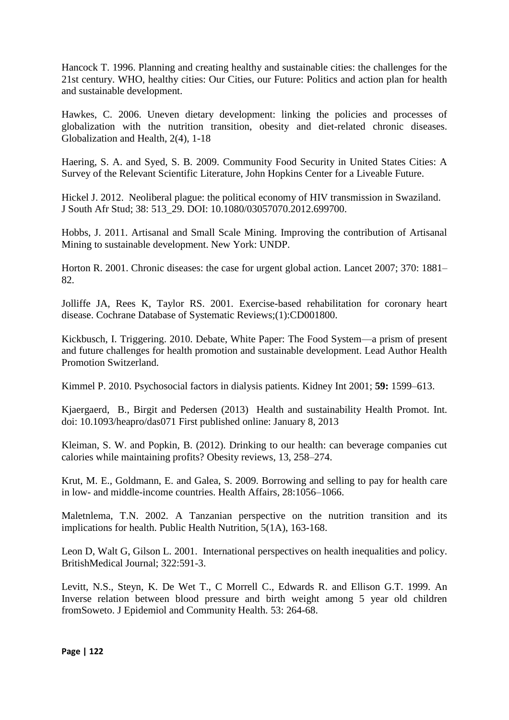Hancock T. 1996. Planning and creating healthy and sustainable cities: the challenges for the 21st century. WHO, healthy cities: Our Cities, our Future: Politics and action plan for health and sustainable development.

Hawkes, C. 2006. Uneven dietary development: linking the policies and processes of globalization with the nutrition transition, obesity and diet-related chronic diseases. Globalization and Health, 2(4), 1-18

Haering, S. A. and Syed, S. B. 2009. Community Food Security in United States Cities: A Survey of the Relevant Scientific Literature, John Hopkins Center for a Liveable Future.

Hickel J. 2012. Neoliberal plague: the political economy of HIV transmission in Swaziland. J South Afr Stud; 38: 513\_29. DOI: 10.1080/03057070.2012.699700.

Hobbs, J. 2011. Artisanal and Small Scale Mining. Improving the contribution of Artisanal Mining to sustainable development. New York: UNDP.

Horton R. 2001. Chronic diseases: the case for urgent global action. Lancet 2007; 370: 1881– 82.

Jolliffe JA, Rees K, Taylor RS. 2001. Exercise-based rehabilitation for coronary heart disease. Cochrane Database of Systematic Reviews;(1):CD001800.

Kickbusch, I. Triggering. 2010. Debate, White Paper: The Food System—a prism of present and future challenges for health promotion and sustainable development. Lead Author Health Promotion Switzerland.

Kimmel P. 2010. Psychosocial factors in dialysis patients. Kidney Int 2001; **59:** 1599–613.

Kjaergaerd, B., Birgit and Pedersen (2013) Health and sustainability Health Promot. Int. doi: 10.1093/heapro/das071 First published online: January 8, 2013

Kleiman, S. W. and Popkin, B. (2012). Drinking to our health: can beverage companies cut calories while maintaining profits? Obesity reviews, 13, 258–274.

Krut, M. E., Goldmann, E. and Galea, S. 2009. Borrowing and selling to pay for health care in low- and middle-income countries. Health Affairs, 28:1056–1066.

Maletnlema, T.N. 2002. A Tanzanian perspective on the nutrition transition and its implications for health. Public Health Nutrition, 5(1A), 163-168.

Leon D, Walt G, Gilson L. 2001. International perspectives on health inequalities and policy. BritishMedical Journal; 322:591-3.

Levitt, N.S., Steyn, K. De Wet T., C Morrell C., Edwards R. and Ellison G.T. 1999. An Inverse relation between blood pressure and birth weight among 5 year old children fromSoweto. J Epidemiol and Community Health. 53: 264-68.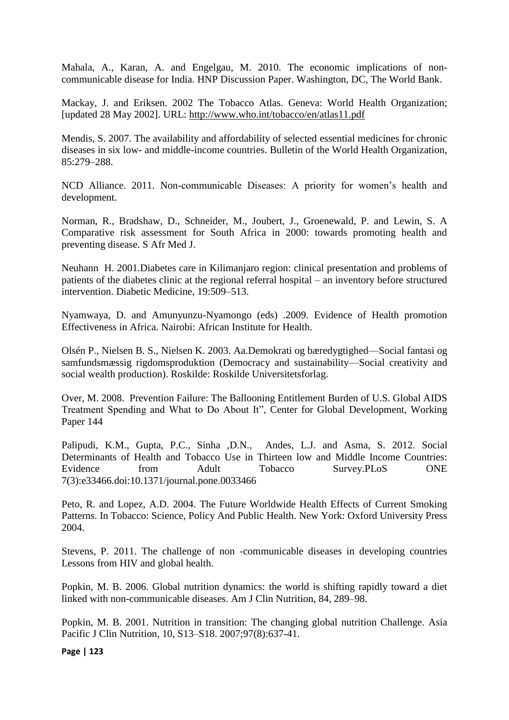Mahala, A., Karan, A. and Engelgau, M. 2010. The economic implications of noncommunicable disease for India. HNP Discussion Paper. Washington, DC, The World Bank.

Mackay, J. and Eriksen. 2002 The Tobacco Atlas. Geneva: World Health Organization; [updated 28 May 2002]. URL:<http://www.who.int/tobacco/en/atlas11.pdf>

Mendis, S. 2007. The availability and affordability of selected essential medicines for chronic diseases in six low- and middle-income countries. Bulletin of the World Health Organization, 85:279–288.

NCD Alliance. 2011. Non-communicable Diseases: A priority for women's health and development.

Norman, R., Bradshaw, D., Schneider, M., Joubert, J., Groenewald, P. and Lewin, S. A Comparative risk assessment for South Africa in 2000: towards promoting health and preventing disease. S Afr Med J.

Neuhann H. 2001.Diabetes care in Kilimanjaro region: clinical presentation and problems of patients of the diabetes clinic at the regional referral hospital – an inventory before structured intervention. Diabetic Medicine, 19:509–513.

Nyamwaya, D. and Amunyunzu-Nyamongo (eds) .2009. Evidence of Health promotion Effectiveness in Africa. Nairobi: African Institute for Health.

Olsén P., Nielsen B. S., Nielsen K. 2003. Aa.Demokrati og bæredygtighed—Social fantasi og samfundsmæssig rigdomsproduktion (Democracy and sustainability—Social creativity and social wealth production). Roskilde: Roskilde Universitetsforlag.

Over, M. 2008. Prevention Failure: The Ballooning Entitlement Burden of U.S. Global AIDS Treatment Spending and What to Do About It", Center for Global Development, Working Paper 144

Palipudi, K.M., Gupta, P.C., Sinha ,D.N., Andes, L.J. and Asma, S. 2012. Social Determinants of Health and Tobacco Use in Thirteen low and Middle Income Countries: Evidence from Adult Tobacco Survey.PLoS ONE 7(3):e33466.doi:10.1371/journal.pone.0033466

Peto, R. and Lopez, A.D. 2004. The Future Worldwide Health Effects of Current Smoking Patterns. In Tobacco: Science, Policy And Public Health. New York: Oxford University Press 2004.

Stevens, P. 2011. The challenge of non -communicable diseases in developing countries Lessons from HIV and global health.

Popkin, M. B. 2006. Global nutrition dynamics: the world is shifting rapidly toward a diet linked with non-communicable diseases. Am J Clin Nutrition, 84, 289–98.

Popkin, M. B. 2001. Nutrition in transition: The changing global nutrition Challenge. Asia Pacific J Clin Nutrition, 10, S13–S18. 2007;97(8):637-41.

**Page | 123**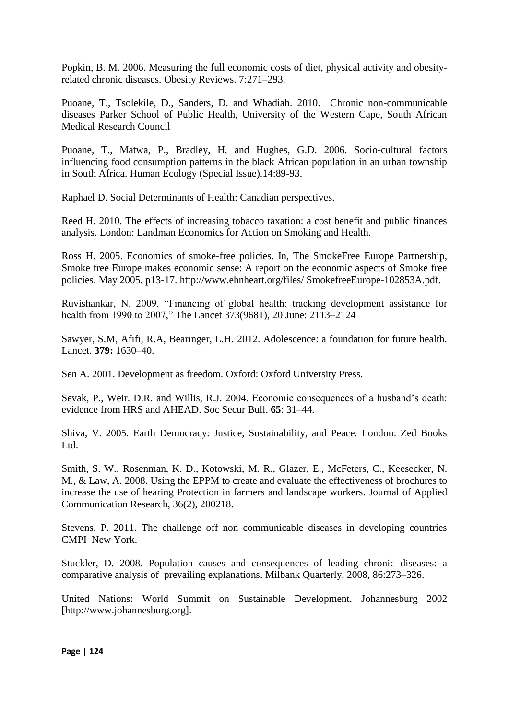Popkin, B. M. 2006. Measuring the full economic costs of diet, physical activity and obesityrelated chronic diseases. Obesity Reviews. 7:271–293.

Puoane, T., Tsolekile, D., Sanders, D. and Whadiah. 2010. Chronic non-communicable diseases Parker School of Public Health, University of the Western Cape, South African Medical Research Council

Puoane, T., Matwa, P., Bradley, H. and Hughes, G.D. 2006. Socio-cultural factors influencing food consumption patterns in the black African population in an urban township in South Africa. Human Ecology (Special Issue).14:89-93.

Raphael D. Social Determinants of Health: Canadian perspectives.

Reed H. 2010. The effects of increasing tobacco taxation: a cost benefit and public finances analysis. London: Landman Economics for Action on Smoking and Health.

Ross H. 2005. Economics of smoke-free policies. In, The SmokeFree Europe Partnership, Smoke free Europe makes economic sense: A report on the economic aspects of Smoke free policies. May 2005. p13-17.<http://www.ehnheart.org/files/> SmokefreeEurope-102853A.pdf.

Ruvishankar, N. 2009. "Financing of global health: tracking development assistance for health from 1990 to 2007," The Lancet 373(9681), 20 June: 2113–2124

Sawyer, S.M, Afifi, R.A, Bearinger, L.H. 2012. Adolescence: a foundation for future health. Lancet. **379:** 1630–40.

Sen A. 2001. Development as freedom. Oxford: Oxford University Press.

Sevak, P., Weir. D.R. and Willis, R.J. 2004. Economic consequences of a husband's death: evidence from HRS and AHEAD. Soc Secur Bull. **65**: 31–44.

Shiva, V. 2005. Earth Democracy: Justice, Sustainability, and Peace. London: Zed Books Ltd.

Smith, S. W., Rosenman, K. D., Kotowski, M. R., Glazer, E., McFeters, C., Keesecker, N. M., & Law, A. 2008. Using the EPPM to create and evaluate the effectiveness of brochures to increase the use of hearing Protection in farmers and landscape workers. Journal of Applied Communication Research, 36(2), 200218.

Stevens, P. 2011. The challenge off non communicable diseases in developing countries CMPI New York.

Stuckler, D. 2008. Population causes and consequences of leading chronic diseases: a comparative analysis of prevailing explanations. Milbank Quarterly, 2008, 86:273–326.

United Nations: World Summit on Sustainable Development. Johannesburg 2002 [http://www.johannesburg.org].